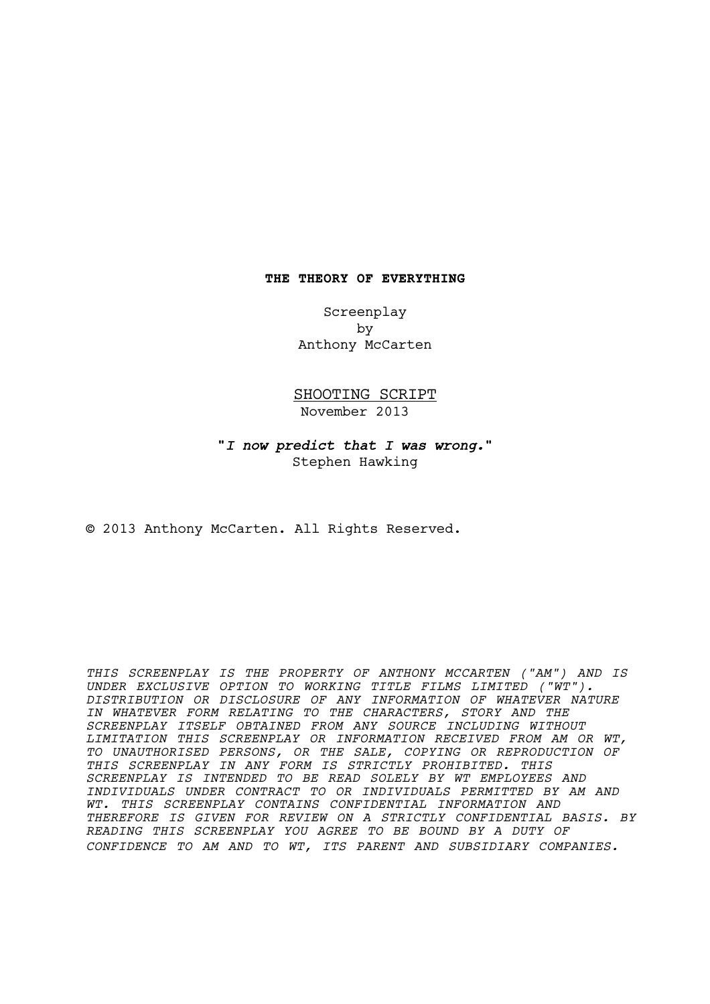### **THE THEORY OF EVERYTHING**

Screenplay by Anthony McCarten

SHOOTING SCRIPT November 2013

**"***I now predict that I was wrong.***"** Stephen Hawking

© 2013 Anthony McCarten. All Rights Reserved.

*THIS SCREENPLAY IS THE PROPERTY OF ANTHONY MCCARTEN ("AM") AND IS UNDER EXCLUSIVE OPTION TO WORKING TITLE FILMS LIMITED ("WT"). DISTRIBUTION OR DISCLOSURE OF ANY INFORMATION OF WHATEVER NATURE IN WHATEVER FORM RELATING TO THE CHARACTERS, STORY AND THE SCREENPLAY ITSELF OBTAINED FROM ANY SOURCE INCLUDING WITHOUT LIMITATION THIS SCREENPLAY OR INFORMATION RECEIVED FROM AM OR WT, TO UNAUTHORISED PERSONS, OR THE SALE, COPYING OR REPRODUCTION OF THIS SCREENPLAY IN ANY FORM IS STRICTLY PROHIBITED. THIS SCREENPLAY IS INTENDED TO BE READ SOLELY BY WT EMPLOYEES AND INDIVIDUALS UNDER CONTRACT TO OR INDIVIDUALS PERMITTED BY AM AND WT. THIS SCREENPLAY CONTAINS CONFIDENTIAL INFORMATION AND THEREFORE IS GIVEN FOR REVIEW ON A STRICTLY CONFIDENTIAL BASIS. BY READING THIS SCREENPLAY YOU AGREE TO BE BOUND BY A DUTY OF CONFIDENCE TO AM AND TO WT, ITS PARENT AND SUBSIDIARY COMPANIES.*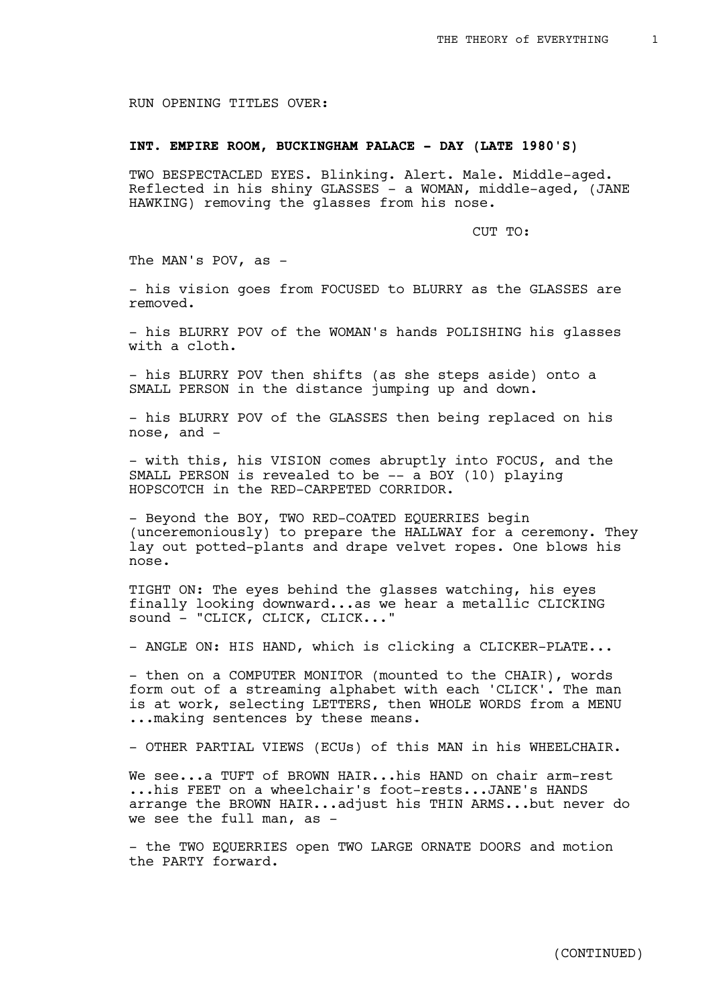RUN OPENING TITLES OVER:

# **INT. EMPIRE ROOM, BUCKINGHAM PALACE - DAY (LATE 1980'S)**

TWO BESPECTACLED EYES. Blinking. Alert. Male. Middle-aged. Reflected in his shiny GLASSES - a WOMAN, middle-aged, (JANE HAWKING) removing the glasses from his nose.

CUT TO:

The MAN's POV, as -

- his vision goes from FOCUSED to BLURRY as the GLASSES are removed.

- his BLURRY POV of the WOMAN's hands POLISHING his glasses with a cloth.

- his BLURRY POV then shifts (as she steps aside) onto a SMALL PERSON in the distance jumping up and down.

- his BLURRY POV of the GLASSES then being replaced on his nose, and -

- with this, his VISION comes abruptly into FOCUS, and the SMALL PERSON is revealed to be -- a BOY (10) playing HOPSCOTCH in the RED-CARPETED CORRIDOR.

- Beyond the BOY, TWO RED-COATED EQUERRIES begin (unceremoniously) to prepare the HALLWAY for a ceremony. They lay out potted-plants and drape velvet ropes. One blows his nose.

TIGHT ON: The eyes behind the glasses watching, his eyes finally looking downward...as we hear a metallic CLICKING sound - "CLICK, CLICK, CLICK..."

- ANGLE ON: HIS HAND, which is clicking a CLICKER-PLATE...

- then on a COMPUTER MONITOR (mounted to the CHAIR), words form out of a streaming alphabet with each 'CLICK'. The man is at work, selecting LETTERS, then WHOLE WORDS from a MENU ... making sentences by these means.

- OTHER PARTIAL VIEWS (ECUs) of this MAN in his WHEELCHAIR.

We see...a TUFT of BROWN HAIR...his HAND on chair arm-rest ...his FEET on a wheelchair's foot-rests...JANE's HANDS arrange the BROWN HAIR...adjust his THIN ARMS...but never do we see the full man, as -

- the TWO EQUERRIES open TWO LARGE ORNATE DOORS and motion the PARTY forward.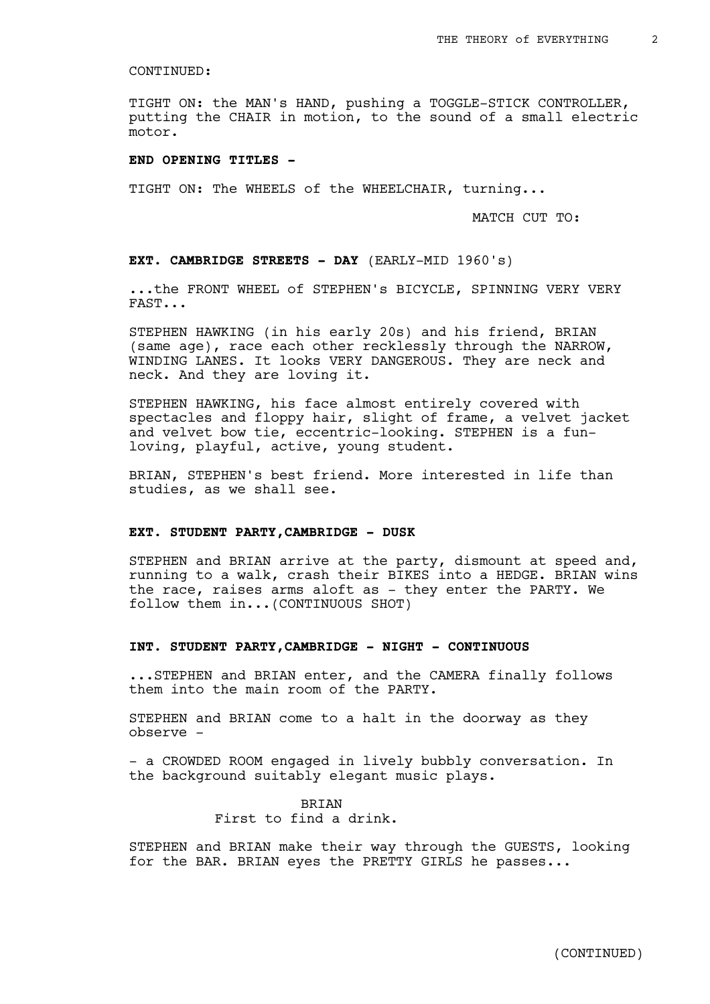TIGHT ON: the MAN's HAND, pushing a TOGGLE-STICK CONTROLLER, putting the CHAIR in motion, to the sound of a small electric motor.

### **END OPENING TITLES -**

TIGHT ON: The WHEELS of the WHEELCHAIR, turning...

MATCH CUT TO:

**EXT. CAMBRIDGE STREETS - DAY** (EARLY-MID 1960's)

...the FRONT WHEEL of STEPHEN's BICYCLE, SPINNING VERY VERY FAST...

STEPHEN HAWKING (in his early 20s) and his friend, BRIAN (same age), race each other recklessly through the NARROW, WINDING LANES. It looks VERY DANGEROUS. They are neck and neck. And they are loving it.

STEPHEN HAWKING, his face almost entirely covered with spectacles and floppy hair, slight of frame, a velvet jacket and velvet bow tie, eccentric-looking. STEPHEN is a funloving, playful, active, young student.

BRIAN, STEPHEN's best friend. More interested in life than studies, as we shall see.

#### **EXT. STUDENT PARTY,CAMBRIDGE - DUSK**

STEPHEN and BRIAN arrive at the party, dismount at speed and, running to a walk, crash their BIKES into a HEDGE. BRIAN wins the race, raises arms aloft as - they enter the PARTY. We follow them in...(CONTINUOUS SHOT)

### **INT. STUDENT PARTY,CAMBRIDGE - NIGHT - CONTINUOUS**

...STEPHEN and BRIAN enter, and the CAMERA finally follows them into the main room of the PARTY.

STEPHEN and BRIAN come to a halt in the doorway as they observe -

- a CROWDED ROOM engaged in lively bubbly conversation. In the background suitably elegant music plays.

> BRIAN First to find a drink.

STEPHEN and BRIAN make their way through the GUESTS, looking for the BAR. BRIAN eyes the PRETTY GIRLS he passes...

(CONTINUED)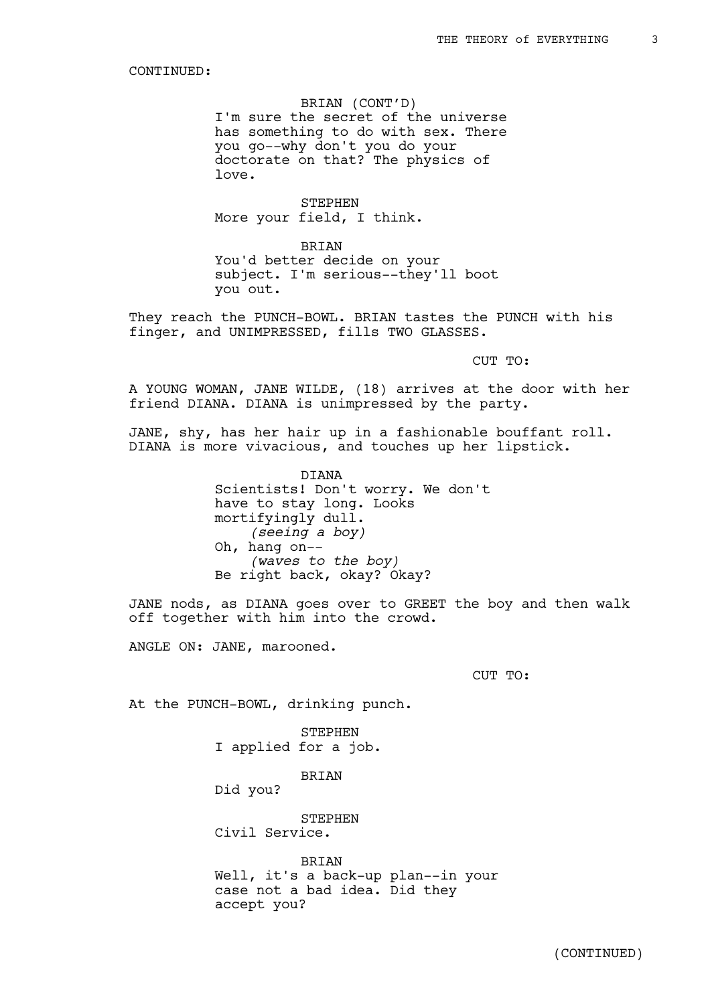BRIAN (CONT'D)

I'm sure the secret of the universe has something to do with sex. There you go--why don't you do your doctorate on that? The physics of love.

STEPHEN More your field, I think.

**BRIAN** You'd better decide on your subject. I'm serious--they'll boot you out.

They reach the PUNCH-BOWL. BRIAN tastes the PUNCH with his finger, and UNIMPRESSED, fills TWO GLASSES.

CUT TO:

A YOUNG WOMAN, JANE WILDE, (18) arrives at the door with her friend DIANA. DIANA is unimpressed by the party.

JANE, shy, has her hair up in a fashionable bouffant roll. DIANA is more vivacious, and touches up her lipstick.

> DIANA Scientists! Don't worry. We don't have to stay long. Looks mortifyingly dull. *(seeing a boy)* Oh, hang on-- *(waves to the boy)* Be right back, okay? Okay?

JANE nods, as DIANA goes over to GREET the boy and then walk off together with him into the crowd.

ANGLE ON: JANE, marooned.

CUT TO:

At the PUNCH-BOWL, drinking punch.

STEPHEN I applied for a job.

BRIAN

Did you?

**STEPHEN** Civil Service.

BRIAN Well, it's a back-up plan--in your case not a bad idea. Did they accept you?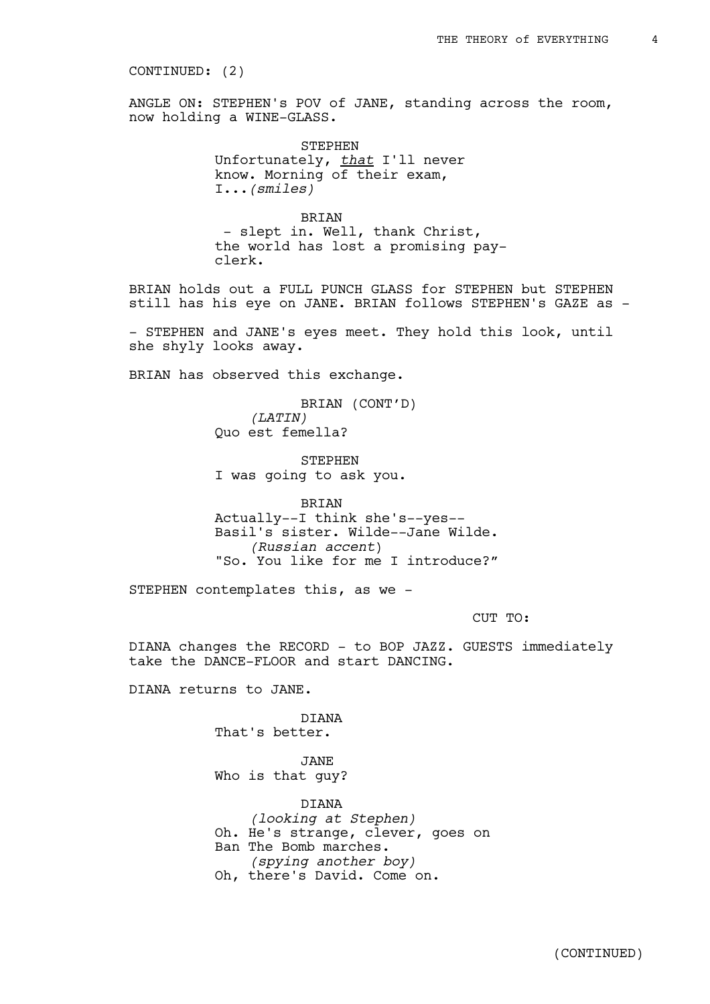#### CONTINUED: (2)

ANGLE ON: STEPHEN's POV of JANE, standing across the room, now holding a WINE-GLASS.

> STEPHEN Unfortunately, *that* I'll never know. Morning of their exam, I...*(smiles)*

BRIAN - slept in. Well, thank Christ, the world has lost a promising payclerk.

BRIAN holds out a FULL PUNCH GLASS for STEPHEN but STEPHEN still has his eye on JANE. BRIAN follows STEPHEN's GAZE as -

- STEPHEN and JANE's eyes meet. They hold this look, until she shyly looks away.

BRIAN has observed this exchange.

BRIAN (CONT'D) *(LATIN)* Quo est femella?

STEPHEN I was going to ask you.

BRIAN

Actually--I think she's--yes-- Basil's sister. Wilde--Jane Wilde. *(Russian accent*) "So. You like for me I introduce?"

STEPHEN contemplates this, as we -

CUT TO:

DIANA changes the RECORD - to BOP JAZZ. GUESTS immediately take the DANCE-FLOOR and start DANCING.

DIANA returns to JANE.

DIANA That's better.

JANE Who is that guy?

**DIANA** *(looking at Stephen)* Oh. He's strange, clever, goes on Ban The Bomb marches. *(spying another boy)* Oh, there's David. Come on.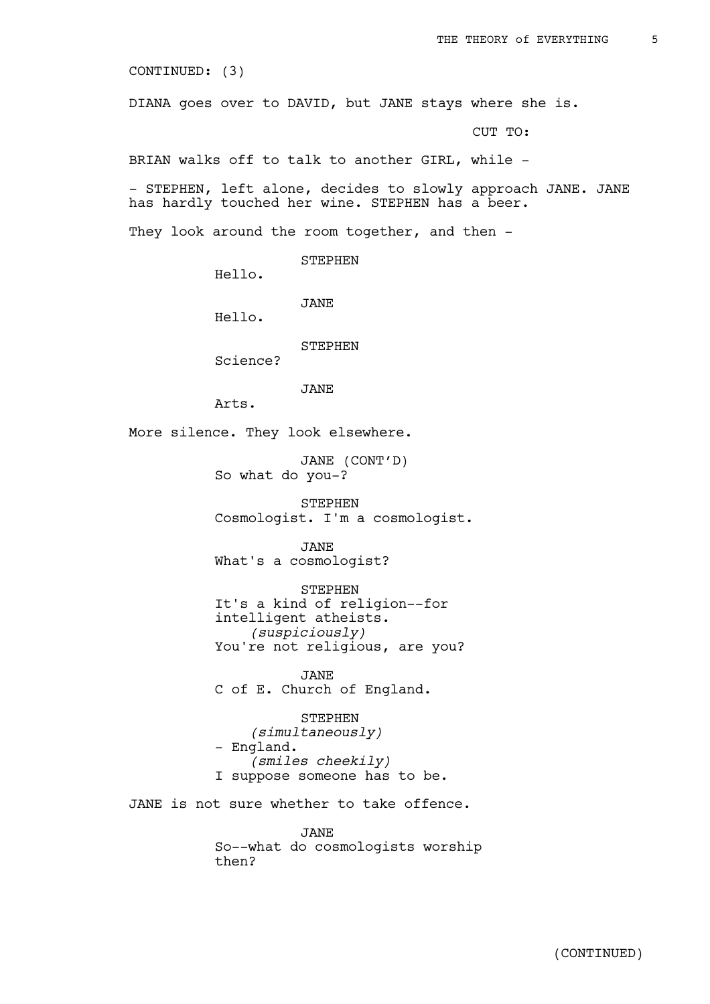CONTINUED: (3)

DIANA goes over to DAVID, but JANE stays where she is.

CUT TO:

BRIAN walks off to talk to another GIRL, while -

- STEPHEN, left alone, decides to slowly approach JANE. JANE has hardly touched her wine. STEPHEN has a beer.

They look around the room together, and then -

STEPHEN

Hello.

JANE

Hello.

STEPHEN

Science?

JANE

Arts.

More silence. They look elsewhere.

JANE (CONT'D) So what do you-?

STEPHEN Cosmologist. I'm a cosmologist.

JANE What's a cosmologist?

STEPHEN It's a kind of religion--for intelligent atheists. *(suspiciously)* You're not religious, are you?

JANE

C of E. Church of England.

STEPHEN *(simultaneously)* - England. *(smiles cheekily)* I suppose someone has to be.

JANE is not sure whether to take offence.

JANE So--what do cosmologists worship then?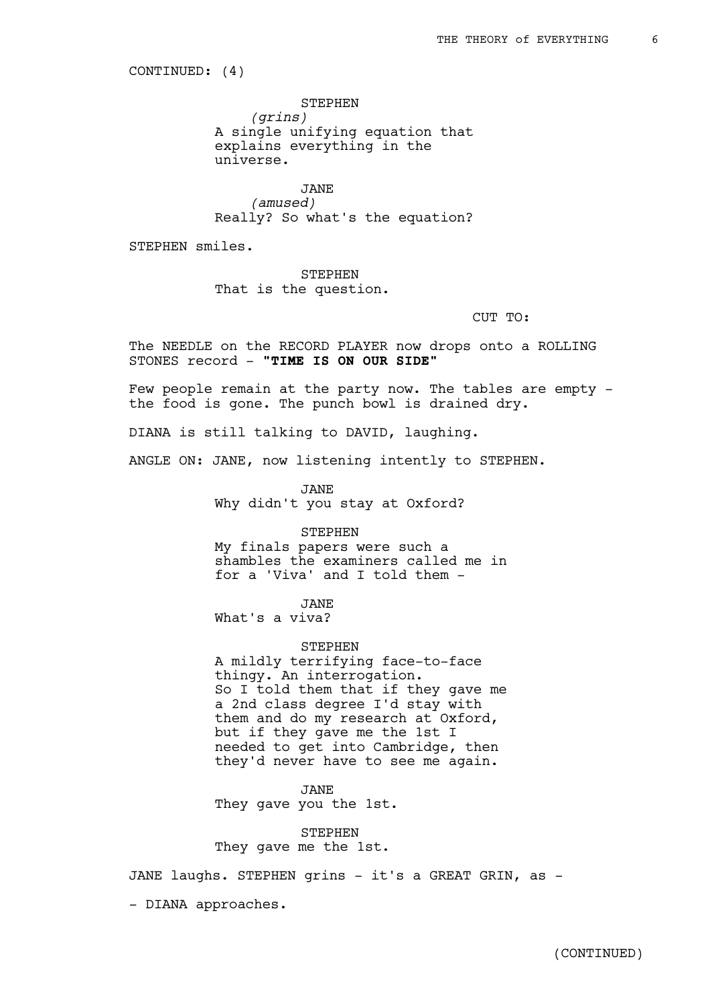CONTINUED: (4)

STEPHEN *(grins)* A single unifying equation that explains everything in the universe.

JANE *(amused)* Really? So what's the equation?

STEPHEN smiles.

STEPHEN That is the question.

CUT TO:

The NEEDLE on the RECORD PLAYER now drops onto a ROLLING STONES record - **"TIME IS ON OUR SIDE"** 

Few people remain at the party now. The tables are empty the food is gone. The punch bowl is drained dry.

DIANA is still talking to DAVID, laughing.

ANGLE ON: JANE, now listening intently to STEPHEN.

JANE Why didn't you stay at Oxford?

STEPHEN My finals papers were such a shambles the examiners called me in for a 'Viva' and I told them -

JANE

What's a viva?

STEPHEN A mildly terrifying face-to-face thingy. An interrogation. So I told them that if they gave me a 2nd class degree I'd stay with them and do my research at Oxford, but if they gave me the 1st I needed to get into Cambridge, then they'd never have to see me again.

JANE They gave you the 1st.

**STEPHEN** They gave me the 1st.

JANE laughs. STEPHEN grins - it's a GREAT GRIN, as -

- DIANA approaches.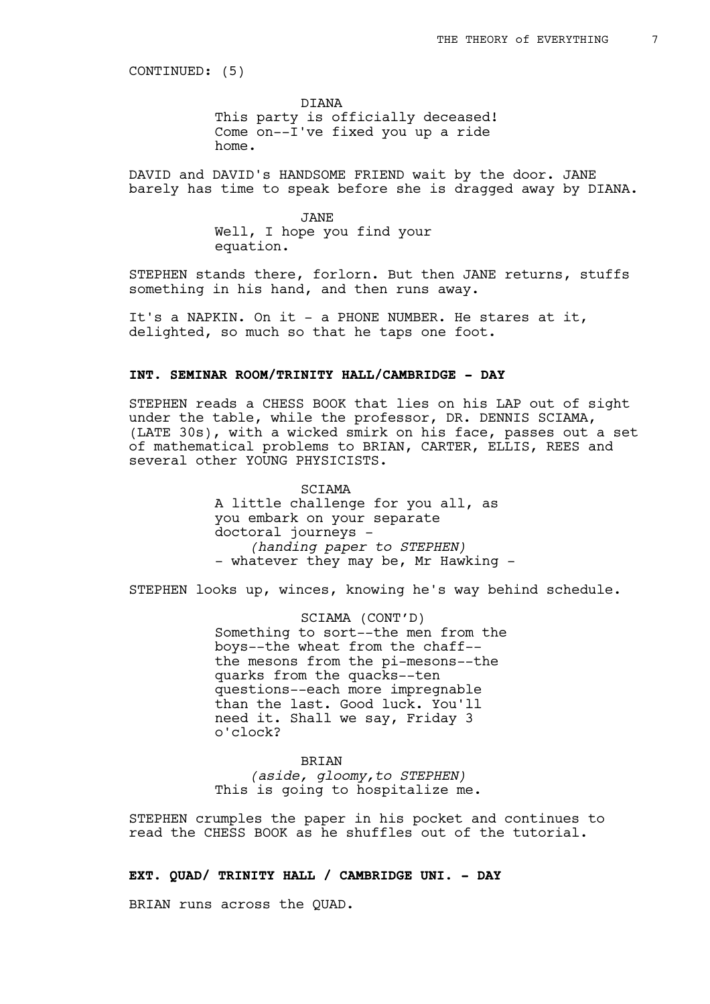CONTINUED: (5)

DIANA This party is officially deceased! Come on--I've fixed you up a ride home.

DAVID and DAVID's HANDSOME FRIEND wait by the door. JANE barely has time to speak before she is dragged away by DIANA.

> JANE Well, I hope you find your equation.

STEPHEN stands there, forlorn. But then JANE returns, stuffs something in his hand, and then runs away.

It's a NAPKIN. On it - a PHONE NUMBER. He stares at it, delighted, so much so that he taps one foot.

### **INT. SEMINAR ROOM/TRINITY HALL/CAMBRIDGE - DAY**

STEPHEN reads a CHESS BOOK that lies on his LAP out of sight under the table, while the professor, DR. DENNIS SCIAMA, (LATE 30s), with a wicked smirk on his face, passes out a set of mathematical problems to BRIAN, CARTER, ELLIS, REES and several other YOUNG PHYSICISTS.

> SCIAMA A little challenge for you all, as you embark on your separate doctoral journeys - *(handing paper to STEPHEN)* - whatever they may be, Mr Hawking -

STEPHEN looks up, winces, knowing he's way behind schedule.

SCIAMA (CONT'D) Something to sort--the men from the boys--the wheat from the chaff- the mesons from the pi-mesons--the quarks from the quacks--ten questions--each more impregnable than the last. Good luck. You'll need it. Shall we say, Friday 3 o'clock?

**BRIAN** *(aside, gloomy,to STEPHEN)* This is going to hospitalize me.

STEPHEN crumples the paper in his pocket and continues to read the CHESS BOOK as he shuffles out of the tutorial.

# **EXT. QUAD/ TRINITY HALL / CAMBRIDGE UNI. - DAY**

BRIAN runs across the QUAD.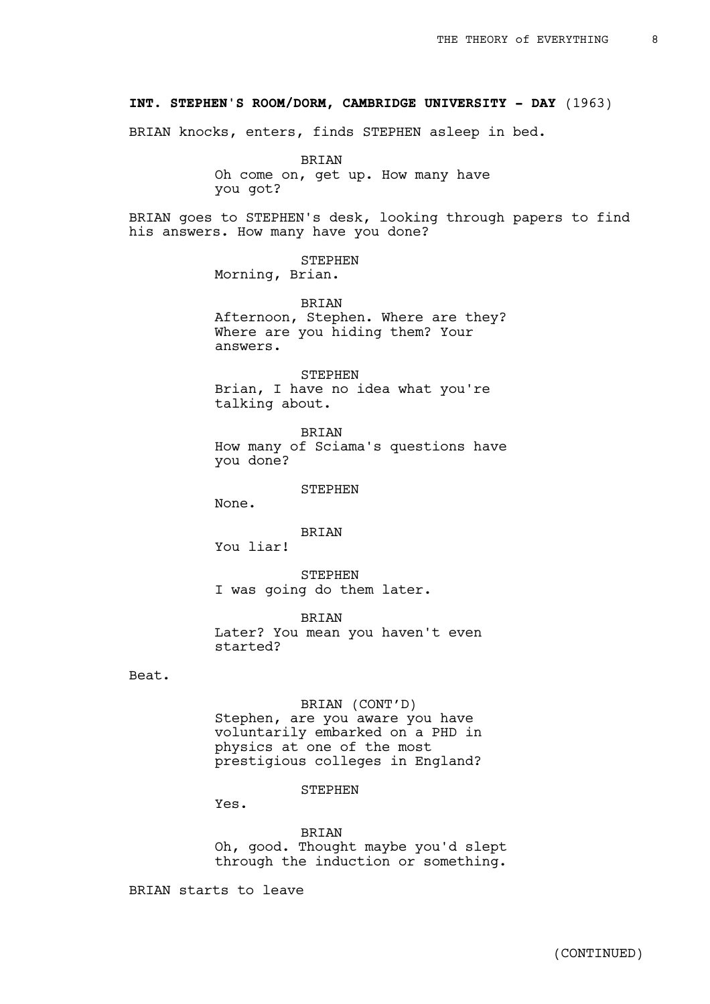### **INT. STEPHEN'S ROOM/DORM, CAMBRIDGE UNIVERSITY - DAY** (1963)

BRIAN knocks, enters, finds STEPHEN asleep in bed.

BRIAN Oh come on, get up. How many have you got?

BRIAN goes to STEPHEN's desk, looking through papers to find his answers. How many have you done?

> STEPHEN Morning, Brian.

BRIAN Afternoon, Stephen. Where are they? Where are you hiding them? Your answers.

STEPHEN Brian, I have no idea what you're talking about.

BRIAN How many of Sciama's questions have you done?

STEPHEN

None.

BRIAN

You liar!

STEPHEN I was going do them later.

BRIAN Later? You mean you haven't even started?

Beat.

# BRIAN (CONT'D)

Stephen, are you aware you have voluntarily embarked on a PHD in physics at one of the most prestigious colleges in England?

#### STEPHEN

Yes.

BRIAN Oh, good. Thought maybe you'd slept through the induction or something.

BRIAN starts to leave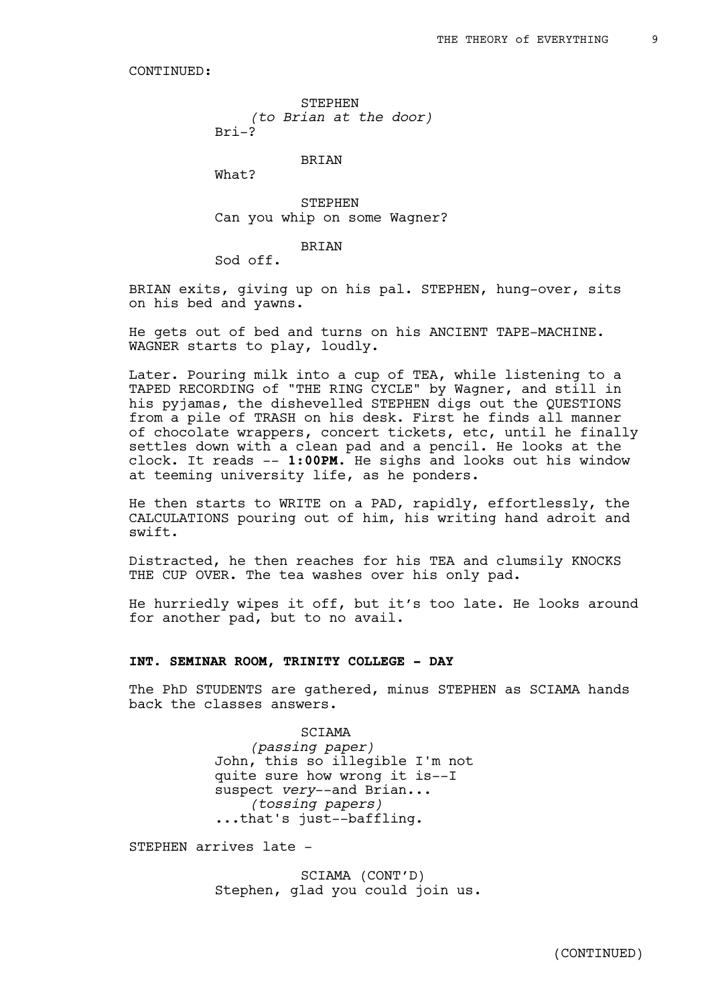STEPHEN *(to Brian at the door)*  $Bri-2$ 

BRIAN

What?

STEPHEN Can you whip on some Wagner?

**BRIAN** 

Sod off.

BRIAN exits, giving up on his pal. STEPHEN, hung-over, sits on his bed and yawns.

He gets out of bed and turns on his ANCIENT TAPE-MACHINE. WAGNER starts to play, loudly.

Later. Pouring milk into a cup of TEA, while listening to a TAPED RECORDING of "THE RING CYCLE" by Wagner, and still in his pyjamas, the dishevelled STEPHEN digs out the QUESTIONS from a pile of TRASH on his desk. First he finds all manner of chocolate wrappers, concert tickets, etc, until he finally settles down with a clean pad and a pencil. He looks at the clock. It reads -- **1:00PM.** He sighs and looks out his window at teeming university life, as he ponders.

He then starts to WRITE on a PAD, rapidly, effortlessly, the CALCULATIONS pouring out of him, his writing hand adroit and swift.

Distracted, he then reaches for his TEA and clumsily KNOCKS THE CUP OVER. The tea washes over his only pad.

He hurriedly wipes it off, but it's too late. He looks around for another pad, but to no avail.

### **INT. SEMINAR ROOM, TRINITY COLLEGE - DAY**

The PhD STUDENTS are gathered, minus STEPHEN as SCIAMA hands back the classes answers.

> SCIAMA *(passing paper)* John, this so illegible I'm not quite sure how wrong it is--I suspect *very*--and Brian... *(tossing papers)* ...that's just--baffling.

STEPHEN arrives late -

SCIAMA (CONT'D) Stephen, glad you could join us.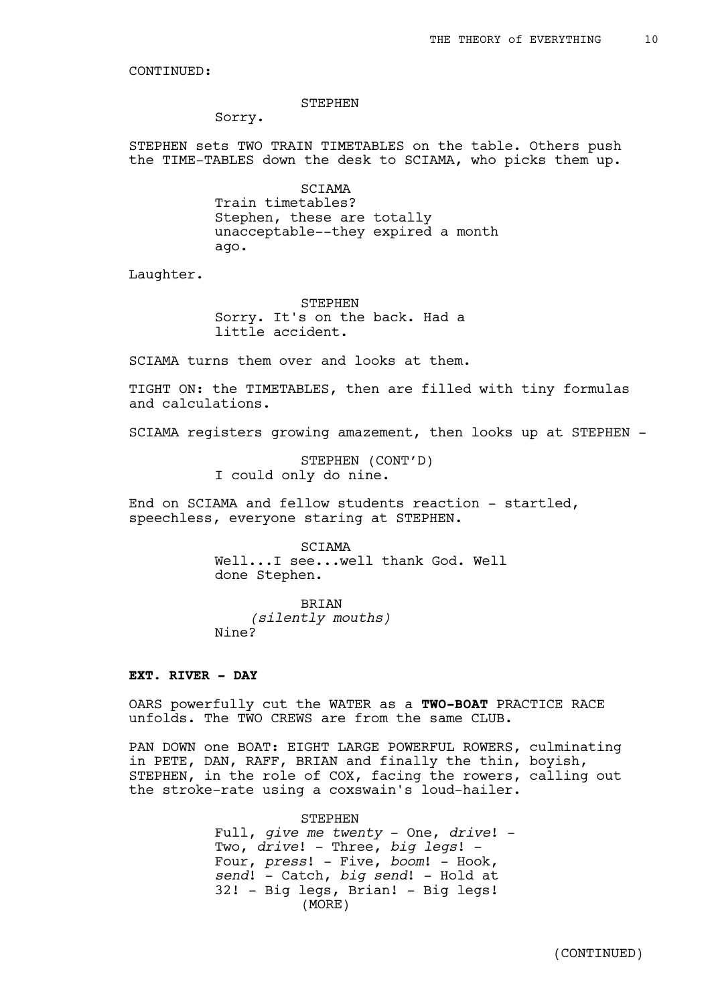#### STEPHEN

Sorry.

STEPHEN sets TWO TRAIN TIMETABLES on the table. Others push the TIME-TABLES down the desk to SCIAMA, who picks them up.

> SCIAMA Train timetables? Stephen, these are totally unacceptable--they expired a month ago.

Laughter.

STEPHEN Sorry. It's on the back. Had a little accident.

SCIAMA turns them over and looks at them.

TIGHT ON: the TIMETABLES, then are filled with tiny formulas and calculations.

SCIAMA registers growing amazement, then looks up at STEPHEN -

STEPHEN (CONT'D) I could only do nine.

End on SCIAMA and fellow students reaction - startled, speechless, everyone staring at STEPHEN.

> SCIAMA Well...I see...well thank God. Well done Stephen.

BRIAN *(silently mouths)* Nine?

### **EXT. RIVER - DAY**

OARS powerfully cut the WATER as a **TWO-BOAT** PRACTICE RACE unfolds. The TWO CREWS are from the same CLUB.

PAN DOWN one BOAT: EIGHT LARGE POWERFUL ROWERS, culminating in PETE, DAN, RAFF, BRIAN and finally the thin, boyish, STEPHEN, in the role of COX, facing the rowers, calling out the stroke-rate using a coxswain's loud-hailer.

> STEPHEN Full, *give me twenty* - One, *drive*! - Two, *drive*! - Three, *big legs*! - Four, *press*! - Five, *boom*! - Hook, *send*! - Catch, *big send*! - Hold at 32! - Big legs, Brian! - Big legs! (MORE)

> > (CONTINUED)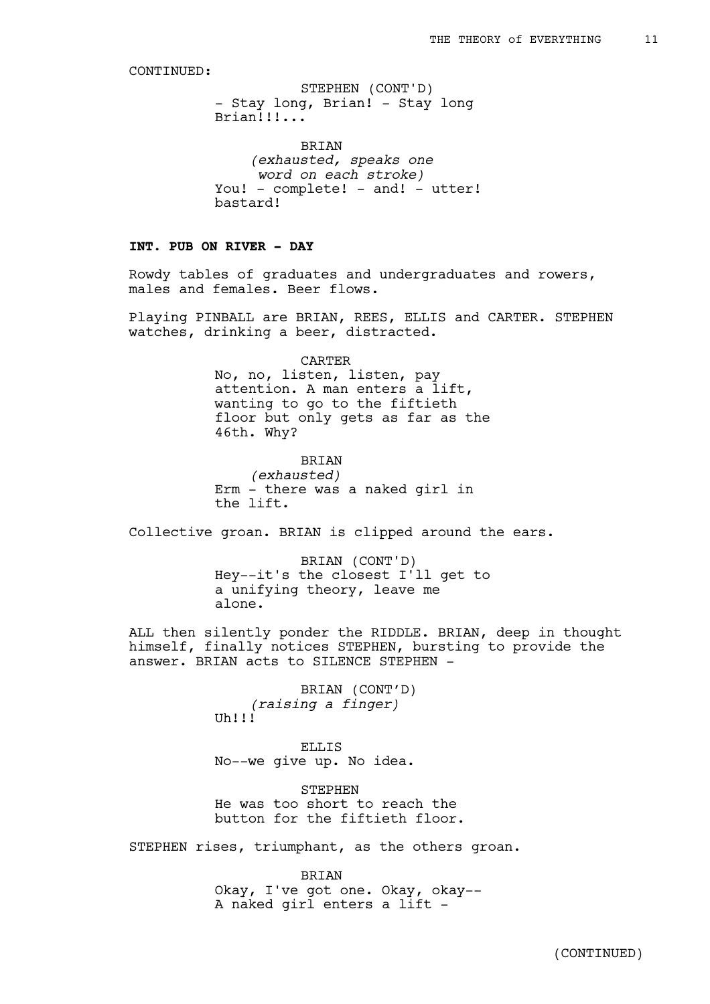- Stay long, Brian! - Stay long Brian!!!... STEPHEN (CONT'D)

BRIAN *(exhausted, speaks one word on each stroke)* You! - complete! - and! - utter! bastard!

# **INT. PUB ON RIVER - DAY**

Rowdy tables of graduates and undergraduates and rowers, males and females. Beer flows.

Playing PINBALL are BRIAN, REES, ELLIS and CARTER. STEPHEN watches, drinking a beer, distracted.

> CARTER No, no, listen, listen, pay attention. A man enters a lift, wanting to go to the fiftieth floor but only gets as far as the 46th. Why?

BRIAN *(exhausted)* Erm - there was a naked girl in the lift.

Collective groan. BRIAN is clipped around the ears.

BRIAN (CONT'D) Hey--it's the closest I'll get to a unifying theory, leave me alone.

ALL then silently ponder the RIDDLE. BRIAN, deep in thought himself, finally notices STEPHEN, bursting to provide the answer. BRIAN acts to SILENCE STEPHEN -

> BRIAN (CONT'D) *(raising a finger)*  $Uh$ !!!

> ELLIS No--we give up. No idea.

STEPHEN He was too short to reach the button for the fiftieth floor.

STEPHEN rises, triumphant, as the others groan.

BRIAN

Okay, I've got one. Okay, okay-- A naked girl enters a lift -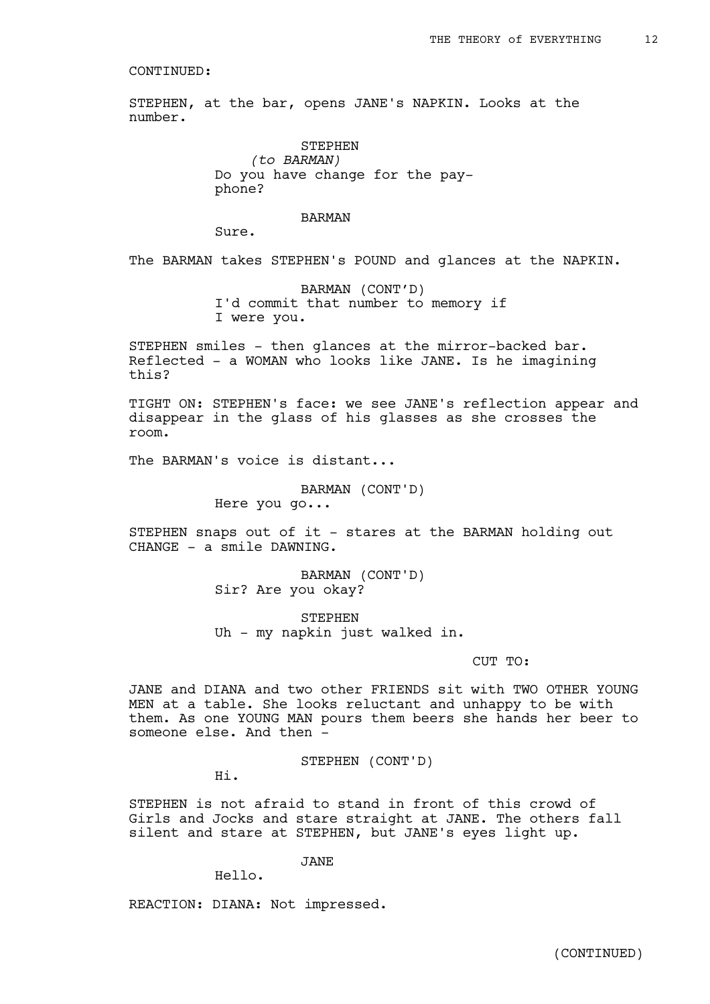STEPHEN, at the bar, opens JANE's NAPKIN. Looks at the number.

> STEPHEN *(to BARMAN)* Do you have change for the payphone?

#### BARMAN

Sure.

The BARMAN takes STEPHEN's POUND and glances at the NAPKIN.

BARMAN (CONT'D) I'd commit that number to memory if I were you.

STEPHEN smiles - then glances at the mirror-backed bar. Reflected - a WOMAN who looks like JANE. Is he imagining this?

TIGHT ON: STEPHEN's face: we see JANE's reflection appear and disappear in the glass of his glasses as she crosses the room.

The BARMAN's voice is distant...

BARMAN (CONT'D)

Here you go...

STEPHEN snaps out of it - stares at the BARMAN holding out CHANGE - a smile DAWNING.

> BARMAN (CONT'D) Sir? Are you okay?

STEPHEN Uh - my napkin just walked in.

### CUT TO:

JANE and DIANA and two other FRIENDS sit with TWO OTHER YOUNG MEN at a table. She looks reluctant and unhappy to be with them. As one YOUNG MAN pours them beers she hands her beer to someone else. And then -

STEPHEN (CONT'D)

Hi.

STEPHEN is not afraid to stand in front of this crowd of Girls and Jocks and stare straight at JANE. The others fall silent and stare at STEPHEN, but JANE's eyes light up.

JANE

Hello.

REACTION: DIANA: Not impressed.

(CONTINUED)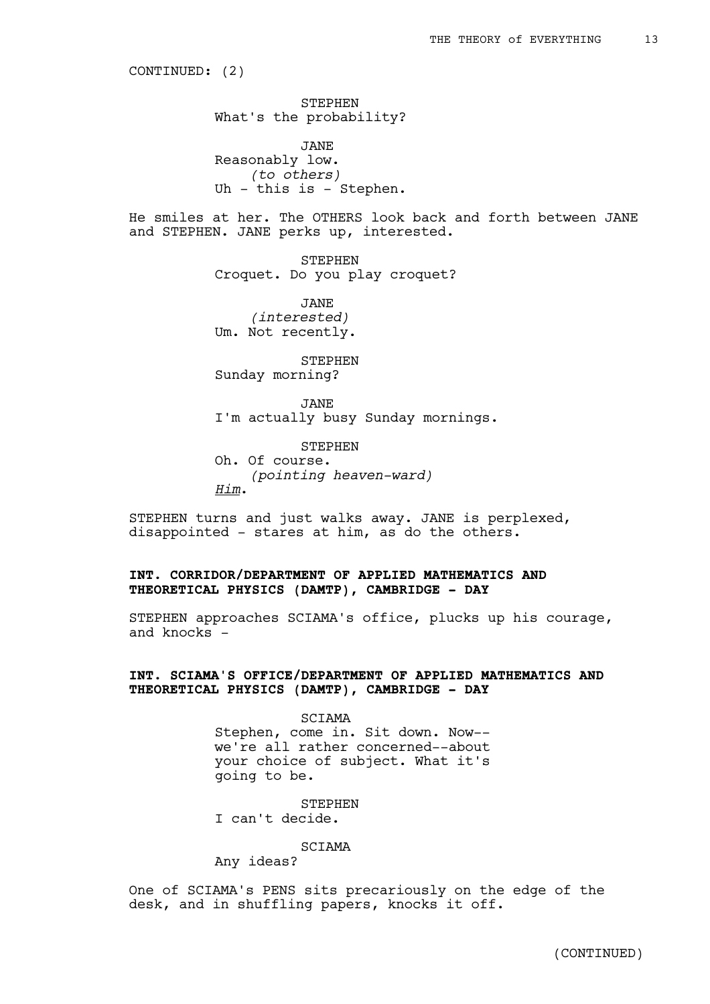CONTINUED: (2)

STEPHEN What's the probability?

JANE Reasonably low. *(to others)* Uh - this is - Stephen.

He smiles at her. The OTHERS look back and forth between JANE and STEPHEN. JANE perks up, interested.

> STEPHEN Croquet. Do you play croquet?

JANE *(interested)* Um. Not recently.

STEPHEN Sunday morning?

JANE I'm actually busy Sunday mornings.

STEPHEN Oh. Of course. *(pointing heaven-ward) Him*.

STEPHEN turns and just walks away. JANE is perplexed, disappointed - stares at him, as do the others.

# **INT. CORRIDOR/DEPARTMENT OF APPLIED MATHEMATICS AND THEORETICAL PHYSICS (DAMTP), CAMBRIDGE - DAY**

STEPHEN approaches SCIAMA's office, plucks up his courage, and knocks -

# **INT. SCIAMA'S OFFICE/DEPARTMENT OF APPLIED MATHEMATICS AND THEORETICAL PHYSICS (DAMTP), CAMBRIDGE - DAY**

SCIAMA Stephen, come in. Sit down. Now- we're all rather concerned--about your choice of subject. What it's going to be.

**STEPHEN** I can't decide.

SCIAMA

Any ideas?

One of SCIAMA's PENS sits precariously on the edge of the desk, and in shuffling papers, knocks it off.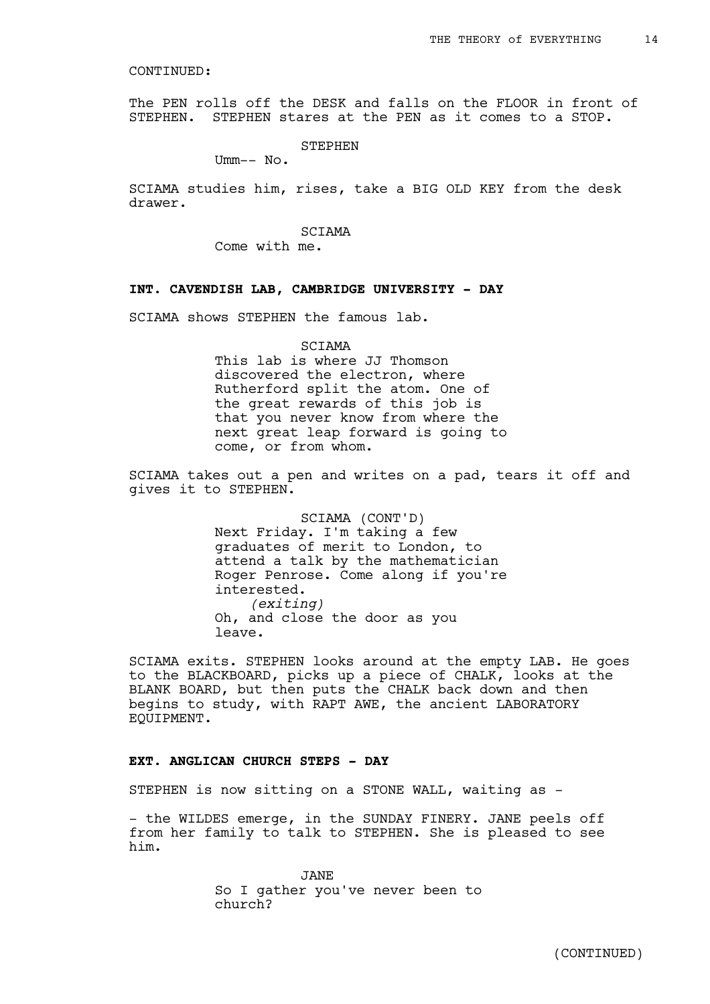The PEN rolls off the DESK and falls on the FLOOR in front of STEPHEN. STEPHEN stares at the PEN as it comes to a STOP.

STEPHEN

Umm-- No.

SCIAMA studies him, rises, take a BIG OLD KEY from the desk drawer.

> **SCTAMA** Come with me.

#### **INT. CAVENDISH LAB, CAMBRIDGE UNIVERSITY - DAY**

SCIAMA shows STEPHEN the famous lab.

#### SCIAMA

This lab is where JJ Thomson discovered the electron, where Rutherford split the atom. One of the great rewards of this job is that you never know from where the next great leap forward is going to come, or from whom.

SCIAMA takes out a pen and writes on a pad, tears it off and gives it to STEPHEN.

> SCIAMA (CONT'D) Next Friday. I'm taking a few graduates of merit to London, to attend a talk by the mathematician Roger Penrose. Come along if you're interested. *(exiting)* Oh, and close the door as you leave.

SCIAMA exits. STEPHEN looks around at the empty LAB. He goes to the BLACKBOARD, picks up a piece of CHALK, looks at the BLANK BOARD, but then puts the CHALK back down and then begins to study, with RAPT AWE, the ancient LABORATORY EQUIPMENT.

#### **EXT. ANGLICAN CHURCH STEPS - DAY**

STEPHEN is now sitting on a STONE WALL, waiting as -

- the WILDES emerge, in the SUNDAY FINERY. JANE peels off from her family to talk to STEPHEN. She is pleased to see him.

> JANE So I gather you've never been to church?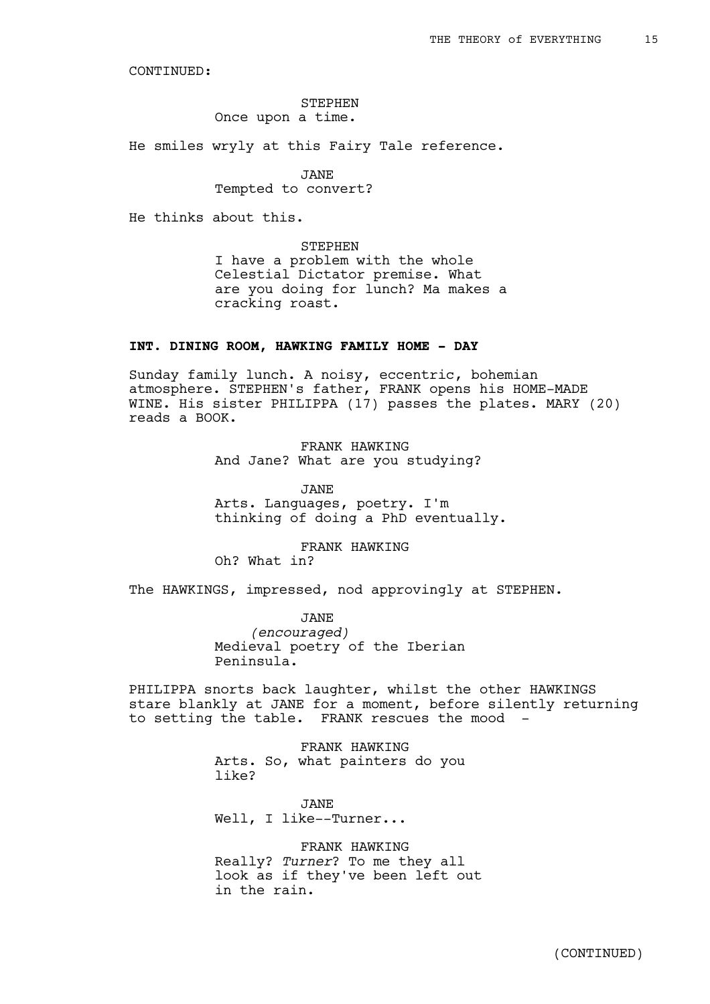### STEPHEN Once upon a time.

He smiles wryly at this Fairy Tale reference.

JANE

Tempted to convert?

He thinks about this.

STEPHEN I have a problem with the whole Celestial Dictator premise. What are you doing for lunch? Ma makes a cracking roast.

### **INT. DINING ROOM, HAWKING FAMILY HOME - DAY**

Sunday family lunch. A noisy, eccentric, bohemian atmosphere. STEPHEN's father, FRANK opens his HOME-MADE WINE. His sister PHILIPPA (17) passes the plates. MARY (20) reads a BOOK.

> FRANK HAWKING And Jane? What are you studying?

JANE Arts. Languages, poetry. I'm thinking of doing a PhD eventually.

FRANK HAWKING Oh? What in?

The HAWKINGS, impressed, nod approvingly at STEPHEN.

JANE *(encouraged)* Medieval poetry of the Iberian Peninsula.

PHILIPPA snorts back laughter, whilst the other HAWKINGS stare blankly at JANE for a moment, before silently returning to setting the table. FRANK rescues the mood

> FRANK HAWKING Arts. So, what painters do you like?

JANE Well, I like--Turner...

FRANK HAWKING Really? *Turner*? To me they all look as if they've been left out in the rain.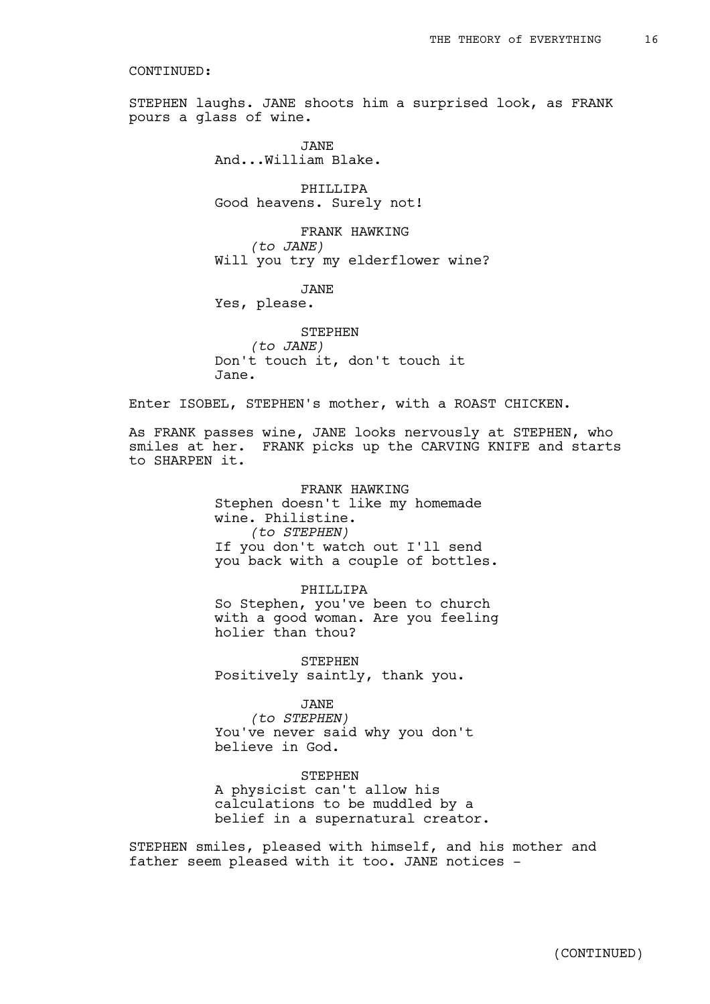STEPHEN laughs. JANE shoots him a surprised look, as FRANK pours a glass of wine.

> JANE And...William Blake.

PHILLIPA Good heavens. Surely not!

FRANK HAWKING *(to JANE)* Will you try my elderflower wine?

JANE

Yes, please.

STEPHEN *(to JANE)* Don't touch it, don't touch it Jane.

Enter ISOBEL, STEPHEN's mother, with a ROAST CHICKEN.

As FRANK passes wine, JANE looks nervously at STEPHEN, who smiles at her. FRANK picks up the CARVING KNIFE and starts to SHARPEN it.

> FRANK HAWKING Stephen doesn't like my homemade wine. Philistine. *(to STEPHEN)* If you don't watch out I'll send you back with a couple of bottles.

> PHILLIPA So Stephen, you've been to church with a good woman. Are you feeling holier than thou?

STEPHEN Positively saintly, thank you.

JANE

*(to STEPHEN)* You've never said why you don't believe in God.

STEPHEN

A physicist can't allow his calculations to be muddled by a belief in a supernatural creator.

STEPHEN smiles, pleased with himself, and his mother and father seem pleased with it too. JANE notices -

(CONTINUED)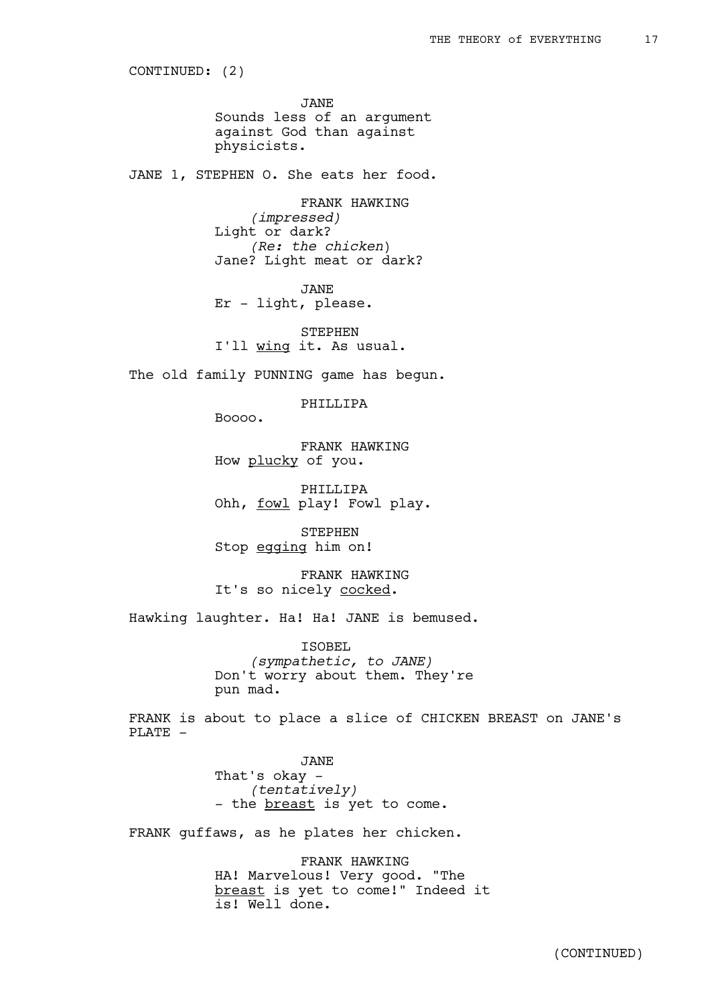CONTINUED: (2)

JANE Sounds less of an argument against God than against physicists.

JANE 1, STEPHEN O. She eats her food.

FRANK HAWKING *(impressed)* Light or dark? *(Re: the chicken*) Jane? Light meat or dark?

JANE

Er - light, please.

STEPHEN I'll wing it. As usual.

The old family PUNNING game has begun.

PHILLIPA

Boooo.

FRANK HAWKING How plucky of you.

PHILLIPA Ohh, fowl play! Fowl play.

STEPHEN Stop egging him on!

FRANK HAWKING It's so nicely cocked.

Hawking laughter. Ha! Ha! JANE is bemused.

ISOBEL *(sympathetic, to JANE)* Don't worry about them. They're pun mad.

FRANK is about to place a slice of CHICKEN BREAST on JANE's PLATE -

> JANE That's okay - *(tentatively)* - the <u>breast</u> is yet to come.

FRANK guffaws, as he plates her chicken.

FRANK HAWKING HA! Marvelous! Very good. "The breast is yet to come!" Indeed it is! Well done.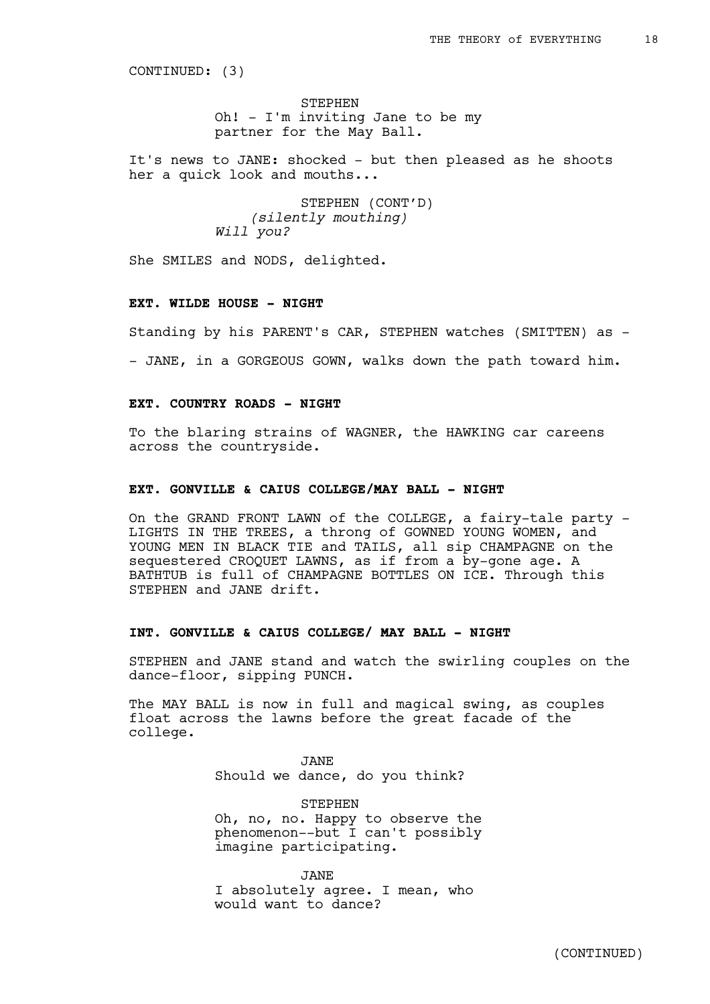CONTINUED: (3)

STEPHEN Oh! - I'm inviting Jane to be my partner for the May Ball.

It's news to JANE: shocked - but then pleased as he shoots her a quick look and mouths...

> STEPHEN (CONT'D) *(silently mouthing) Will you?*

She SMILES and NODS, delighted.

### **EXT. WILDE HOUSE - NIGHT**

Standing by his PARENT's CAR, STEPHEN watches (SMITTEN) as -

- JANE, in a GORGEOUS GOWN, walks down the path toward him.

### **EXT. COUNTRY ROADS - NIGHT**

To the blaring strains of WAGNER, the HAWKING car careens across the countryside.

### **EXT. GONVILLE & CAIUS COLLEGE/MAY BALL - NIGHT**

On the GRAND FRONT LAWN of the COLLEGE, a fairy-tale party - LIGHTS IN THE TREES, a throng of GOWNED YOUNG WOMEN, and YOUNG MEN IN BLACK TIE and TAILS, all sip CHAMPAGNE on the sequestered CROQUET LAWNS, as if from a by-gone age. A BATHTUB is full of CHAMPAGNE BOTTLES ON ICE. Through this STEPHEN and JANE drift.

### **INT. GONVILLE & CAIUS COLLEGE/ MAY BALL - NIGHT**

STEPHEN and JANE stand and watch the swirling couples on the dance-floor, sipping PUNCH.

The MAY BALL is now in full and magical swing, as couples float across the lawns before the great facade of the college.

> JANE Should we dance, do you think?

**STEPHEN** Oh, no, no. Happy to observe the phenomenon--but I can't possibly imagine participating.

JANE I absolutely agree. I mean, who would want to dance?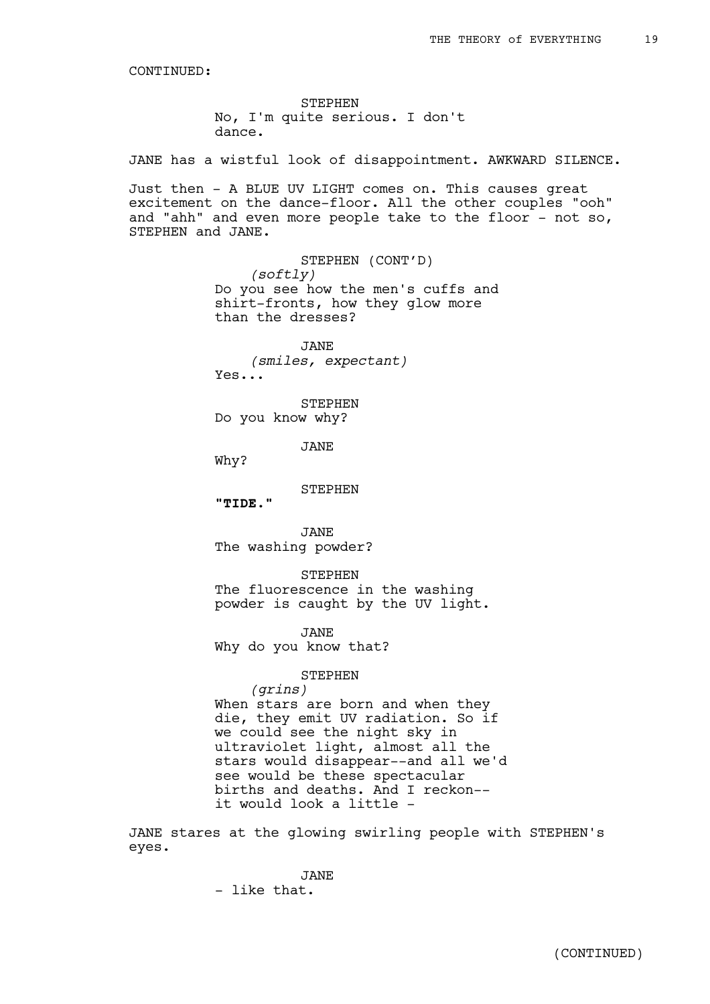STEPHEN No, I'm quite serious. I don't dance.

JANE has a wistful look of disappointment. AWKWARD SILENCE.

Just then - A BLUE UV LIGHT comes on. This causes great excitement on the dance-floor. All the other couples "ooh" and "ahh" and even more people take to the floor  $-$  not so, STEPHEN and JANE.

> STEPHEN (CONT'D) *(softly)* Do you see how the men's cuffs and shirt-fronts, how they glow more than the dresses?

JANE *(smiles, expectant)* Yes...

STEPHEN Do you know why?

JANE

Why?

STEPHEN

**"TIDE."**

JANE The washing powder?

STEPHEN The fluorescence in the washing powder is caught by the UV light.

JANE Why do you know that?

#### STEPHEN

*(grins)* When stars are born and when they die, they emit UV radiation. So if we could see the night sky in ultraviolet light, almost all the stars would disappear--and all we'd see would be these spectacular births and deaths. And I reckon- it would look a little -

JANE stares at the glowing swirling people with STEPHEN's eyes.

> JANE - like that.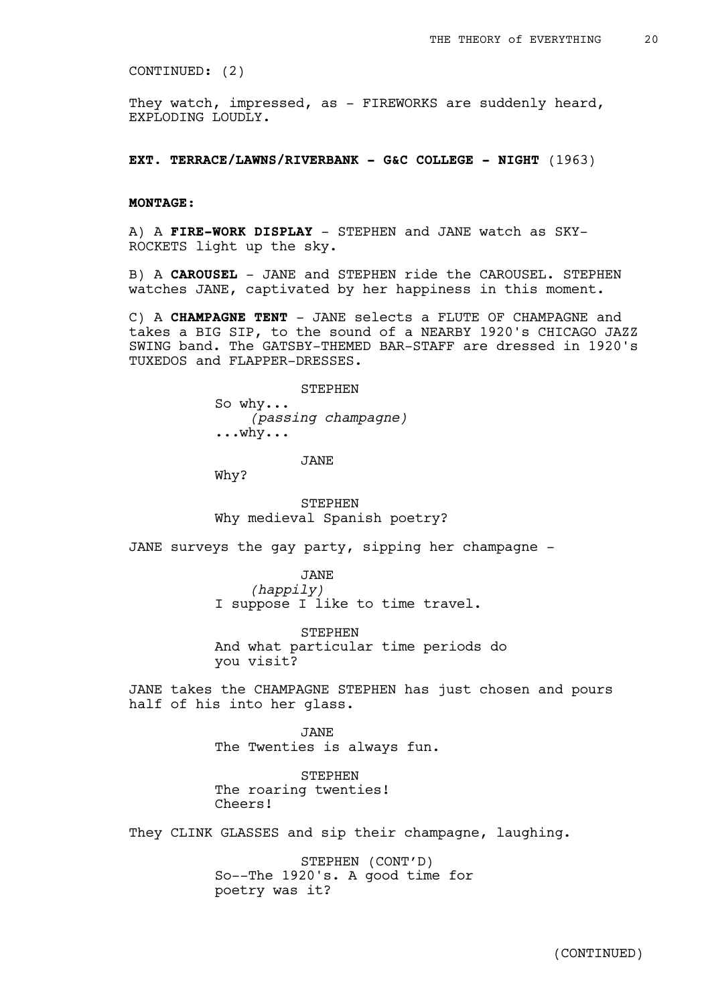CONTINUED: (2)

They watch, impressed, as - FIREWORKS are suddenly heard, EXPLODING LOUDLY.

**EXT. TERRACE/LAWNS/RIVERBANK - G&C COLLEGE - NIGHT** (1963)

### **MONTAGE:**

A) A **FIRE-WORK DISPLAY** - STEPHEN and JANE watch as SKY-ROCKETS light up the sky.

B) A **CAROUSEL** - JANE and STEPHEN ride the CAROUSEL. STEPHEN watches JANE, captivated by her happiness in this moment.

C) A **CHAMPAGNE TENT** - JANE selects a FLUTE OF CHAMPAGNE and takes a BIG SIP, to the sound of a NEARBY 1920's CHICAGO JAZZ SWING band. The GATSBY-THEMED BAR-STAFF are dressed in 1920's TUXEDOS and FLAPPER-DRESSES.

> **STEPHEN** So why... *(passing champagne)* ...why...

> > JANE

Why?

STEPHEN Why medieval Spanish poetry?

JANE surveys the gay party, sipping her champagne -

JANE *(happily)* I suppose I like to time travel.

STEPHEN And what particular time periods do you visit?

JANE takes the CHAMPAGNE STEPHEN has just chosen and pours half of his into her glass.

> JANE The Twenties is always fun.

STEPHEN The roaring twenties! Cheers!

They CLINK GLASSES and sip their champagne, laughing.

STEPHEN (CONT'D) So--The 1920's. A good time for poetry was it?

(CONTINUED)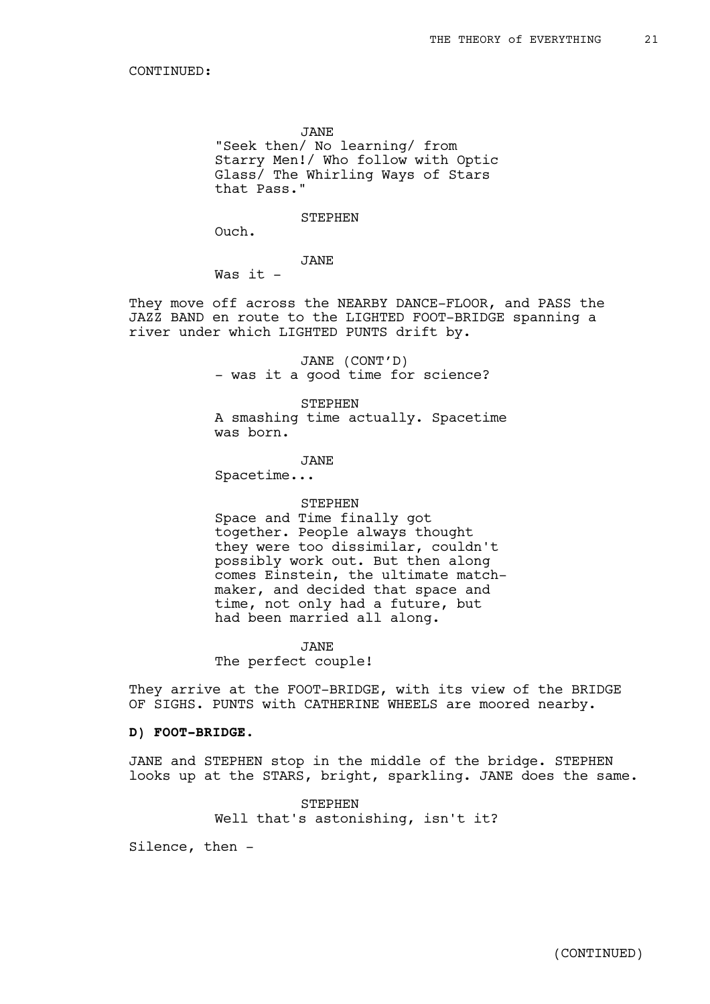JANE

"Seek then/ No learning/ from Starry Men!/ Who follow with Optic Glass/ The Whirling Ways of Stars that Pass."

**STEPHEN** 

Ouch.

JANE

Was it -

They move off across the NEARBY DANCE-FLOOR, and PASS the JAZZ BAND en route to the LIGHTED FOOT-BRIDGE spanning a river under which LIGHTED PUNTS drift by.

> JANE (CONT'D) - was it a good time for science?

STEPHEN A smashing time actually. Spacetime was born.

JANE

Spacetime...

#### STEPHEN

Space and Time finally got together. People always thought they were too dissimilar, couldn't possibly work out. But then along comes Einstein, the ultimate matchmaker, and decided that space and time, not only had a future, but had been married all along.

JANE

The perfect couple!

They arrive at the FOOT-BRIDGE, with its view of the BRIDGE OF SIGHS. PUNTS with CATHERINE WHEELS are moored nearby.

### **D) FOOT-BRIDGE.**

JANE and STEPHEN stop in the middle of the bridge. STEPHEN looks up at the STARS, bright, sparkling. JANE does the same.

> **STEPHEN** Well that's astonishing, isn't it?

Silence, then -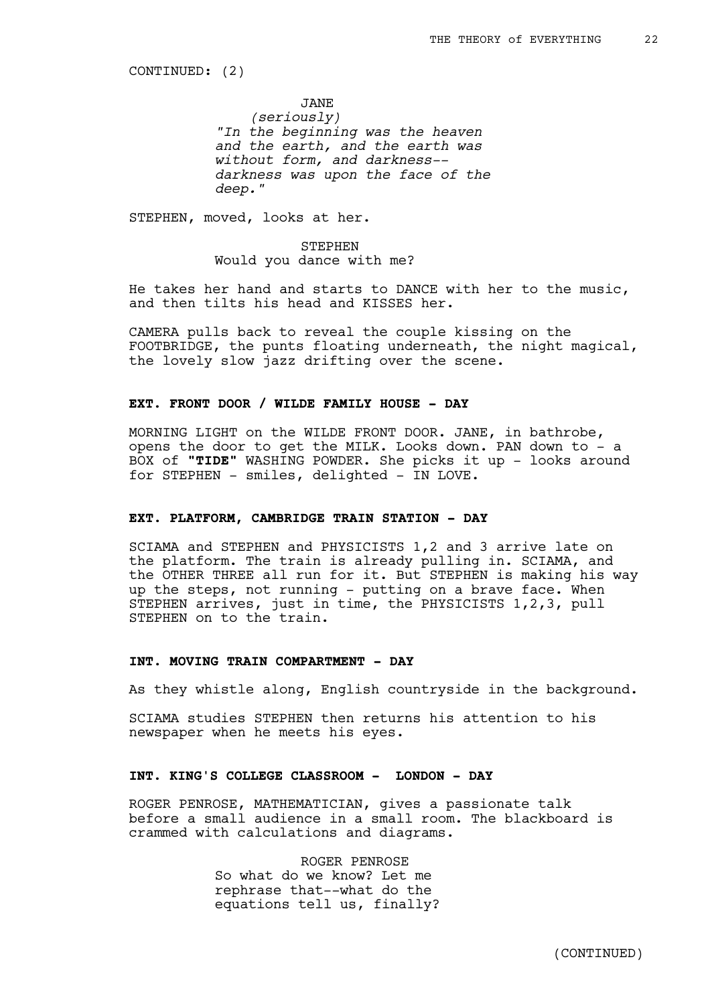CONTINUED: (2)

JANE *(seriously) "In the beginning was the heaven and the earth, and the earth was without form, and darkness- darkness was upon the face of the deep."*

STEPHEN, moved, looks at her.

STEPHEN Would you dance with me?

He takes her hand and starts to DANCE with her to the music, and then tilts his head and KISSES her.

CAMERA pulls back to reveal the couple kissing on the FOOTBRIDGE, the punts floating underneath, the night magical, the lovely slow jazz drifting over the scene.

### **EXT. FRONT DOOR / WILDE FAMILY HOUSE - DAY**

MORNING LIGHT on the WILDE FRONT DOOR. JANE, in bathrobe, opens the door to get the MILK. Looks down. PAN down to - a BOX of "TIDE" WASHING POWDER. She picks it up - looks around for STEPHEN - smiles, delighted - IN LOVE.

#### **EXT. PLATFORM, CAMBRIDGE TRAIN STATION - DAY**

SCIAMA and STEPHEN and PHYSICISTS 1,2 and 3 arrive late on the platform. The train is already pulling in. SCIAMA, and the OTHER THREE all run for it. But STEPHEN is making his way up the steps, not running - putting on a brave face. When STEPHEN arrives, just in time, the PHYSICISTS 1,2,3, pull STEPHEN on to the train.

# **INT. MOVING TRAIN COMPARTMENT - DAY**

As they whistle along, English countryside in the background.

SCIAMA studies STEPHEN then returns his attention to his newspaper when he meets his eyes.

# **INT. KING'S COLLEGE CLASSROOM - LONDON - DAY**

ROGER PENROSE, MATHEMATICIAN, gives a passionate talk before a small audience in a small room. The blackboard is crammed with calculations and diagrams.

> ROGER PENROSE So what do we know? Let me rephrase that--what do the equations tell us, finally?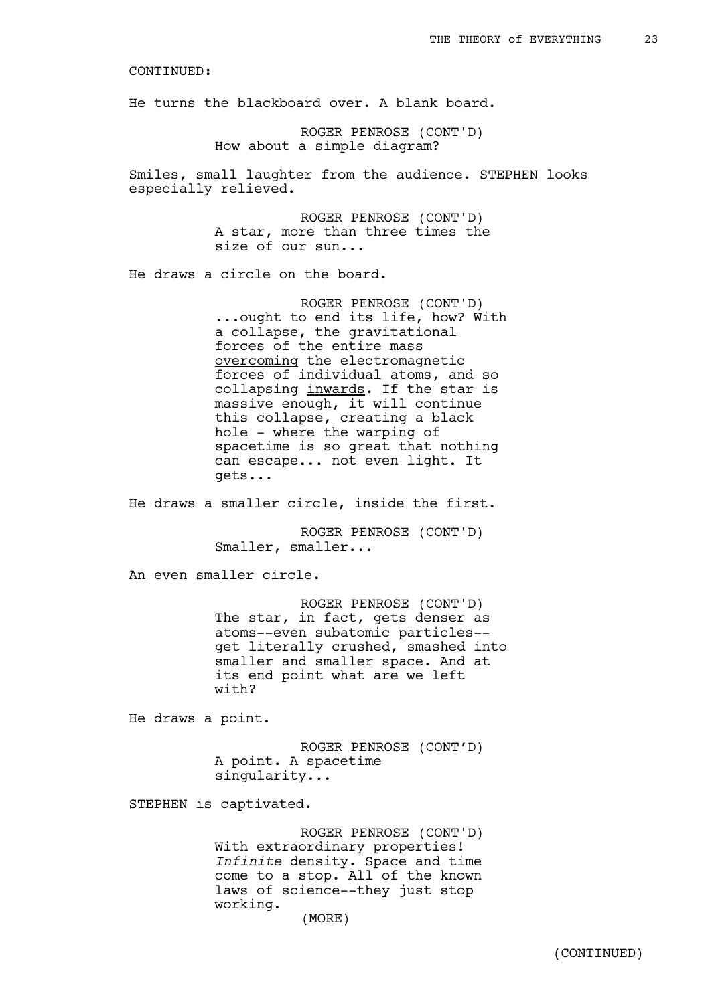He turns the blackboard over. A blank board.

ROGER PENROSE (CONT'D) How about a simple diagram?

Smiles, small laughter from the audience. STEPHEN looks especially relieved.

> ROGER PENROSE (CONT'D) A star, more than three times the size of our sun...

He draws a circle on the board.

ROGER PENROSE (CONT'D) ...ought to end its life, how? With a collapse, the gravitational forces of the entire mass overcoming the electromagnetic forces of individual atoms, and so collapsing inwards. If the star is massive enough, it will continue this collapse, creating a black hole - where the warping of spacetime is so great that nothing can escape... not even light. It gets...

He draws a smaller circle, inside the first.

ROGER PENROSE (CONT'D) Smaller, smaller...

An even smaller circle.

ROGER PENROSE (CONT'D) The star, in fact, gets denser as atoms--even subatomic particles- get literally crushed, smashed into smaller and smaller space. And at its end point what are we left with?

He draws a point.

ROGER PENROSE (CONT'D) A point. A spacetime singularity...

STEPHEN is captivated.

ROGER PENROSE (CONT'D) With extraordinary properties! *Infinite* density. Space and time come to a stop. All of the known laws of science--they just stop working.

(MORE)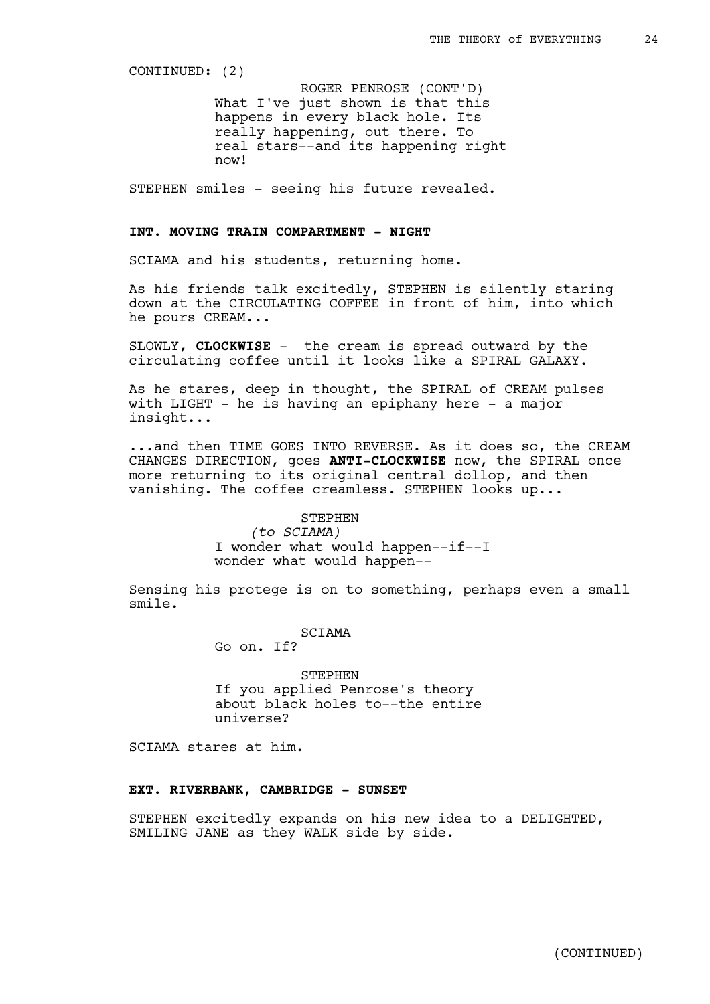CONTINUED: (2)

What I've just shown is that this happens in every black hole. Its really happening, out there. To real stars--and its happening right now! ROGER PENROSE (CONT'D)

STEPHEN smiles - seeing his future revealed.

# **INT. MOVING TRAIN COMPARTMENT - NIGHT**

SCIAMA and his students, returning home.

As his friends talk excitedly, STEPHEN is silently staring down at the CIRCULATING COFFEE in front of him, into which he pours CREAM...

SLOWLY, **CLOCKWISE** - the cream is spread outward by the circulating coffee until it looks like a SPIRAL GALAXY.

As he stares, deep in thought, the SPIRAL of CREAM pulses with LIGHT - he is having an epiphany here - a major insight...

...and then TIME GOES INTO REVERSE. As it does so, the CREAM CHANGES DIRECTION, goes **ANTI-CLOCKWISE** now, the SPIRAL once more returning to its original central dollop, and then vanishing. The coffee creamless. STEPHEN looks up...

#### STEPHEN

*(to SCIAMA)* I wonder what would happen--if--I wonder what would happen--

Sensing his protege is on to something, perhaps even a small smile.

SCIAMA

Go on. If?

STEPHEN If you applied Penrose's theory about black holes to--the entire universe?

SCIAMA stares at him.

### **EXT. RIVERBANK, CAMBRIDGE - SUNSET**

STEPHEN excitedly expands on his new idea to a DELIGHTED, SMILING JANE as they WALK side by side.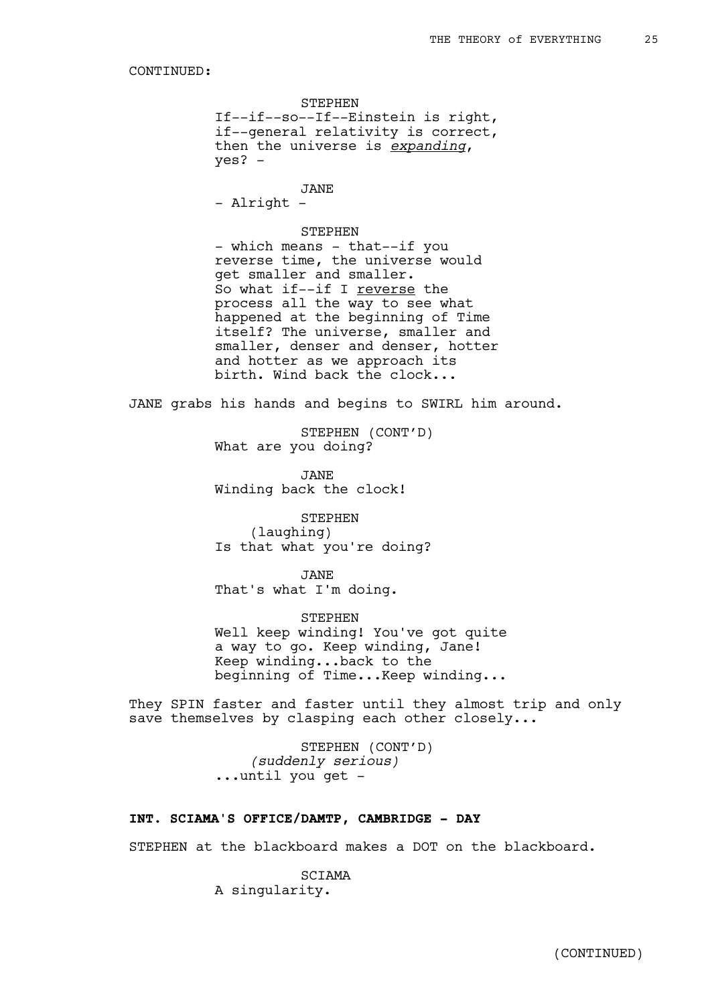STEPHEN If--if--so--If--Einstein is right, if--general relativity is correct, then the universe is *expanding*, yes? -

JANE - Alright -

### STEPHEN

- which means - that--if you reverse time, the universe would get smaller and smaller. So what if--if I reverse the process all the way to see what happened at the beginning of Time itself? The universe, smaller and smaller, denser and denser, hotter and hotter as we approach its birth. Wind back the clock...

JANE grabs his hands and begins to SWIRL him around.

STEPHEN (CONT'D) What are you doing?

JANE Winding back the clock!

STEPHEN (laughing) Is that what you're doing?

JANE That's what I'm doing.

STEPHEN Well keep winding! You've got quite a way to go. Keep winding, Jane! Keep winding...back to the beginning of Time...Keep winding...

They SPIN faster and faster until they almost trip and only save themselves by clasping each other closely...

> STEPHEN (CONT'D) *(suddenly serious)* ...until you get -

### **INT. SCIAMA'S OFFICE/DAMTP, CAMBRIDGE - DAY**

STEPHEN at the blackboard makes a DOT on the blackboard.

SCIAMA A singularity.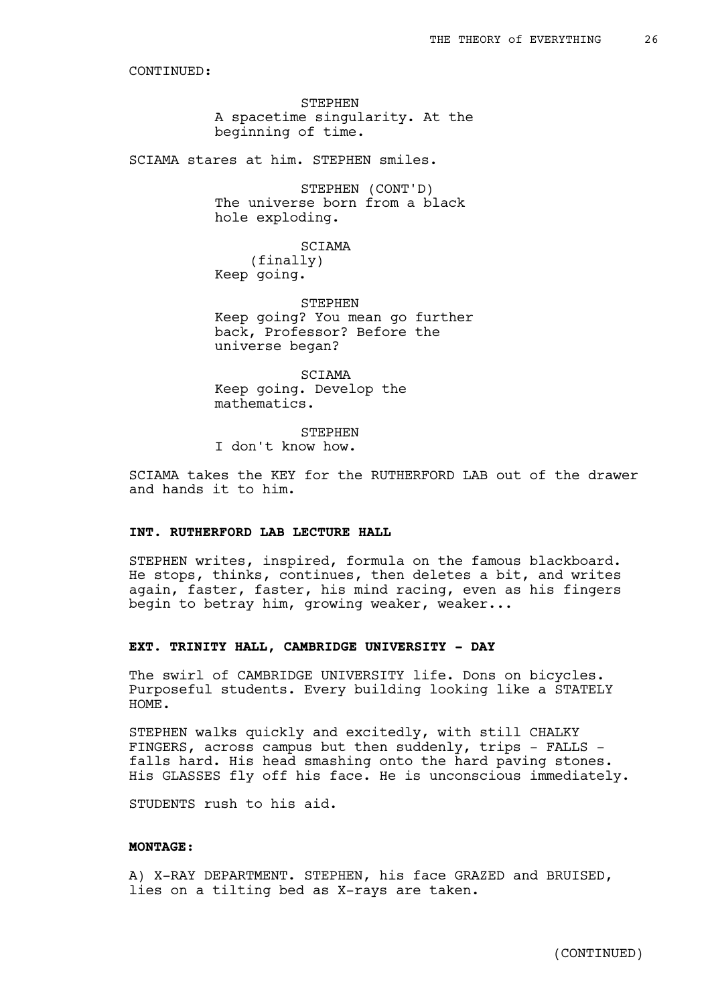STEPHEN A spacetime singularity. At the beginning of time.

SCIAMA stares at him. STEPHEN smiles.

STEPHEN (CONT'D) The universe born from a black hole exploding.

SCIAMA (finally) Keep going.

STEPHEN Keep going? You mean go further back, Professor? Before the universe began?

SCIAMA Keep going. Develop the mathematics.

STEPHEN I don't know how.

SCIAMA takes the KEY for the RUTHERFORD LAB out of the drawer and hands it to him.

### **INT. RUTHERFORD LAB LECTURE HALL**

STEPHEN writes, inspired, formula on the famous blackboard. He stops, thinks, continues, then deletes a bit, and writes again, faster, faster, his mind racing, even as his fingers begin to betray him, growing weaker, weaker...

# **EXT. TRINITY HALL, CAMBRIDGE UNIVERSITY - DAY**

The swirl of CAMBRIDGE UNIVERSITY life. Dons on bicycles. Purposeful students. Every building looking like a STATELY HOME.

STEPHEN walks quickly and excitedly, with still CHALKY FINGERS, across campus but then suddenly, trips - FALLS falls hard. His head smashing onto the hard paving stones. His GLASSES fly off his face. He is unconscious immediately.

STUDENTS rush to his aid.

#### **MONTAGE:**

A) X-RAY DEPARTMENT. STEPHEN, his face GRAZED and BRUISED, lies on a tilting bed as X-rays are taken.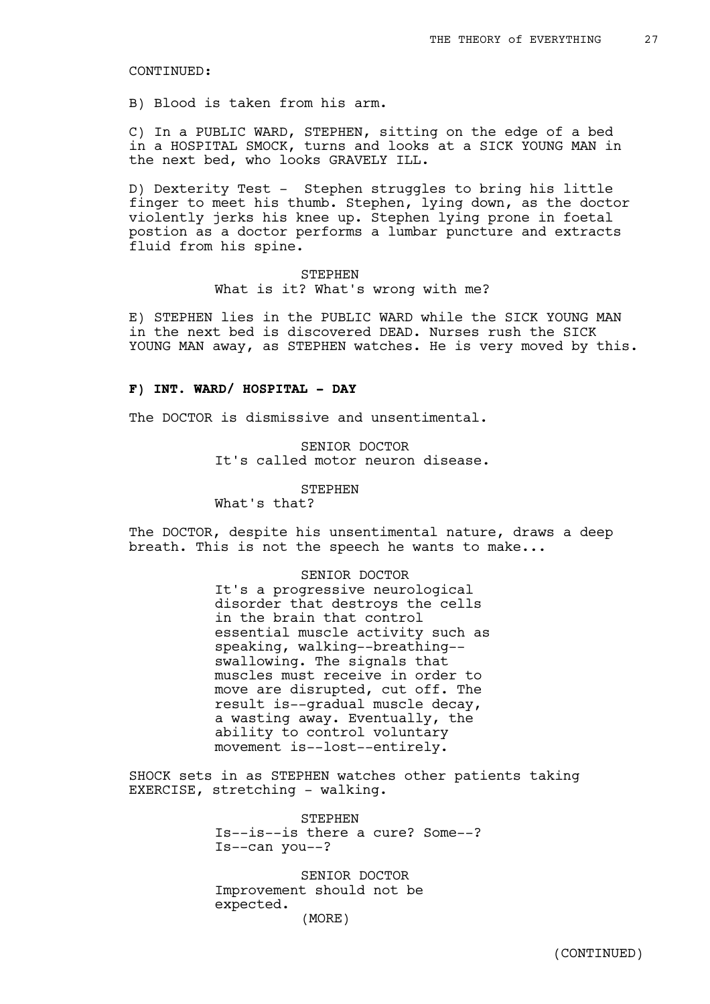B) Blood is taken from his arm.

C) In a PUBLIC WARD, STEPHEN, sitting on the edge of a bed in a HOSPITAL SMOCK, turns and looks at a SICK YOUNG MAN in the next bed, who looks GRAVELY ILL.

D) Dexterity Test - Stephen struggles to bring his little finger to meet his thumb. Stephen, lying down, as the doctor violently jerks his knee up. Stephen lying prone in foetal postion as a doctor performs a lumbar puncture and extracts fluid from his spine.

> STEPHEN What is it? What's wrong with me?

E) STEPHEN lies in the PUBLIC WARD while the SICK YOUNG MAN in the next bed is discovered DEAD. Nurses rush the SICK YOUNG MAN away, as STEPHEN watches. He is very moved by this.

#### **F) INT. WARD/ HOSPITAL - DAY**

The DOCTOR is dismissive and unsentimental.

SENIOR DOCTOR It's called motor neuron disease.

STEPHEN

What's that?

The DOCTOR, despite his unsentimental nature, draws a deep breath. This is not the speech he wants to make...

> SENIOR DOCTOR It's a progressive neurological disorder that destroys the cells in the brain that control essential muscle activity such as speaking, walking--breathing- swallowing. The signals that muscles must receive in order to move are disrupted, cut off. The result is--gradual muscle decay, a wasting away. Eventually, the ability to control voluntary movement is--lost--entirely.

SHOCK sets in as STEPHEN watches other patients taking EXERCISE, stretching - walking.

> **STEPHEN** Is--is--is there a cure? Some--? Is--can you--?

SENIOR DOCTOR Improvement should not be expected. (MORE)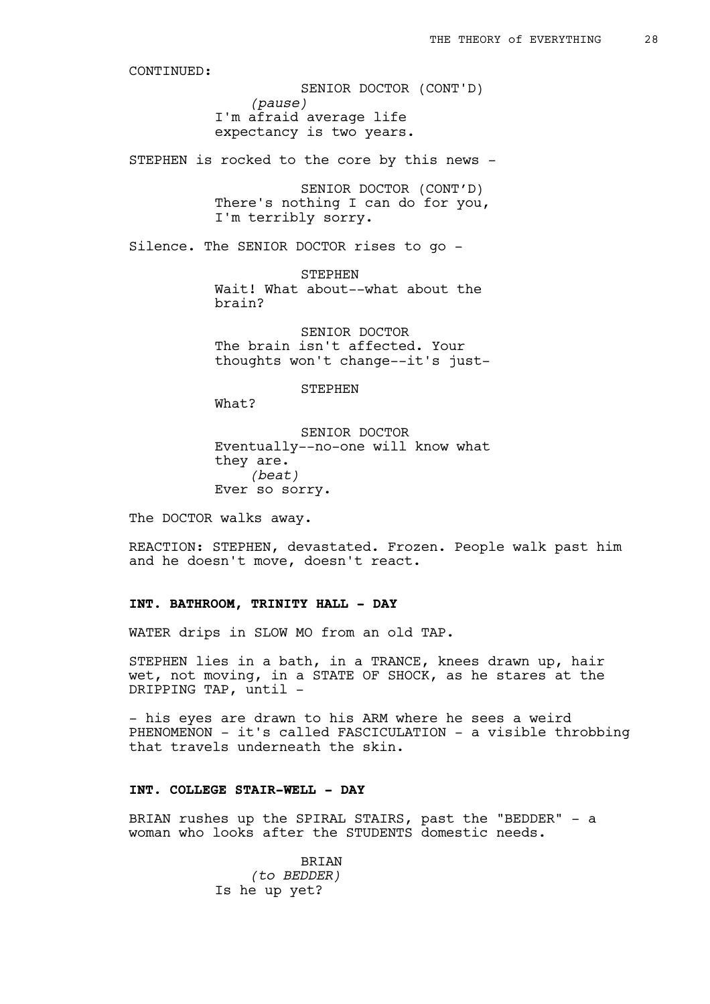*(pause)* I'm afraid average life expectancy is two years. SENIOR DOCTOR (CONT'D)

STEPHEN is rocked to the core by this news -

SENIOR DOCTOR (CONT'D) There's nothing I can do for you, I'm terribly sorry.

Silence. The SENIOR DOCTOR rises to go -

STEPHEN Wait! What about--what about the brain?

SENIOR DOCTOR The brain isn't affected. Your thoughts won't change--it's just-

STEPHEN

What?

SENIOR DOCTOR Eventually--no-one will know what they are. *(beat)* Ever so sorry.

The DOCTOR walks away.

REACTION: STEPHEN, devastated. Frozen. People walk past him and he doesn't move, doesn't react.

#### **INT. BATHROOM, TRINITY HALL - DAY**

WATER drips in SLOW MO from an old TAP.

STEPHEN lies in a bath, in a TRANCE, knees drawn up, hair wet, not moving, in a STATE OF SHOCK, as he stares at the DRIPPING TAP, until -

- his eyes are drawn to his ARM where he sees a weird PHENOMENON - it's called FASCICULATION - a visible throbbing that travels underneath the skin.

# **INT. COLLEGE STAIR-WELL - DAY**

BRIAN rushes up the SPIRAL STAIRS, past the "BEDDER" - a woman who looks after the STUDENTS domestic needs.

> **BRIAN** *(to BEDDER)* Is he up yet?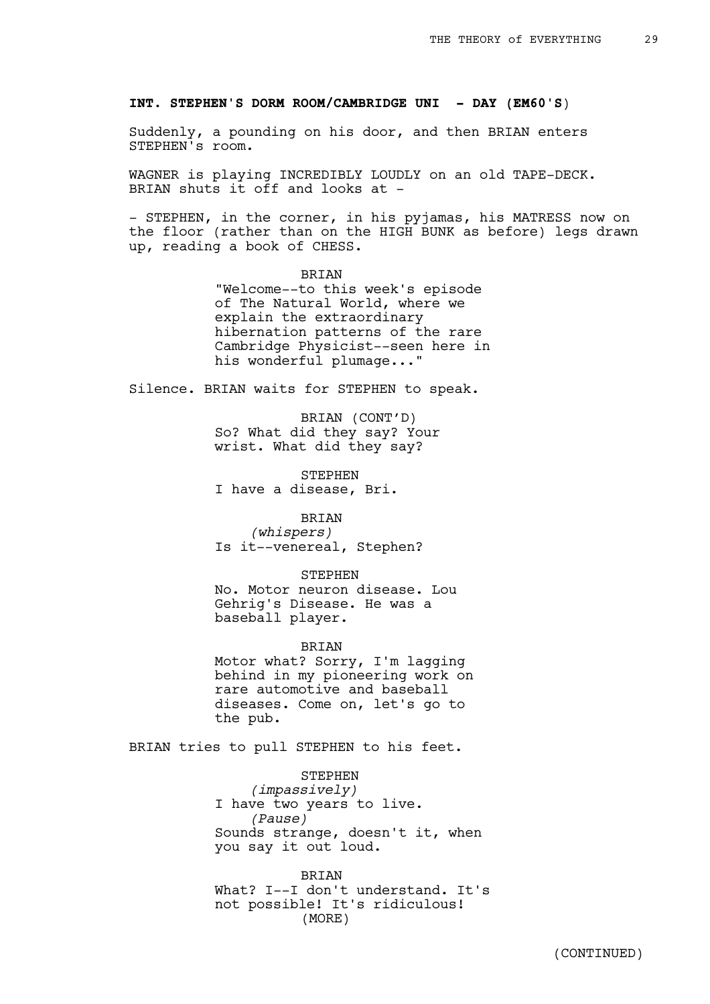#### **INT. STEPHEN'S DORM ROOM/CAMBRIDGE UNI - DAY (EM60'S**)

Suddenly, a pounding on his door, and then BRIAN enters STEPHEN's room.

WAGNER is playing INCREDIBLY LOUDLY on an old TAPE-DECK. BRIAN shuts it off and looks at -

- STEPHEN, in the corner, in his pyjamas, his MATRESS now on the floor (rather than on the HIGH BUNK as before) legs drawn up, reading a book of CHESS.

> BRIAN "Welcome--to this week's episode of The Natural World, where we explain the extraordinary hibernation patterns of the rare Cambridge Physicist--seen here in his wonderful plumage..."

Silence. BRIAN waits for STEPHEN to speak.

BRIAN (CONT'D) So? What did they say? Your wrist. What did they say?

STEPHEN I have a disease, Bri.

### BRIAN

*(whispers)* Is it--venereal, Stephen?

#### STEPHEN

No. Motor neuron disease. Lou Gehrig's Disease. He was a baseball player.

### BRIAN

Motor what? Sorry, I'm lagging behind in my pioneering work on rare automotive and baseball diseases. Come on, let's go to the pub.

BRIAN tries to pull STEPHEN to his feet.

STEPHEN *(impassively)* I have two years to live. *(Pause)* Sounds strange, doesn't it, when you say it out loud.

BRIAN What? I--I don't understand. It's not possible! It's ridiculous! (MORE)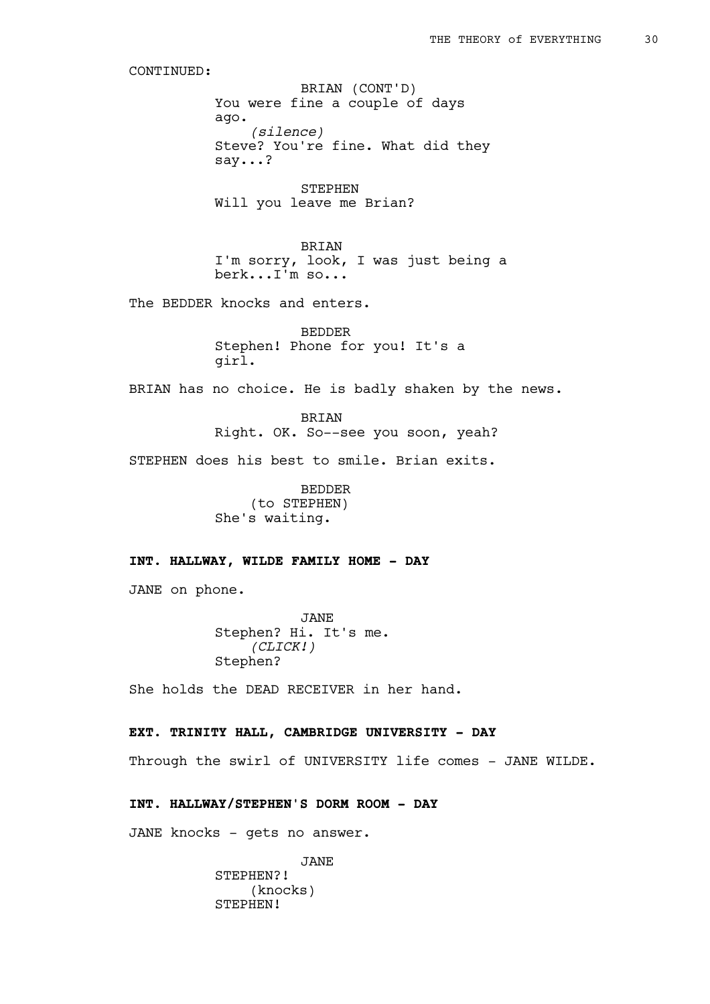You were fine a couple of days ago. *(silence)* Steve? You're fine. What did they say...? BRIAN (CONT'D)

STEPHEN Will you leave me Brian?

BRIAN I'm sorry, look, I was just being a berk...I'm so...

The BEDDER knocks and enters.

BEDDER Stephen! Phone for you! It's a girl.

BRIAN has no choice. He is badly shaken by the news.

BRIAN Right. OK. So--see you soon, yeah?

STEPHEN does his best to smile. Brian exits.

BEDDER (to STEPHEN) She's waiting.

# **INT. HALLWAY, WILDE FAMILY HOME - DAY**

JANE on phone.

JANE Stephen? Hi. It's me. *(CLICK!)* Stephen?

She holds the DEAD RECEIVER in her hand.

### **EXT. TRINITY HALL, CAMBRIDGE UNIVERSITY - DAY**

Through the swirl of UNIVERSITY life comes - JANE WILDE.

# **INT. HALLWAY/STEPHEN'S DORM ROOM - DAY**

JANE knocks - gets no answer.

JANE STEPHEN?! (knocks) STEPHEN!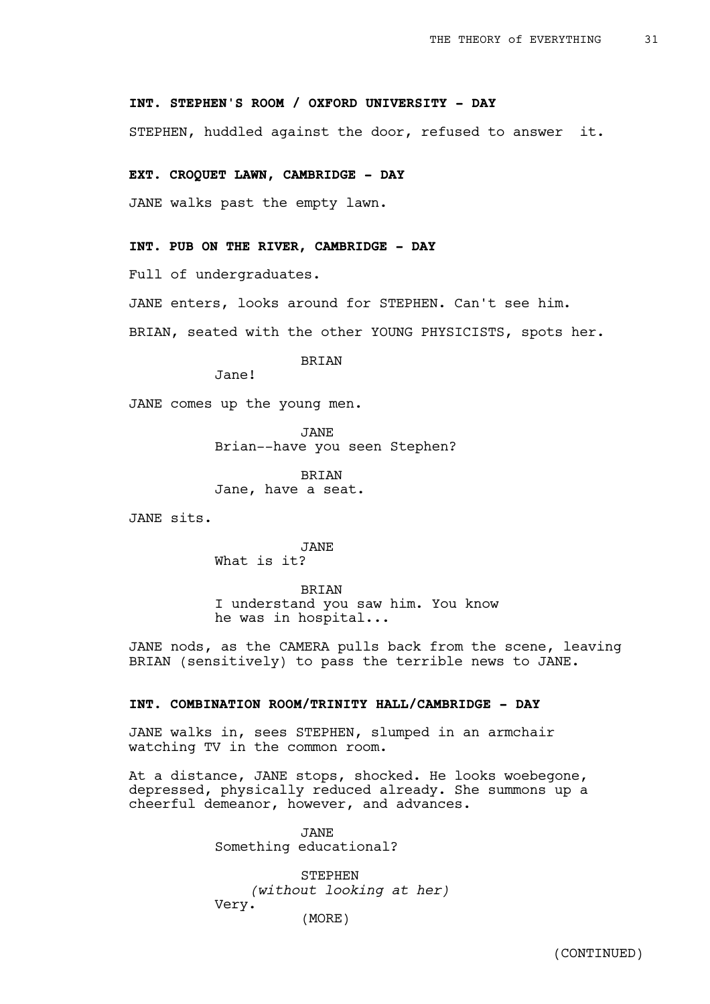# **INT. STEPHEN'S ROOM / OXFORD UNIVERSITY - DAY**

STEPHEN, huddled against the door, refused to answer it.

#### **EXT. CROQUET LAWN, CAMBRIDGE - DAY**

JANE walks past the empty lawn.

### **INT. PUB ON THE RIVER, CAMBRIDGE - DAY**

Full of undergraduates.

JANE enters, looks around for STEPHEN. Can't see him.

BRIAN, seated with the other YOUNG PHYSICISTS, spots her.

BRIAN

Jane!

JANE comes up the young men.

JANE Brian--have you seen Stephen?

BRIAN Jane, have a seat.

JANE sits.

JANE What is it?

BRIAN I understand you saw him. You know he was in hospital...

JANE nods, as the CAMERA pulls back from the scene, leaving BRIAN (sensitively) to pass the terrible news to JANE.

### **INT. COMBINATION ROOM/TRINITY HALL/CAMBRIDGE - DAY**

JANE walks in, sees STEPHEN, slumped in an armchair watching TV in the common room.

At a distance, JANE stops, shocked. He looks woebegone, depressed, physically reduced already. She summons up a cheerful demeanor, however, and advances.

> JANE Something educational?

STEPHEN *(without looking at her)* Very. (MORE)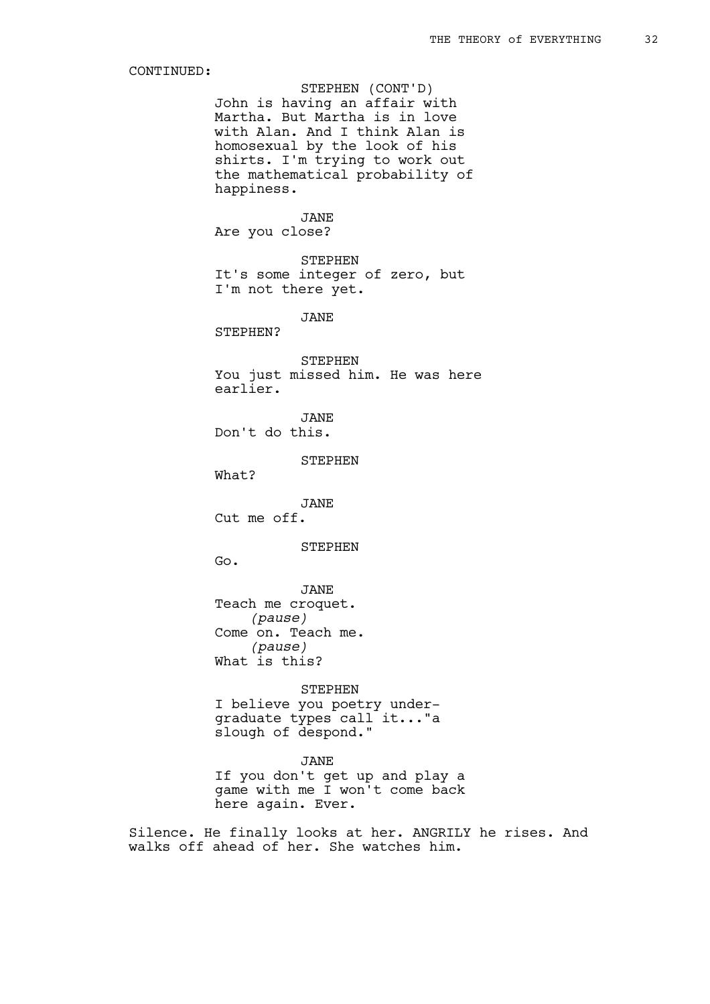John is having an affair with Martha. But Martha is in love with Alan. And I think Alan is homosexual by the look of his shirts. I'm trying to work out the mathematical probability of happiness. STEPHEN (CONT'D)

# JANE

Are you close?

STEPHEN It's some integer of zero, but I'm not there yet.

JANE

STEPHEN?

STEPHEN You just missed him. He was here earlier.

JANE Don't do this.

STEPHEN

What?

JANE Cut me off.

STEPHEN

Go.

JANE Teach me croquet. *(pause)* Come on. Teach me. *(pause)* What is this?

STEPHEN I believe you poetry undergraduate types call it..."a slough of despond."

JANE If you don't get up and play a game with me I won't come back here again. Ever.

Silence. He finally looks at her. ANGRILY he rises. And walks off ahead of her. She watches him.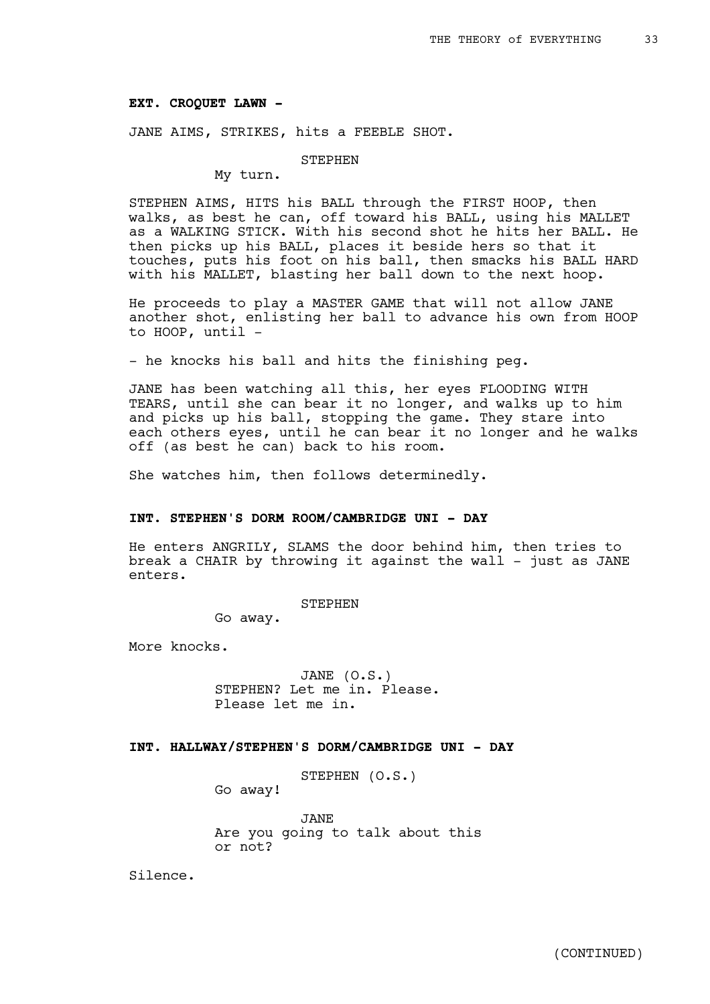#### **EXT. CROQUET LAWN -**

JANE AIMS, STRIKES, hits a FEEBLE SHOT.

#### STEPHEN

My turn.

STEPHEN AIMS, HITS his BALL through the FIRST HOOP, then walks, as best he can, off toward his BALL, using his MALLET as a WALKING STICK. With his second shot he hits her BALL. He then picks up his BALL, places it beside hers so that it touches, puts his foot on his ball, then smacks his BALL HARD with his MALLET, blasting her ball down to the next hoop.

He proceeds to play a MASTER GAME that will not allow JANE another shot, enlisting her ball to advance his own from HOOP to HOOP, until -

- he knocks his ball and hits the finishing peg.

JANE has been watching all this, her eyes FLOODING WITH TEARS, until she can bear it no longer, and walks up to him and picks up his ball, stopping the game. They stare into each others eyes, until he can bear it no longer and he walks off (as best he can) back to his room.

She watches him, then follows determinedly.

#### **INT. STEPHEN'S DORM ROOM/CAMBRIDGE UNI - DAY**

He enters ANGRILY, SLAMS the door behind him, then tries to break a CHAIR by throwing it against the wall - just as JANE enters.

STEPHEN

Go away.

More knocks.

JANE (O.S.) STEPHEN? Let me in. Please. Please let me in.

### **INT. HALLWAY/STEPHEN'S DORM/CAMBRIDGE UNI - DAY**

STEPHEN (O.S.)

Go away!

JANE Are you going to talk about this or not?

Silence.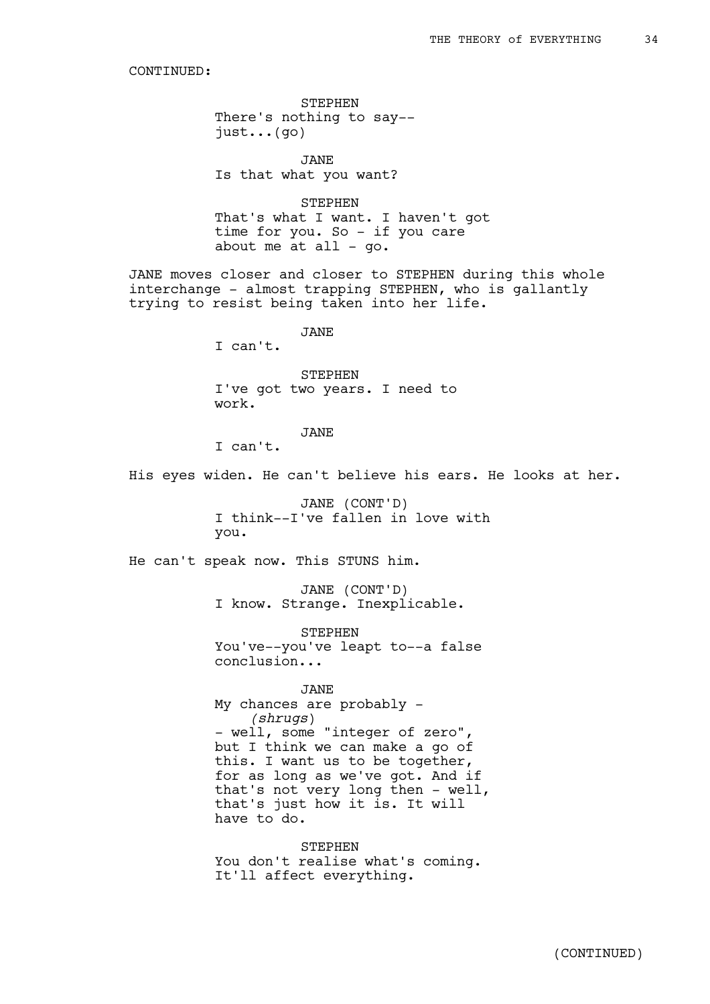STEPHEN There's nothing to say- just...(go)

JANE Is that what you want?

STEPHEN That's what I want. I haven't got time for you. So - if you care about me at all -  $qo$ .

JANE moves closer and closer to STEPHEN during this whole interchange - almost trapping STEPHEN, who is gallantly trying to resist being taken into her life.

JANE

I can't.

STEPHEN I've got two years. I need to work.

JANE

I can't.

His eyes widen. He can't believe his ears. He looks at her.

JANE (CONT'D) I think--I've fallen in love with you.

He can't speak now. This STUNS him.

JANE (CONT'D) I know. Strange. Inexplicable.

STEPHEN You've--you've leapt to--a false conclusion...

JANE My chances are probably - *(shrugs*) - well, some "integer of zero", but I think we can make a go of this. I want us to be together, for as long as we've got. And if that's not very long then - well, that's just how it is. It will have to do.

**STEPHEN** You don't realise what's coming. It'll affect everything.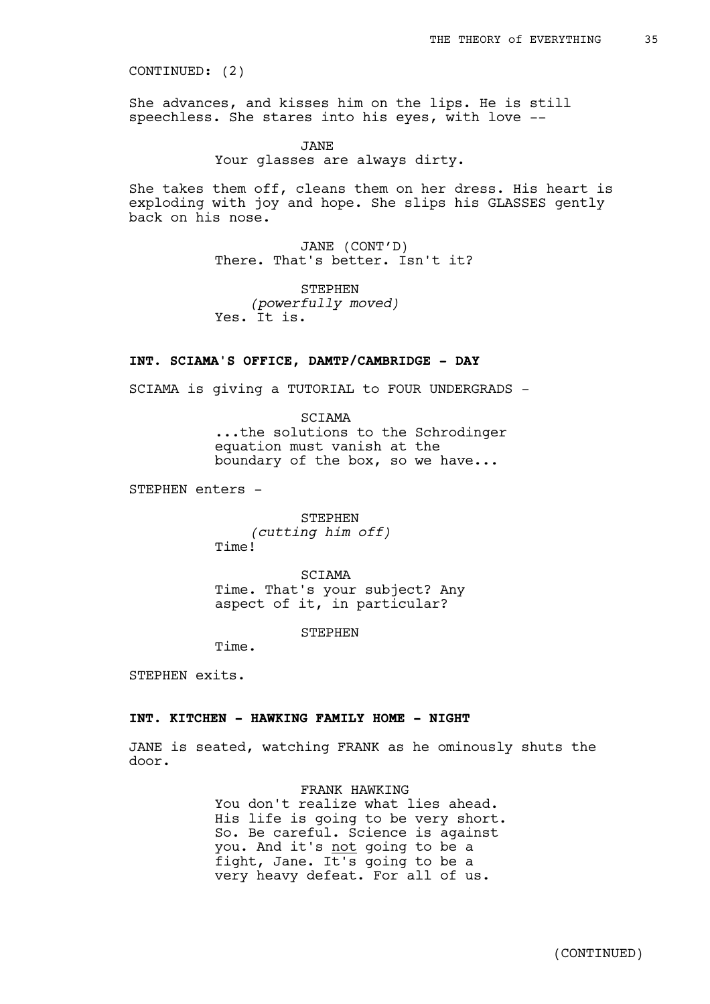CONTINUED: (2)

She advances, and kisses him on the lips. He is still speechless. She stares into his eyes, with love --

> JANE Your glasses are always dirty.

She takes them off, cleans them on her dress. His heart is exploding with joy and hope. She slips his GLASSES gently back on his nose.

> JANE (CONT'D) There. That's better. Isn't it?

STEPHEN *(powerfully moved)* Yes. It is.

### **INT. SCIAMA'S OFFICE, DAMTP/CAMBRIDGE - DAY**

SCIAMA is giving a TUTORIAL to FOUR UNDERGRADS -

SCIAMA ...the solutions to the Schrodinger equation must vanish at the boundary of the box, so we have...

STEPHEN enters -

STEPHEN *(cutting him off)* Time!

SCIAMA Time. That's your subject? Any aspect of it, in particular?

STEPHEN

Time.

STEPHEN exits.

# **INT. KITCHEN - HAWKING FAMILY HOME - NIGHT**

JANE is seated, watching FRANK as he ominously shuts the door.

> FRANK HAWKING You don't realize what lies ahead. His life is going to be very short. So. Be careful. Science is against you. And it's not going to be a fight, Jane. It's going to be a very heavy defeat. For all of us.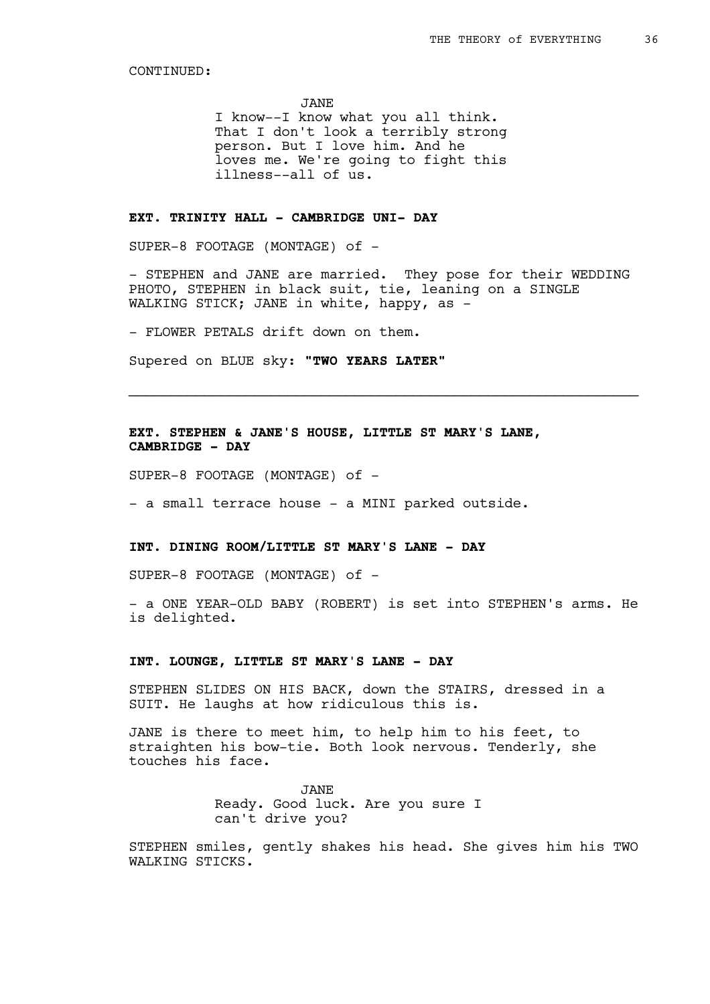JANE

I know--I know what you all think. That I don't look a terribly strong person. But I love him. And he loves me. We're going to fight this illness--all of us.

# **EXT. TRINITY HALL - CAMBRIDGE UNI- DAY**

SUPER-8 FOOTAGE (MONTAGE) of -

- STEPHEN and JANE are married. They pose for their WEDDING PHOTO, STEPHEN in black suit, tie, leaning on a SINGLE WALKING STICK; JANE in white, happy, as -

\_\_\_\_\_\_\_\_\_\_\_\_\_\_\_\_\_\_\_\_\_\_\_\_\_\_\_\_\_\_\_\_\_\_\_\_\_\_\_\_\_\_\_\_\_\_\_\_\_\_\_\_\_\_\_\_\_\_\_\_\_

- FLOWER PETALS drift down on them.

Supered on BLUE sky: **"TWO YEARS LATER"**

**EXT. STEPHEN & JANE'S HOUSE, LITTLE ST MARY'S LANE, CAMBRIDGE - DAY** 

SUPER-8 FOOTAGE (MONTAGE) of -

- a small terrace house - a MINI parked outside.

# **INT. DINING ROOM/LITTLE ST MARY'S LANE - DAY**

SUPER-8 FOOTAGE (MONTAGE) of -

- a ONE YEAR-OLD BABY (ROBERT) is set into STEPHEN's arms. He is delighted.

## **INT. LOUNGE, LITTLE ST MARY'S LANE - DAY**

STEPHEN SLIDES ON HIS BACK, down the STAIRS, dressed in a SUIT. He laughs at how ridiculous this is.

JANE is there to meet him, to help him to his feet, to straighten his bow-tie. Both look nervous. Tenderly, she touches his face.

> JANE Ready. Good luck. Are you sure I can't drive you?

STEPHEN smiles, gently shakes his head. She gives him his TWO WALKING STICKS.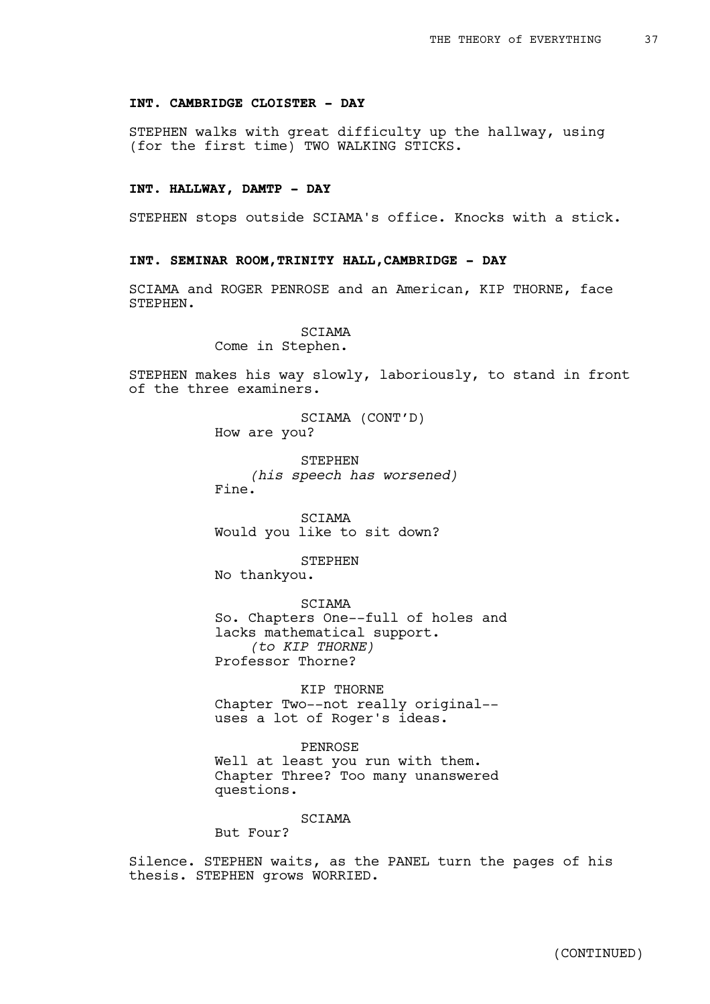### **INT. CAMBRIDGE CLOISTER - DAY**

STEPHEN walks with great difficulty up the hallway, using (for the first time) TWO WALKING STICKS.

## **INT. HALLWAY, DAMTP - DAY**

STEPHEN stops outside SCIAMA's office. Knocks with a stick.

### **INT. SEMINAR ROOM,TRINITY HALL,CAMBRIDGE - DAY**

SCIAMA and ROGER PENROSE and an American, KIP THORNE, face STEPHEN.

## SCIAMA

Come in Stephen.

STEPHEN makes his way slowly, laboriously, to stand in front of the three examiners.

> SCIAMA (CONT'D) How are you?

STEPHEN *(his speech has worsened)* Fine.

SCIAMA Would you like to sit down?

STEPHEN

No thankyou.

SCIAMA

So. Chapters One--full of holes and lacks mathematical support. *(to KIP THORNE)* Professor Thorne?

KIP THORNE Chapter Two--not really original- uses a lot of Roger's ideas.

PENROSE Well at least you run with them. Chapter Three? Too many unanswered questions.

SCIAMA

But Four?

Silence. STEPHEN waits, as the PANEL turn the pages of his thesis. STEPHEN grows WORRIED.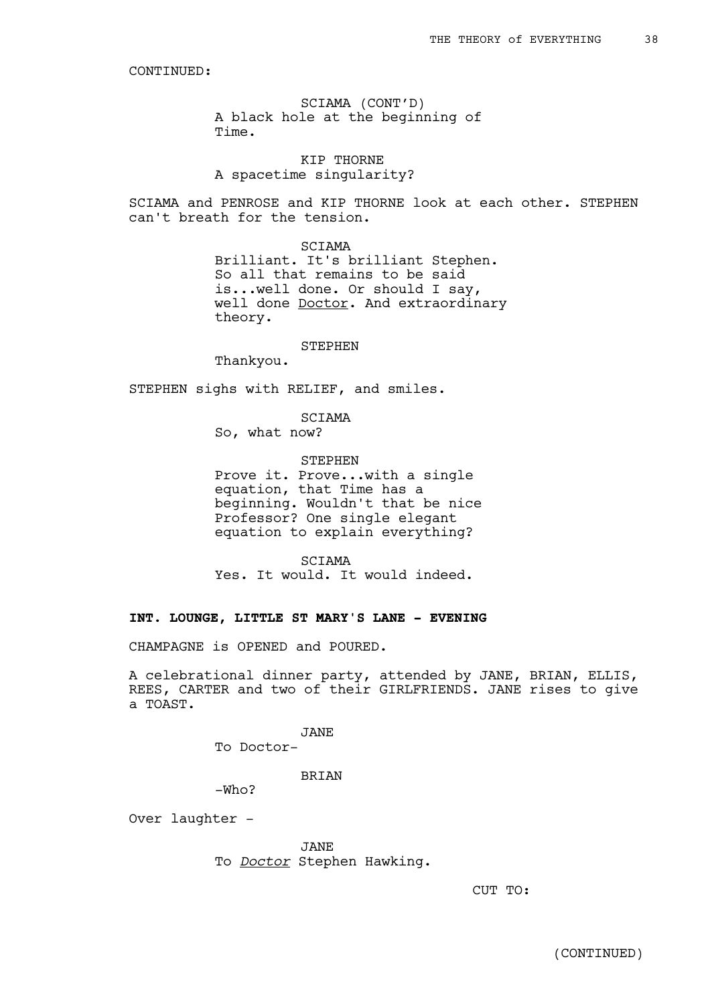SCIAMA (CONT'D) A black hole at the beginning of Time.

KIP THORNE A spacetime singularity?

SCIAMA and PENROSE and KIP THORNE look at each other. STEPHEN can't breath for the tension.

#### SCIAMA

Brilliant. It's brilliant Stephen. So all that remains to be said is...well done. Or should I say, well done **Doctor**. And extraordinary theory.

### STEPHEN

Thankyou.

STEPHEN sighs with RELIEF, and smiles.

SCIAMA

So, what now?

STEPHEN

Prove it. Prove...with a single equation, that Time has a beginning. Wouldn't that be nice Professor? One single elegant equation to explain everything?

SCIAMA Yes. It would. It would indeed.

### **INT. LOUNGE, LITTLE ST MARY'S LANE - EVENING**

CHAMPAGNE is OPENED and POURED.

A celebrational dinner party, attended by JANE, BRIAN, ELLIS, REES, CARTER and two of their GIRLFRIENDS. JANE rises to give a TOAST.

> JANE To Doctor-

> > BRIAN

-Who?

Over laughter -

JANE To *Doctor* Stephen Hawking.

CUT TO:

(CONTINUED)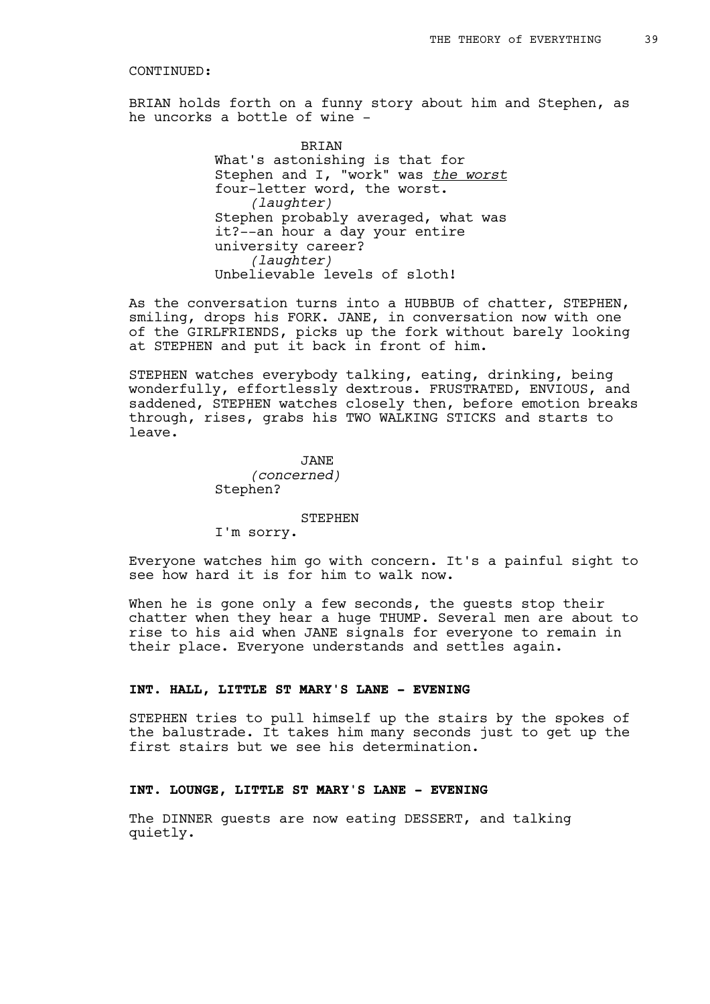BRIAN holds forth on a funny story about him and Stephen, as he uncorks a bottle of wine -

> **BRTAN** What's astonishing is that for Stephen and I, "work" was *the worst* four-letter word, the worst. *(laughter)* Stephen probably averaged, what was it?--an hour a day your entire university career? *(laughter)* Unbelievable levels of sloth!

As the conversation turns into a HUBBUB of chatter, STEPHEN, smiling, drops his FORK. JANE, in conversation now with one of the GIRLFRIENDS, picks up the fork without barely looking at STEPHEN and put it back in front of him.

STEPHEN watches everybody talking, eating, drinking, being wonderfully, effortlessly dextrous. FRUSTRATED, ENVIOUS, and saddened, STEPHEN watches closely then, before emotion breaks through, rises, grabs his TWO WALKING STICKS and starts to leave.

> JANE *(concerned)* Stephen?

#### STEPHEN

I'm sorry.

Everyone watches him go with concern. It's a painful sight to see how hard it is for him to walk now.

When he is gone only a few seconds, the guests stop their chatter when they hear a huge THUMP. Several men are about to rise to his aid when JANE signals for everyone to remain in their place. Everyone understands and settles again.

### **INT. HALL, LITTLE ST MARY'S LANE - EVENING**

STEPHEN tries to pull himself up the stairs by the spokes of the balustrade. It takes him many seconds just to get up the first stairs but we see his determination.

# **INT. LOUNGE, LITTLE ST MARY'S LANE - EVENING**

The DINNER guests are now eating DESSERT, and talking quietly.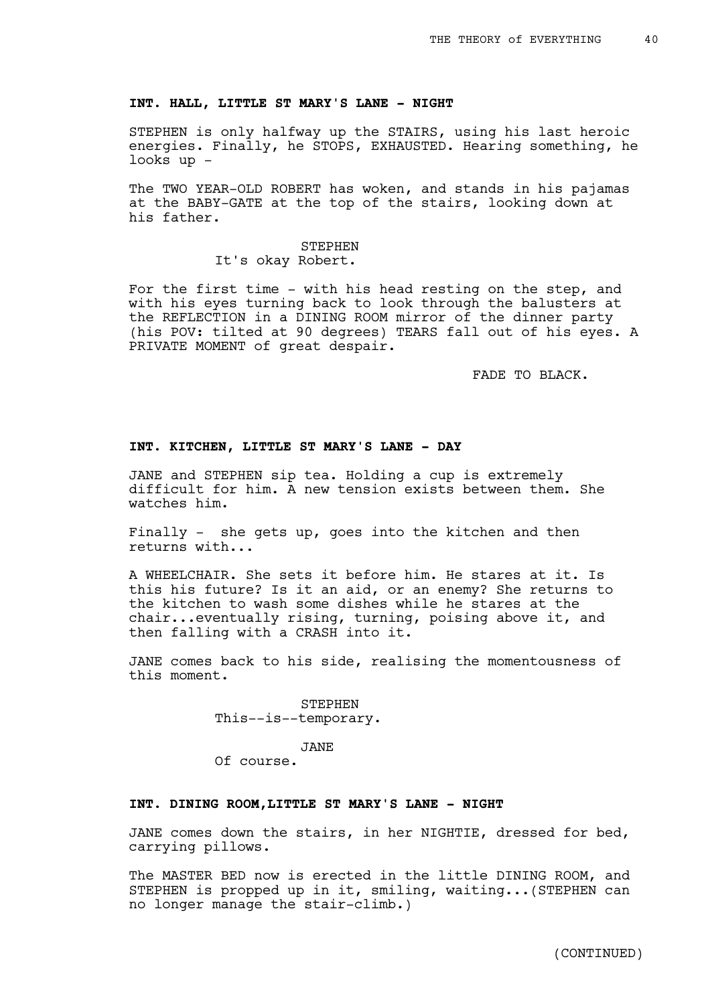### **INT. HALL, LITTLE ST MARY'S LANE - NIGHT**

STEPHEN is only halfway up the STAIRS, using his last heroic energies. Finally, he STOPS, EXHAUSTED. Hearing something, he looks up -

The TWO YEAR-OLD ROBERT has woken, and stands in his pajamas at the BABY-GATE at the top of the stairs, looking down at his father.

## STEPHEN It's okay Robert.

For the first time - with his head resting on the step, and with his eyes turning back to look through the balusters at the REFLECTION in a DINING ROOM mirror of the dinner party (his POV: tilted at 90 degrees) TEARS fall out of his eyes. A PRIVATE MOMENT of great despair.

FADE TO BLACK.

### **INT. KITCHEN, LITTLE ST MARY'S LANE - DAY**

JANE and STEPHEN sip tea. Holding a cup is extremely difficult for him. A new tension exists between them. She watches him.

Finally - she gets up, goes into the kitchen and then returns with...

A WHEELCHAIR. She sets it before him. He stares at it. Is this his future? Is it an aid, or an enemy? She returns to the kitchen to wash some dishes while he stares at the chair...eventually rising, turning, poising above it, and then falling with a CRASH into it.

JANE comes back to his side, realising the momentousness of this moment.

> STEPHEN This--is--temporary.

#### JANE

Of course.

## **INT. DINING ROOM,LITTLE ST MARY'S LANE - NIGHT**

JANE comes down the stairs, in her NIGHTIE, dressed for bed, carrying pillows.

The MASTER BED now is erected in the little DINING ROOM, and STEPHEN is propped up in it, smiling, waiting...(STEPHEN can no longer manage the stair-climb.)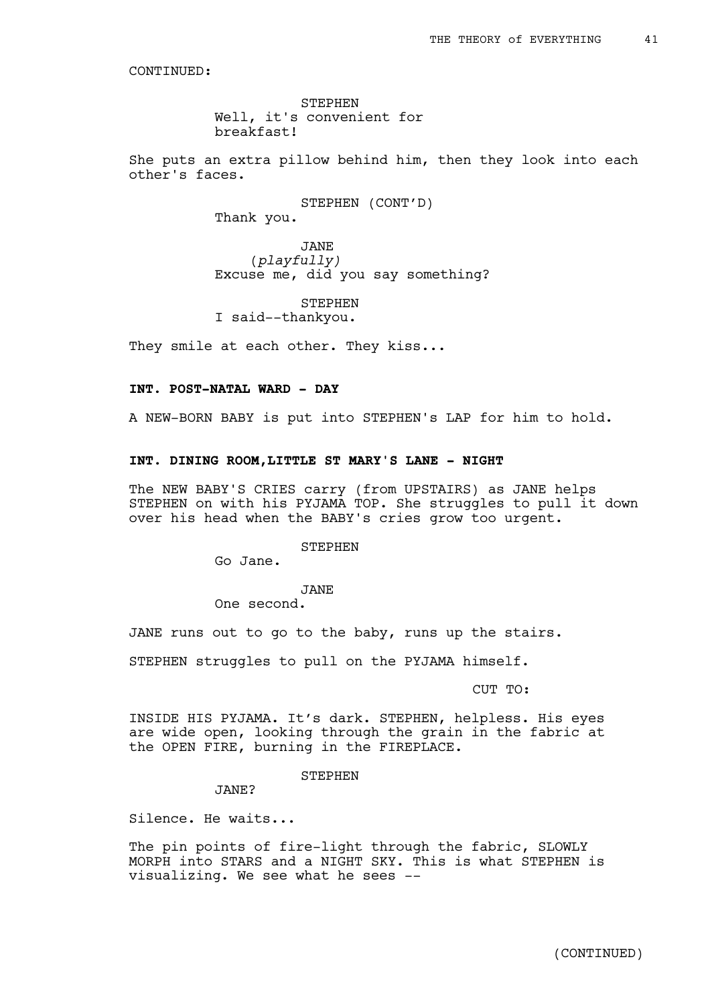STEPHEN Well, it's convenient for breakfast!

She puts an extra pillow behind him, then they look into each other's faces.

> STEPHEN (CONT'D) Thank you.

JANE (*playfully)* Excuse me, did you say something?

STEPHEN I said--thankyou.

They smile at each other. They kiss...

## **INT. POST-NATAL WARD - DAY**

A NEW-BORN BABY is put into STEPHEN's LAP for him to hold.

### **INT. DINING ROOM,LITTLE ST MARY'S LANE - NIGHT**

The NEW BABY'S CRIES carry (from UPSTAIRS) as JANE helps STEPHEN on with his PYJAMA TOP. She struggles to pull it down over his head when the BABY's cries grow too urgent.

**STEPHEN** 

Go Jane.

JANE

One second.

JANE runs out to go to the baby, runs up the stairs.

STEPHEN struggles to pull on the PYJAMA himself.

CUT TO:

INSIDE HIS PYJAMA. It's dark. STEPHEN, helpless. His eyes are wide open, looking through the grain in the fabric at the OPEN FIRE, burning in the FIREPLACE.

## STEPHEN

JANE?

Silence. He waits...

The pin points of fire-light through the fabric, SLOWLY MORPH into STARS and a NIGHT SKY. This is what STEPHEN is visualizing. We see what he sees --

(CONTINUED)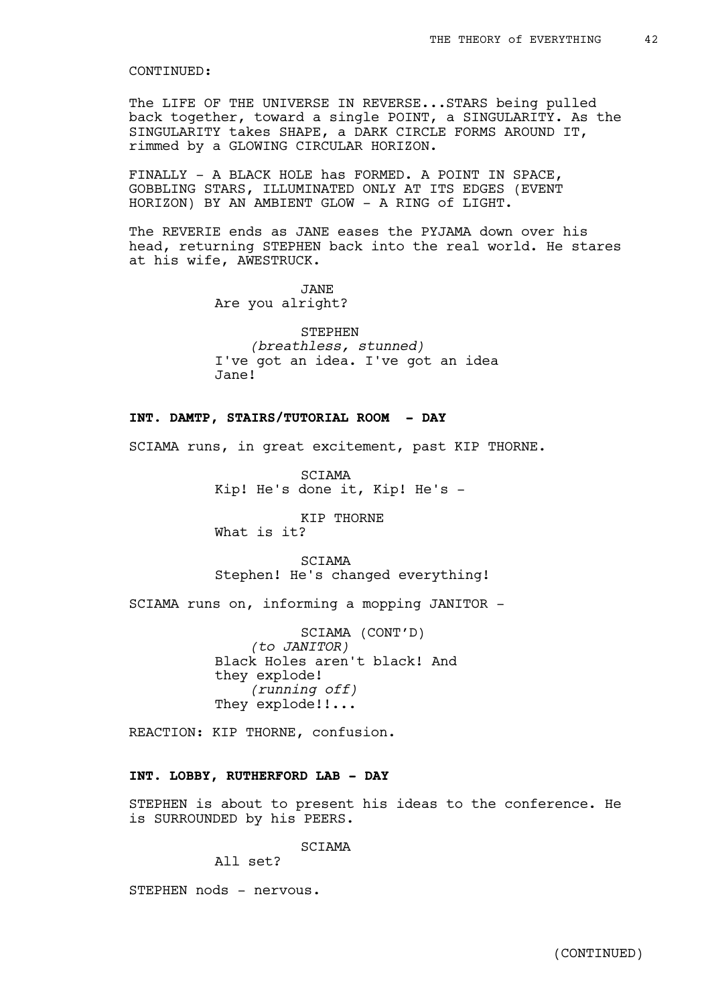The LIFE OF THE UNIVERSE IN REVERSE...STARS being pulled back together, toward a single POINT, a SINGULARITY. As the SINGULARITY takes SHAPE, a DARK CIRCLE FORMS AROUND IT, rimmed by a GLOWING CIRCULAR HORIZON.

FINALLY - A BLACK HOLE has FORMED. A POINT IN SPACE, GOBBLING STARS, ILLUMINATED ONLY AT ITS EDGES (EVENT HORIZON) BY AN AMBIENT GLOW - A RING of LIGHT.

The REVERIE ends as JANE eases the PYJAMA down over his head, returning STEPHEN back into the real world. He stares at his wife, AWESTRUCK.

> JANE Are you alright?

STEPHEN *(breathless, stunned)* I've got an idea. I've got an idea Jane!

### **INT. DAMTP, STAIRS/TUTORIAL ROOM - DAY**

SCIAMA runs, in great excitement, past KIP THORNE.

SCIAMA Kip! He's done it, Kip! He's -

KIP THORNE What is it?

SCIAMA Stephen! He's changed everything!

SCIAMA runs on, informing a mopping JANITOR -

SCIAMA (CONT'D) *(to JANITOR)* Black Holes aren't black! And they explode! *(running off)* They explode!!...

REACTION: KIP THORNE, confusion.

## **INT. LOBBY, RUTHERFORD LAB - DAY**

STEPHEN is about to present his ideas to the conference. He is SURROUNDED by his PEERS.

**SCTAMA** 

All set?

STEPHEN nods - nervous.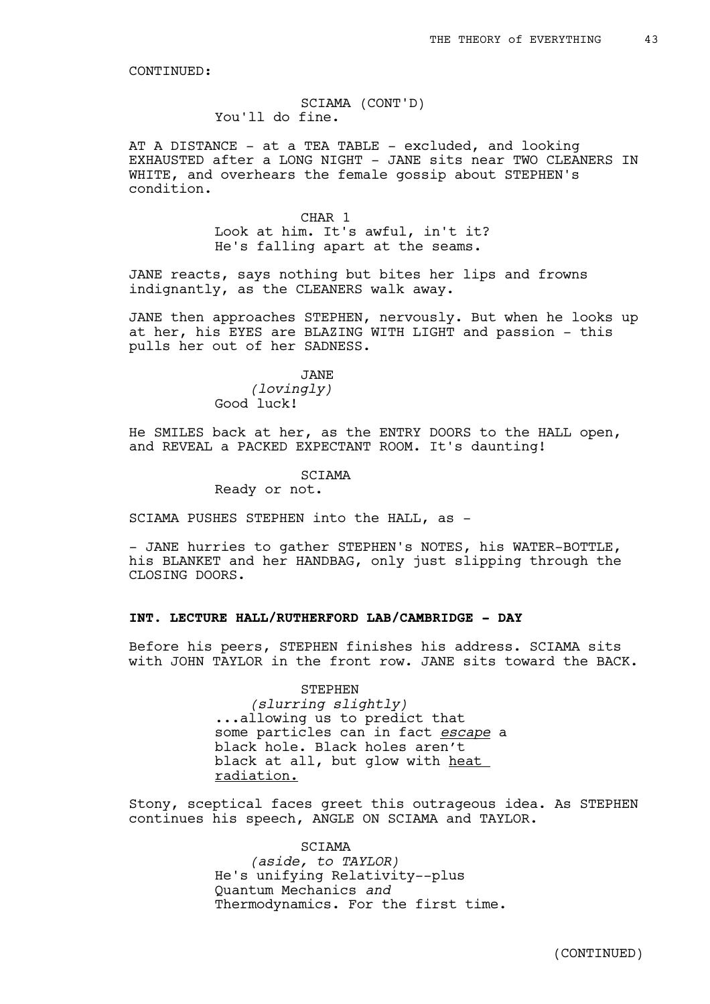## SCIAMA (CONT'D) You'll do fine.

AT A DISTANCE - at a TEA TABLE - excluded, and looking EXHAUSTED after a LONG NIGHT - JANE sits near TWO CLEANERS IN WHITE, and overhears the female gossip about STEPHEN's condition.

> CHAR 1 Look at him. It's awful, in't it? He's falling apart at the seams.

JANE reacts, says nothing but bites her lips and frowns indignantly, as the CLEANERS walk away.

JANE then approaches STEPHEN, nervously. But when he looks up at her, his EYES are BLAZING WITH LIGHT and passion - this pulls her out of her SADNESS.

JANE

*(lovingly)* Good luck!

He SMILES back at her, as the ENTRY DOORS to the HALL open, and REVEAL a PACKED EXPECTANT ROOM. It's daunting!

SCIAMA

Ready or not.

SCIAMA PUSHES STEPHEN into the HALL, as -

- JANE hurries to gather STEPHEN's NOTES, his WATER-BOTTLE, his BLANKET and her HANDBAG, only just slipping through the CLOSING DOORS.

## **INT. LECTURE HALL/RUTHERFORD LAB/CAMBRIDGE - DAY**

Before his peers, STEPHEN finishes his address. SCIAMA sits with JOHN TAYLOR in the front row. JANE sits toward the BACK.

> STEPHEN *(slurring slightly)* ...allowing us to predict that some particles can in fact *escape* a black hole. Black holes aren't black at all, but glow with heat radiation.

Stony, sceptical faces greet this outrageous idea. As STEPHEN continues his speech, ANGLE ON SCIAMA and TAYLOR.

> SCIAMA *(aside, to TAYLOR)* He's unifying Relativity--plus Quantum Mechanics *and* Thermodynamics. For the first time.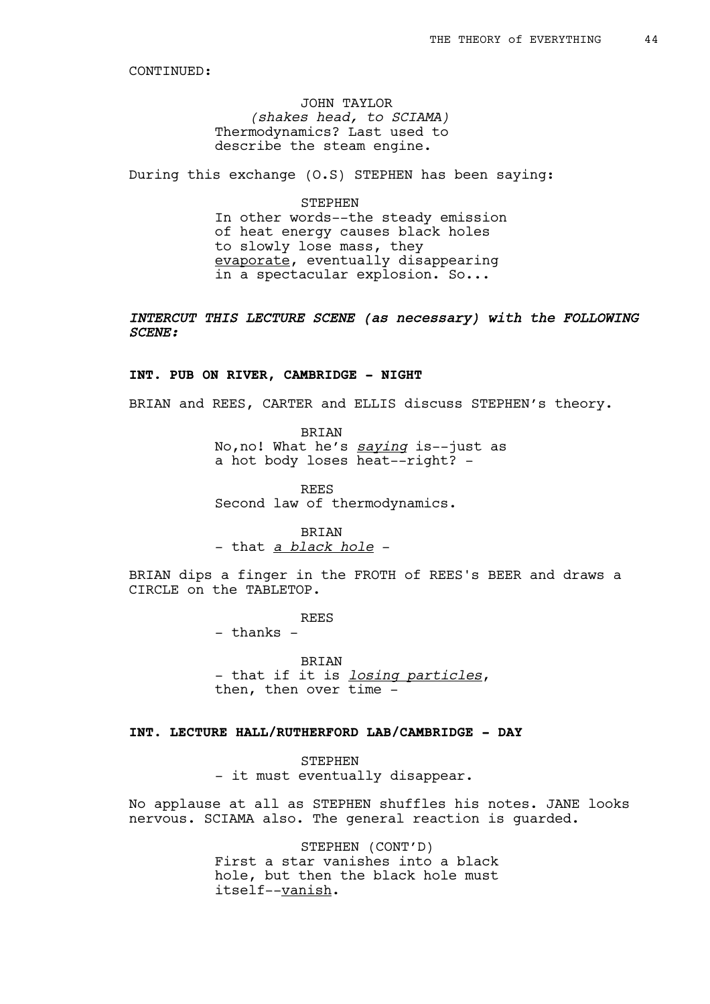JOHN TAYLOR *(shakes head, to SCIAMA)* Thermodynamics? Last used to describe the steam engine.

During this exchange (O.S) STEPHEN has been saying:

STEPHEN In other words--the steady emission of heat energy causes black holes to slowly lose mass, they evaporate, eventually disappearing in a spectacular explosion. So...

# *INTERCUT THIS LECTURE SCENE (as necessary) with the FOLLOWING SCENE:*

### **INT. PUB ON RIVER, CAMBRIDGE - NIGHT**

BRIAN and REES, CARTER and ELLIS discuss STEPHEN's theory.

BRIAN No,no! What he's *saying* is--just as a hot body loses heat--right? -

REES Second law of thermodynamics.

BRIAN - that *a black hole* -

BRIAN dips a finger in the FROTH of REES's BEER and draws a CIRCLE on the TABLETOP.

REES

- thanks -

**BRIAN** - that if it is *losing particles*, then, then over time -

## **INT. LECTURE HALL/RUTHERFORD LAB/CAMBRIDGE - DAY**

**STEPHEN** - it must eventually disappear.

No applause at all as STEPHEN shuffles his notes. JANE looks nervous. SCIAMA also. The general reaction is guarded.

> STEPHEN (CONT'D) First a star vanishes into a black hole, but then the black hole must itself--vanish.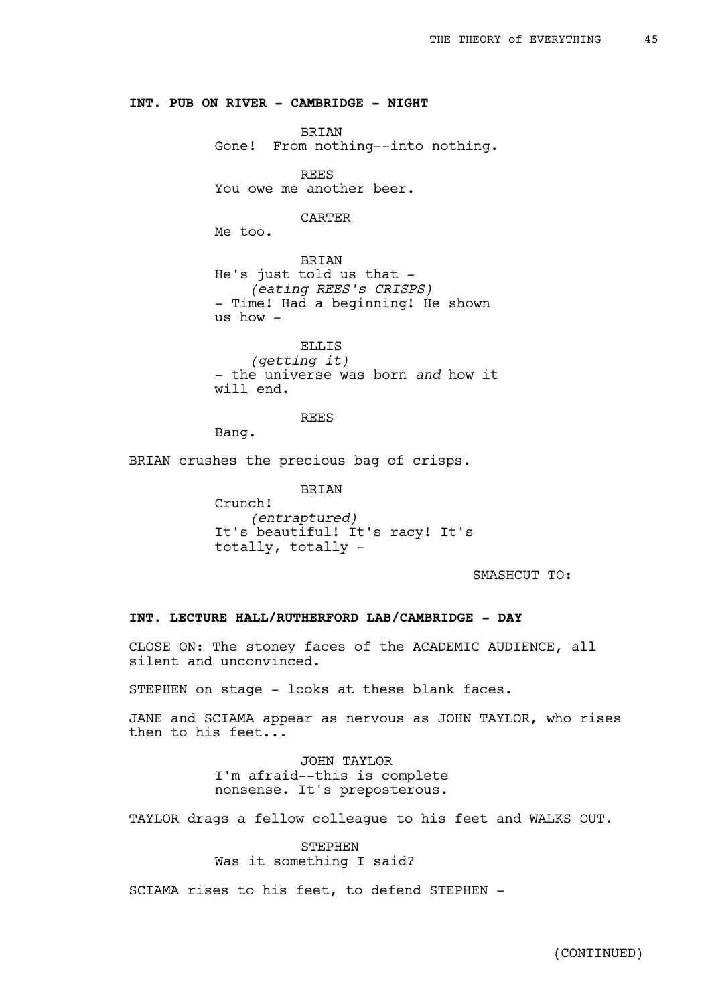### **INT. PUB ON RIVER - CAMBRIDGE - NIGHT**

BRIAN

Gone! From nothing--into nothing.

REES

You owe me another beer.

CARTER

Me too.

BRIAN He's just told us that -*(eating REES's CRISPS)* - Time! Had a beginning! He shown us how -

ELLIS *(getting it)* - the universe was born *and* how it will end.

REES

Bang.

BRIAN crushes the precious bag of crisps.

BRIAN Crunch! *(entraptured)* It's beautiful! It's racy! It's totally, totally -

SMASHCUT TO:

## **INT. LECTURE HALL/RUTHERFORD LAB/CAMBRIDGE - DAY**

CLOSE ON: The stoney faces of the ACADEMIC AUDIENCE, all silent and unconvinced.

STEPHEN on stage - looks at these blank faces.

JANE and SCIAMA appear as nervous as JOHN TAYLOR, who rises then to his feet...

> JOHN TAYLOR I'm afraid--this is complete nonsense. It's preposterous.

TAYLOR drags a fellow colleague to his feet and WALKS OUT.

**STEPHEN** Was it something I said?

SCIAMA rises to his feet, to defend STEPHEN -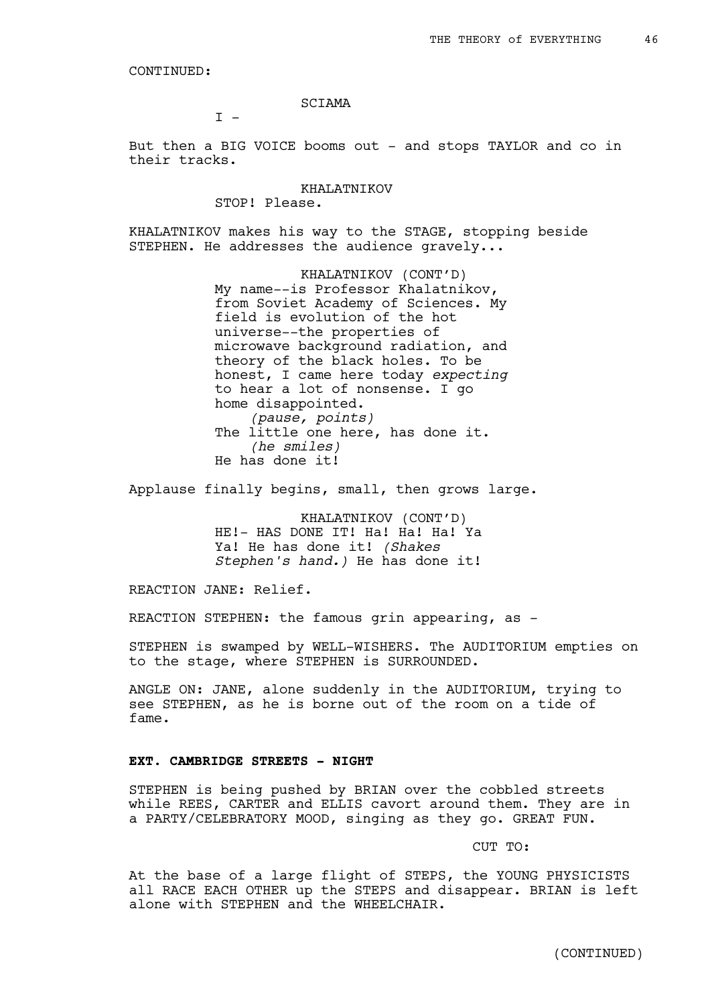SCIAMA

 $T -$ 

But then a BIG VOICE booms out - and stops TAYLOR and co in their tracks.

> KHALATNIKOV STOP! Please.

KHALATNIKOV makes his way to the STAGE, stopping beside STEPHEN. He addresses the audience gravely...

> KHALATNIKOV (CONT'D) My name--is Professor Khalatnikov, from Soviet Academy of Sciences. My field is evolution of the hot universe--the properties of microwave background radiation, and theory of the black holes. To be honest, I came here today *expecting* to hear a lot of nonsense. I go home disappointed. *(pause, points)* The little one here, has done it. *(he smiles)* He has done it!

Applause finally begins, small, then grows large.

KHALATNIKOV (CONT'D) HE!- HAS DONE IT! Ha! Ha! Ha! Ya Ya! He has done it! *(Shakes Stephen's hand.)* He has done it!

REACTION JANE: Relief.

REACTION STEPHEN: the famous grin appearing, as -

STEPHEN is swamped by WELL-WISHERS. The AUDITORIUM empties on to the stage, where STEPHEN is SURROUNDED.

ANGLE ON: JANE, alone suddenly in the AUDITORIUM, trying to see STEPHEN, as he is borne out of the room on a tide of fame.

### **EXT. CAMBRIDGE STREETS - NIGHT**

STEPHEN is being pushed by BRIAN over the cobbled streets while REES, CARTER and ELLIS cavort around them. They are in a PARTY/CELEBRATORY MOOD, singing as they go. GREAT FUN.

CUT TO:

At the base of a large flight of STEPS, the YOUNG PHYSICISTS all RACE EACH OTHER up the STEPS and disappear. BRIAN is left alone with STEPHEN and the WHEELCHAIR.

(CONTINUED)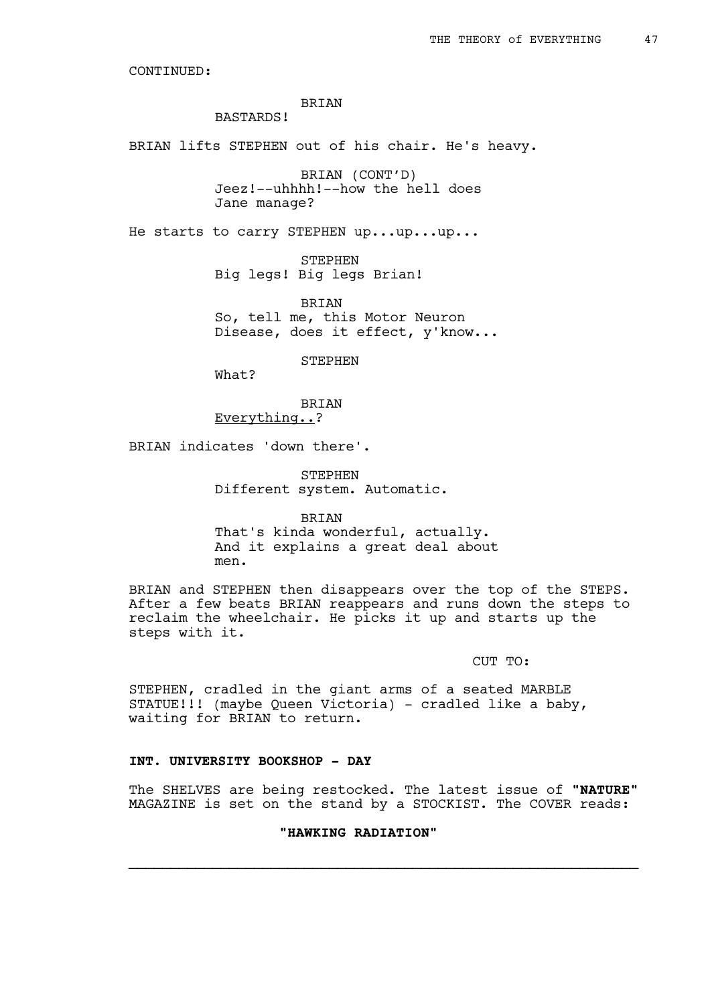# BRIAN

# BASTARDS!

BRIAN lifts STEPHEN out of his chair. He's heavy.

BRIAN (CONT'D) Jeez!--uhhhh!--how the hell does Jane manage?

He starts to carry STEPHEN up...up...up...

STEPHEN Big legs! Big legs Brian!

BRIAN So, tell me, this Motor Neuron Disease, does it effect, y'know...

STEPHEN

What?

BRIAN Everything..?

BRIAN indicates 'down there'.

STEPHEN Different system. Automatic.

BRIAN That's kinda wonderful, actually. And it explains a great deal about

men.

BRIAN and STEPHEN then disappears over the top of the STEPS. After a few beats BRIAN reappears and runs down the steps to reclaim the wheelchair. He picks it up and starts up the steps with it.

## CUT TO:

STEPHEN, cradled in the giant arms of a seated MARBLE STATUE!!! (maybe Queen Victoria) - cradled like a baby, waiting for BRIAN to return.

## **INT. UNIVERSITY BOOKSHOP - DAY**

The SHELVES are being restocked. The latest issue of **"NATURE"** MAGAZINE is set on the stand by a STOCKIST. The COVER reads:

 $\mathcal{L}_\text{max}$  , and the contribution of the contribution of the contribution of the contribution of the contribution of the contribution of the contribution of the contribution of the contribution of the contribution of t

## **"HAWKING RADIATION"**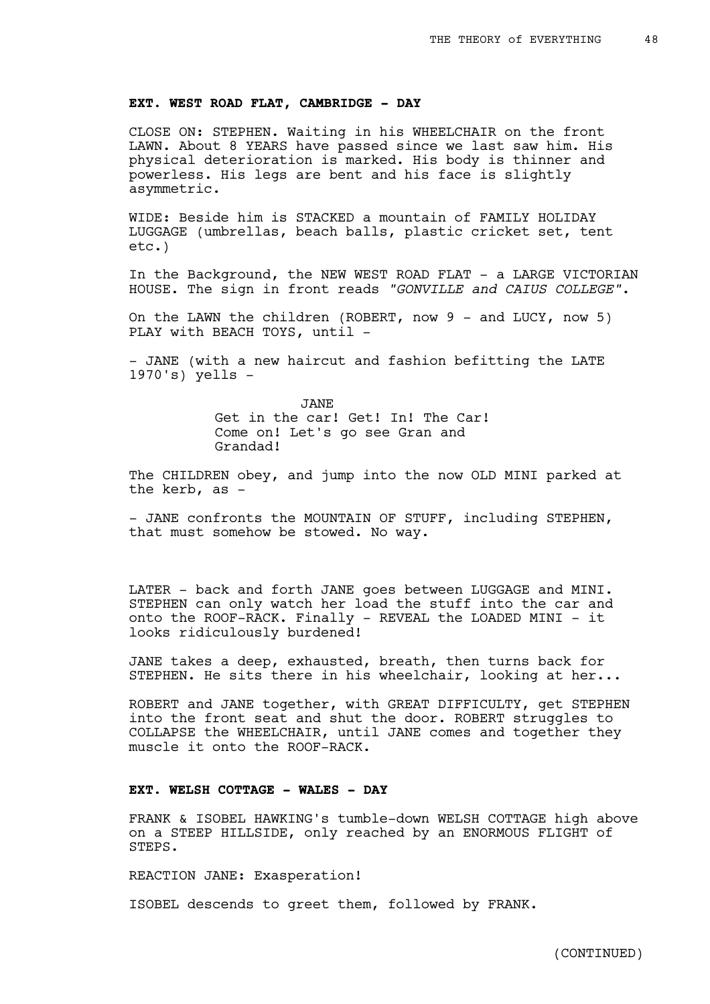### **EXT. WEST ROAD FLAT, CAMBRIDGE - DAY**

CLOSE ON: STEPHEN. Waiting in his WHEELCHAIR on the front LAWN. About 8 YEARS have passed since we last saw him. His physical deterioration is marked. His body is thinner and powerless. His legs are bent and his face is slightly asymmetric.

WIDE: Beside him is STACKED a mountain of FAMILY HOLIDAY LUGGAGE (umbrellas, beach balls, plastic cricket set, tent etc.)

In the Background, the NEW WEST ROAD FLAT - a LARGE VICTORIAN HOUSE. The sign in front reads *"GONVILLE and CAIUS COLLEGE"*.

On the LAWN the children (ROBERT, now  $9$  - and LUCY, now 5) PLAY with BEACH TOYS, until -

- JANE (with a new haircut and fashion befitting the LATE 1970's) yells -

> JANE Get in the car! Get! In! The Car! Come on! Let's go see Gran and Grandad!

The CHILDREN obey, and jump into the now OLD MINI parked at the kerb, as -

- JANE confronts the MOUNTAIN OF STUFF, including STEPHEN, that must somehow be stowed. No way.

LATER - back and forth JANE goes between LUGGAGE and MINI. STEPHEN can only watch her load the stuff into the car and onto the ROOF-RACK. Finally - REVEAL the LOADED MINI - it looks ridiculously burdened!

JANE takes a deep, exhausted, breath, then turns back for STEPHEN. He sits there in his wheelchair, looking at her...

ROBERT and JANE together, with GREAT DIFFICULTY, get STEPHEN into the front seat and shut the door. ROBERT struggles to COLLAPSE the WHEELCHAIR, until JANE comes and together they muscle it onto the ROOF-RACK.

### **EXT. WELSH COTTAGE - WALES - DAY**

FRANK & ISOBEL HAWKING's tumble-down WELSH COTTAGE high above on a STEEP HILLSIDE, only reached by an ENORMOUS FLIGHT of STEPS.

REACTION JANE: Exasperation!

ISOBEL descends to greet them, followed by FRANK.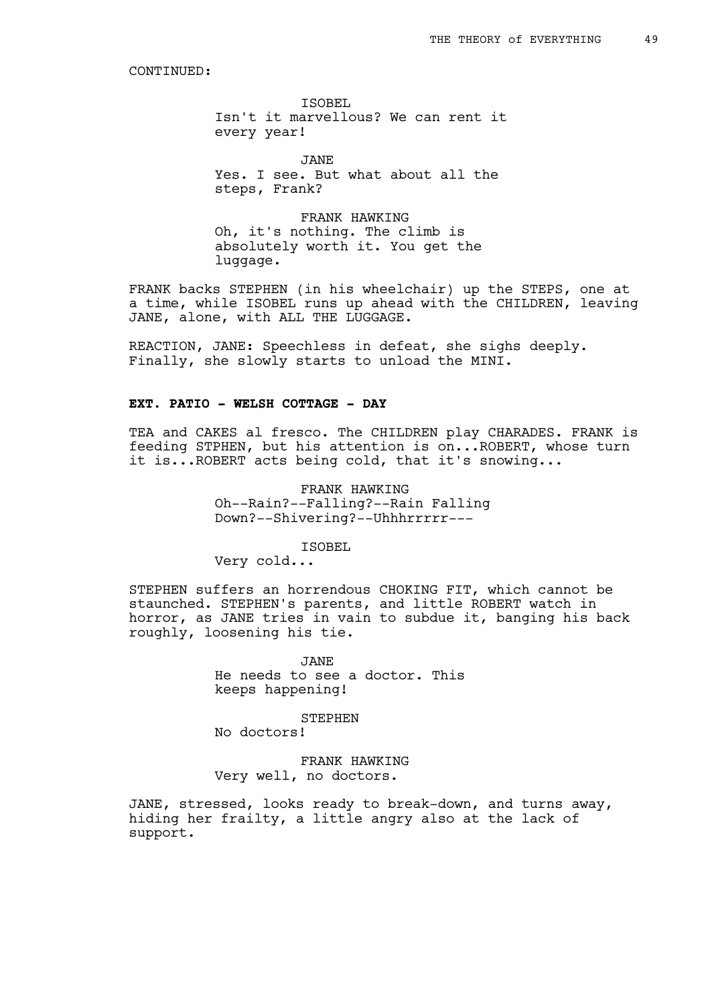ISOBEL Isn't it marvellous? We can rent it every year!

JANE Yes. I see. But what about all the steps, Frank?

FRANK HAWKING Oh, it's nothing. The climb is absolutely worth it. You get the luggage.

FRANK backs STEPHEN (in his wheelchair) up the STEPS, one at a time, while ISOBEL runs up ahead with the CHILDREN, leaving JANE, alone, with ALL THE LUGGAGE.

REACTION, JANE: Speechless in defeat, she sighs deeply. Finally, she slowly starts to unload the MINI.

## **EXT. PATIO - WELSH COTTAGE - DAY**

TEA and CAKES al fresco. The CHILDREN play CHARADES. FRANK is feeding STPHEN, but his attention is on...ROBERT, whose turn it is...ROBERT acts being cold, that it's snowing...

> FRANK HAWKING Oh--Rain?--Falling?--Rain Falling Down?--Shivering?--Uhhhrrrrr---

> > ISOBEL

Very cold...

STEPHEN suffers an horrendous CHOKING FIT, which cannot be staunched. STEPHEN's parents, and little ROBERT watch in horror, as JANE tries in vain to subdue it, banging his back roughly, loosening his tie.

> JANE He needs to see a doctor. This keeps happening!

> > STEPHEN

No doctors!

FRANK HAWKING Very well, no doctors.

JANE, stressed, looks ready to break-down, and turns away, hiding her frailty, a little angry also at the lack of support.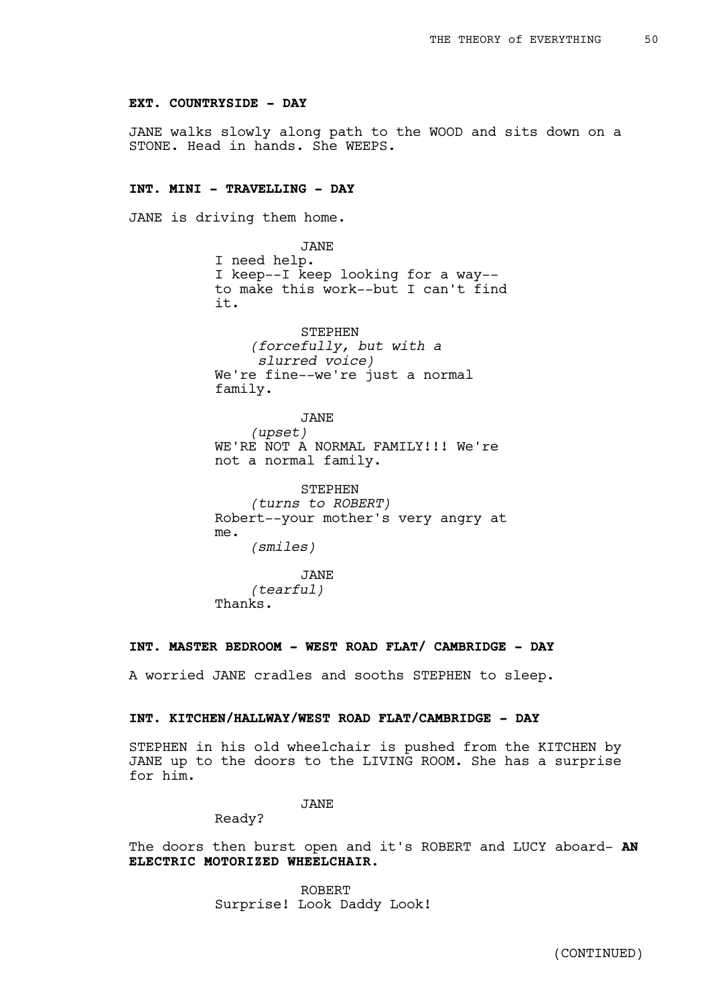### **EXT. COUNTRYSIDE - DAY**

JANE walks slowly along path to the WOOD and sits down on a STONE. Head in hands. She WEEPS.

# **INT. MINI - TRAVELLING - DAY**

JANE is driving them home.

JANE I need help. I keep--I keep looking for a way- to make this work--but I can't find it.

STEPHEN *(forcefully, but with a slurred voice)* We're fine--we're just a normal family.

JANE *(upset)* WE'RE NOT A NORMAL FAMILY!!! We're not a normal family.

**STEPHEN** *(turns to ROBERT)* Robert--your mother's very angry at me. *(smiles)*

JANE *(tearful)* Thanks.

## **INT. MASTER BEDROOM - WEST ROAD FLAT/ CAMBRIDGE - DAY**

A worried JANE cradles and sooths STEPHEN to sleep.

## **INT. KITCHEN/HALLWAY/WEST ROAD FLAT/CAMBRIDGE - DAY**

STEPHEN in his old wheelchair is pushed from the KITCHEN by JANE up to the doors to the LIVING ROOM. She has a surprise for him.

# JANE

Ready?

The doors then burst open and it's ROBERT and LUCY aboard- **AN ELECTRIC MOTORIZED WHEELCHAIR.**

> ROBERT Surprise! Look Daddy Look!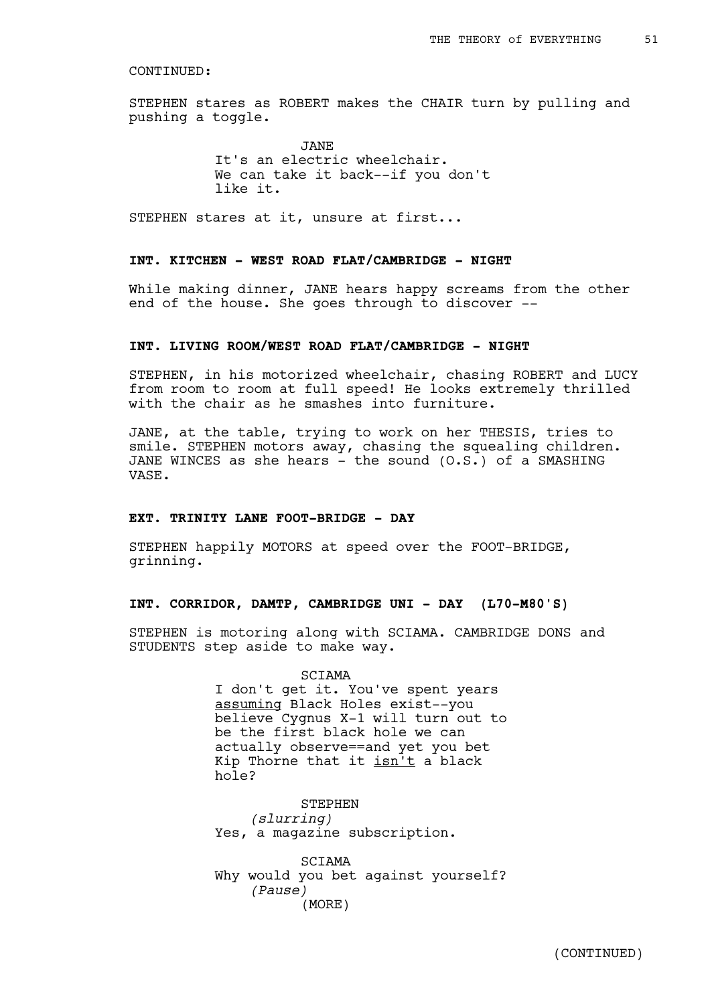STEPHEN stares as ROBERT makes the CHAIR turn by pulling and pushing a toggle.

> JANE It's an electric wheelchair. We can take it back--if you don't like it.

STEPHEN stares at it, unsure at first...

## **INT. KITCHEN - WEST ROAD FLAT/CAMBRIDGE - NIGHT**

While making dinner, JANE hears happy screams from the other end of the house. She goes through to discover --

## **INT. LIVING ROOM/WEST ROAD FLAT/CAMBRIDGE - NIGHT**

STEPHEN, in his motorized wheelchair, chasing ROBERT and LUCY from room to room at full speed! He looks extremely thrilled with the chair as he smashes into furniture.

JANE, at the table, trying to work on her THESIS, tries to smile. STEPHEN motors away, chasing the squealing children. JANE WINCES as she hears - the sound (O.S.) of a SMASHING VASE.

## **EXT. TRINITY LANE FOOT-BRIDGE - DAY**

STEPHEN happily MOTORS at speed over the FOOT-BRIDGE, grinning.

### **INT. CORRIDOR, DAMTP, CAMBRIDGE UNI - DAY (L70-M80'S)**

STEPHEN is motoring along with SCIAMA. CAMBRIDGE DONS and STUDENTS step aside to make way.

#### SCIAMA

I don't get it. You've spent years assuming Black Holes exist--you believe Cygnus X-1 will turn out to be the first black hole we can actually observe==and yet you bet Kip Thorne that it isn't a black hole?

**STEPHEN** *(slurring)* Yes, a magazine subscription.

SCIAMA Why would you bet against yourself? *(Pause)* (MORE)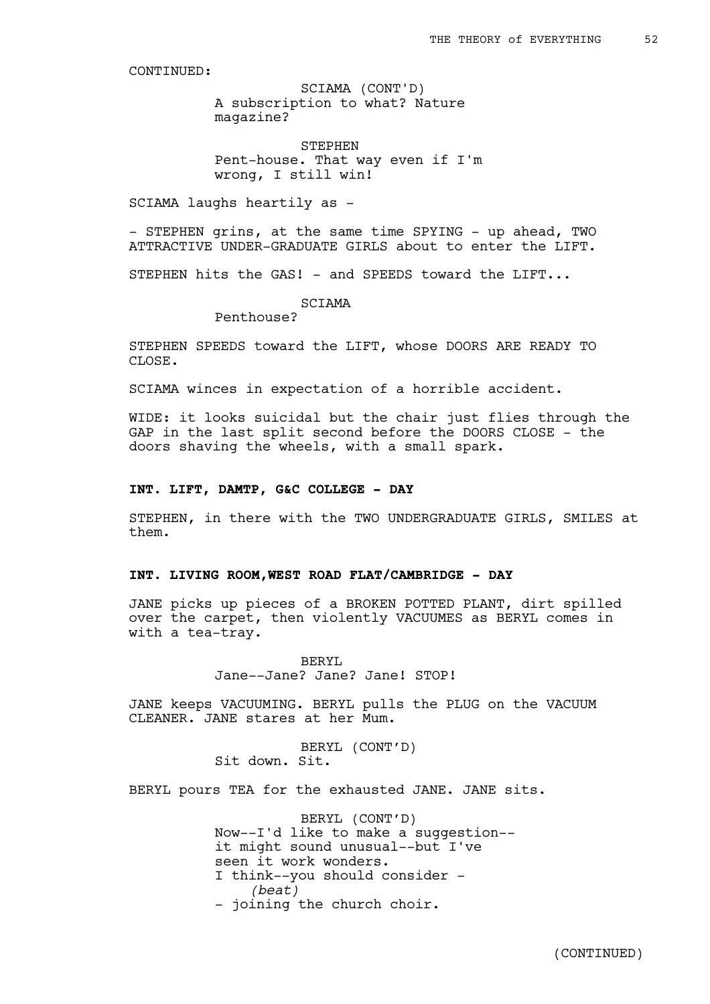A subscription to what? Nature magazine? SCIAMA (CONT'D)

STEPHEN Pent-house. That way even if I'm wrong, I still win!

SCIAMA laughs heartily as -

- STEPHEN grins, at the same time SPYING - up ahead, TWO ATTRACTIVE UNDER-GRADUATE GIRLS about to enter the LIFT.

STEPHEN hits the GAS! - and SPEEDS toward the LIFT...

SCIAMA

Penthouse?

STEPHEN SPEEDS toward the LIFT, whose DOORS ARE READY TO CLOSE.

SCIAMA winces in expectation of a horrible accident.

WIDE: it looks suicidal but the chair just flies through the GAP in the last split second before the DOORS CLOSE - the doors shaving the wheels, with a small spark.

## **INT. LIFT, DAMTP, G&C COLLEGE - DAY**

STEPHEN, in there with the TWO UNDERGRADUATE GIRLS, SMILES at them.

### **INT. LIVING ROOM,WEST ROAD FLAT/CAMBRIDGE - DAY**

JANE picks up pieces of a BROKEN POTTED PLANT, dirt spilled over the carpet, then violently VACUUMES as BERYL comes in with a tea-tray.

> BERYL Jane--Jane? Jane? Jane! STOP!

JANE keeps VACUUMING. BERYL pulls the PLUG on the VACUUM CLEANER. JANE stares at her Mum.

> BERYL (CONT'D) Sit down. Sit.

BERYL pours TEA for the exhausted JANE. JANE sits.

BERYL (CONT'D) Now--I'd like to make a suggestion- it might sound unusual--but I've seen it work wonders. I think--you should consider - *(beat)* - joining the church choir.

(CONTINUED)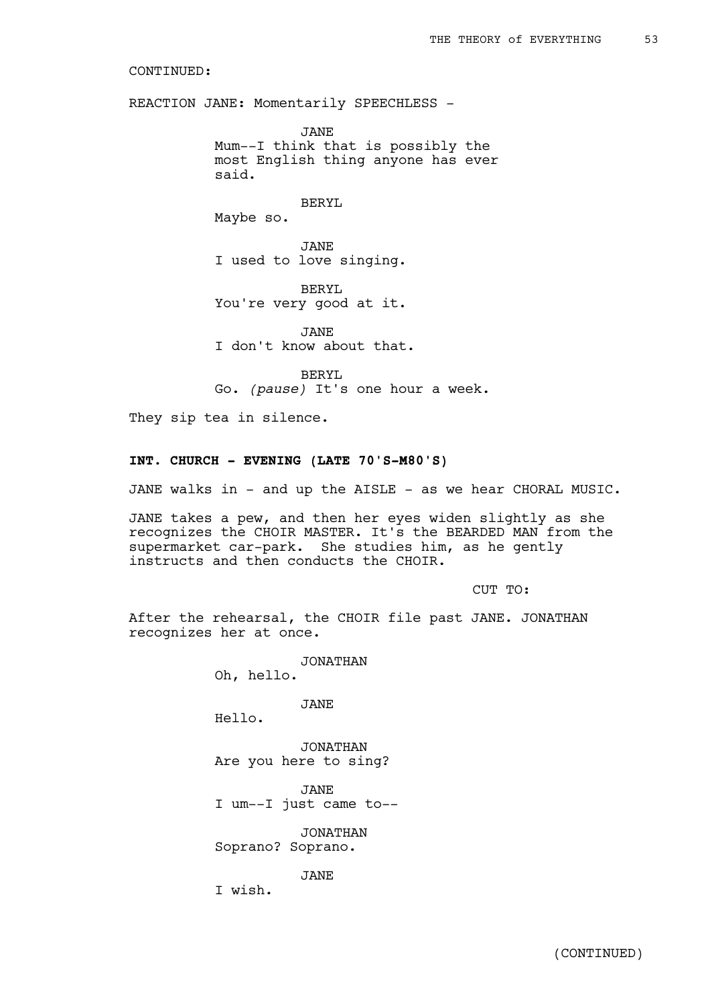REACTION JANE: Momentarily SPEECHLESS -

JANE Mum--I think that is possibly the most English thing anyone has ever said.

BERYL

Maybe so.

JANE I used to love singing.

BERYL You're very good at it.

JANE I don't know about that.

BERYL Go. *(pause)* It's one hour a week.

They sip tea in silence.

### **INT. CHURCH - EVENING (LATE 70'S-M80'S)**

JANE walks in - and up the AISLE - as we hear CHORAL MUSIC.

JANE takes a pew, and then her eyes widen slightly as she recognizes the CHOIR MASTER. It's the BEARDED MAN from the supermarket car-park. She studies him, as he gently instructs and then conducts the CHOIR.

CUT TO:

After the rehearsal, the CHOIR file past JANE. JONATHAN recognizes her at once.

> JONATHAN Oh, hello.

> > JANE

Hello.

JONATHAN Are you here to sing?

JANE I um--I just came to--

JONATHAN Soprano? Soprano.

JANE

I wish.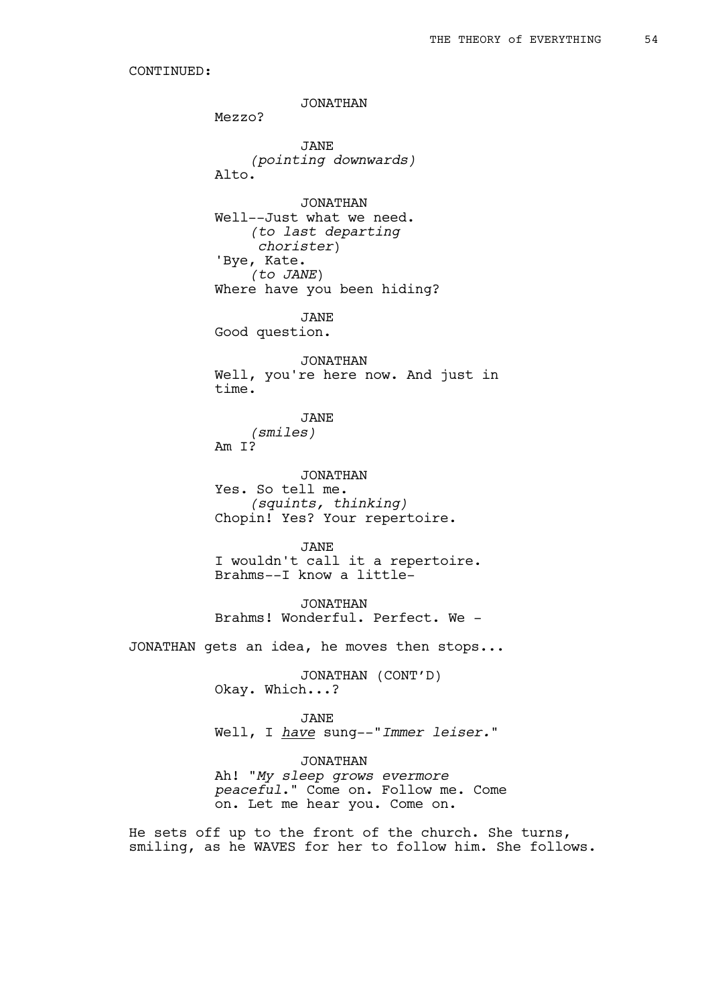JONATHAN Mezzo? JANE *(pointing downwards)* Alto. JONATHAN Well--Just what we need. *(to last departing chorister*) 'Bye, Kate. *(to JANE*) Where have you been hiding? JANE Good question. JONATHAN Well, you're here now. And just in time. JANE *(smiles)* Am I? JONATHAN Yes. So tell me. *(squints, thinking)* Chopin! Yes? Your repertoire. JANE I wouldn't call it a repertoire. Brahms--I know a little-JONATHAN Brahms! Wonderful. Perfect. We - JONATHAN gets an idea, he moves then stops... JONATHAN (CONT'D) Okay. Which...? JANE Well, I *have* sung--"*Immer leiser.*" JONATHAN Ah! "*My sleep grows evermore peaceful*." Come on. Follow me. Come on. Let me hear you. Come on. He sets off up to the front of the church. She turns, smiling, as he WAVES for her to follow him. She follows.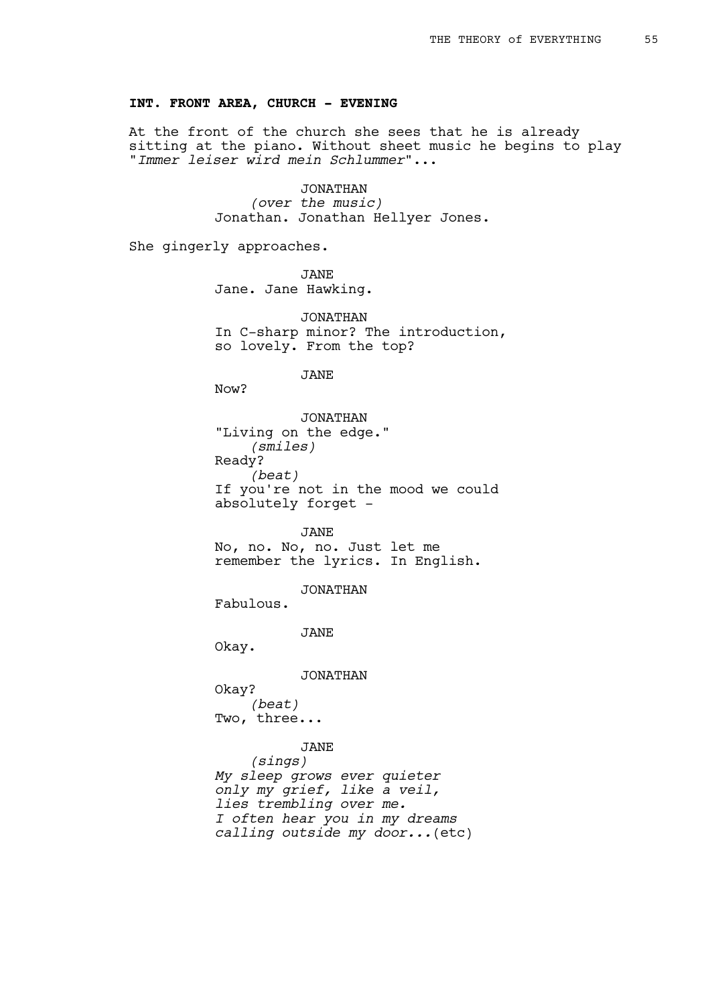## **INT. FRONT AREA, CHURCH - EVENING**

At the front of the church she sees that he is already sitting at the piano. Without sheet music he begins to play "*Immer leiser wird mein Schlummer*"...

> JONATHAN *(over the music)* Jonathan. Jonathan Hellyer Jones.

She gingerly approaches.

JANE Jane. Jane Hawking.

JONATHAN In C-sharp minor? The introduction, so lovely. From the top?

JANE

Now?

JONATHAN "Living on the edge." *(smiles)* Ready? *(beat)* If you're not in the mood we could absolutely forget -

JANE No, no. No, no. Just let me remember the lyrics. In English.

JONATHAN

Fabulous.

JANE

Okay.

JONATHAN

Okay? *(beat)* Two, three...

JANE

*(sings) My sleep grows ever quieter only my grief, like a veil, lies trembling over me. I often hear you in my dreams calling outside my door...*(etc)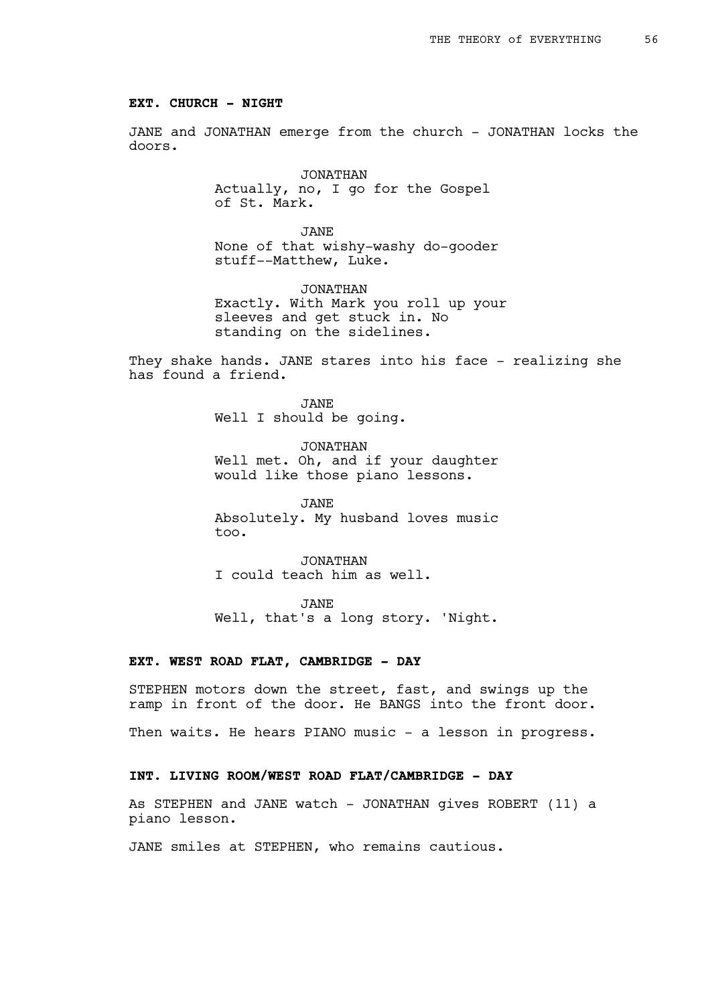### **EXT. CHURCH - NIGHT**

JANE and JONATHAN emerge from the church - JONATHAN locks the doors.

> JONATHAN Actually, no, I go for the Gospel of St. Mark.

JANE None of that wishy-washy do-gooder stuff--Matthew, Luke.

JONATHAN Exactly. With Mark you roll up your sleeves and get stuck in. No standing on the sidelines.

They shake hands. JANE stares into his face - realizing she has found a friend.

> JANE Well I should be going.

JONATHAN Well met. Oh, and if your daughter would like those piano lessons.

JANE Absolutely. My husband loves music too.

JONATHAN I could teach him as well.

JANE

Well, that's a long story. 'Night.

## **EXT. WEST ROAD FLAT, CAMBRIDGE - DAY**

STEPHEN motors down the street, fast, and swings up the ramp in front of the door. He BANGS into the front door.

Then waits. He hears PIANO music - a lesson in progress.

## **INT. LIVING ROOM/WEST ROAD FLAT/CAMBRIDGE - DAY**

As STEPHEN and JANE watch - JONATHAN gives ROBERT (11) a piano lesson.

JANE smiles at STEPHEN, who remains cautious.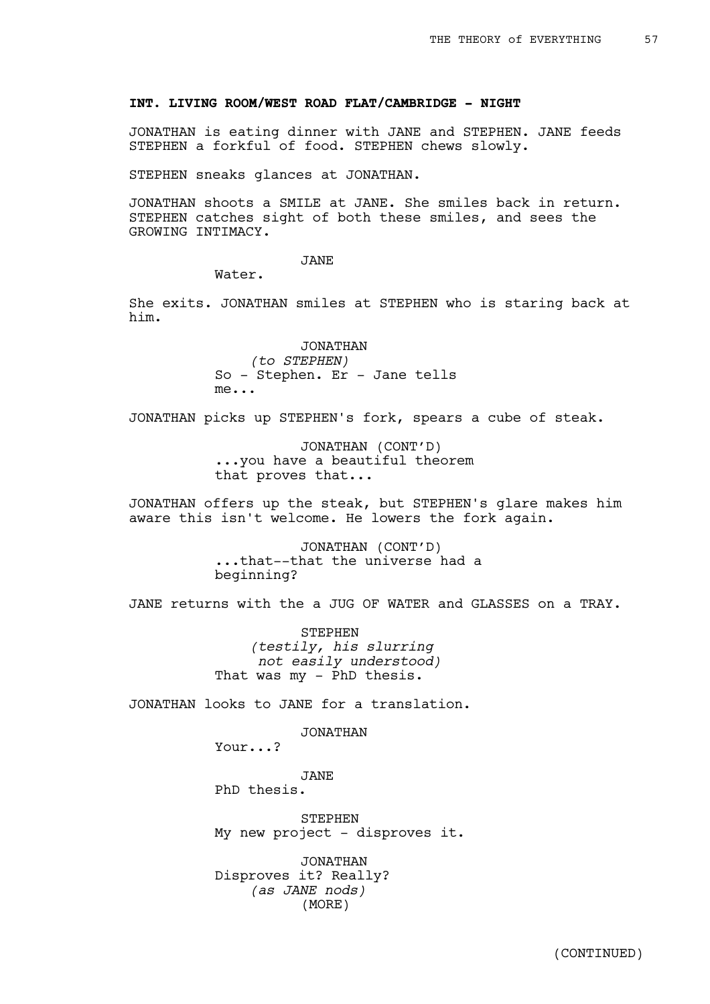## **INT. LIVING ROOM/WEST ROAD FLAT/CAMBRIDGE - NIGHT**

JONATHAN is eating dinner with JANE and STEPHEN. JANE feeds STEPHEN a forkful of food. STEPHEN chews slowly.

STEPHEN sneaks glances at JONATHAN.

JONATHAN shoots a SMILE at JANE. She smiles back in return. STEPHEN catches sight of both these smiles, and sees the GROWING INTIMACY.

## JANE

Water.

She exits. JONATHAN smiles at STEPHEN who is staring back at him.

> JONATHAN *(to STEPHEN)* So - Stephen. Er - Jane tells me...

JONATHAN picks up STEPHEN's fork, spears a cube of steak.

JONATHAN (CONT'D) ...you have a beautiful theorem that proves that...

JONATHAN offers up the steak, but STEPHEN's glare makes him aware this isn't welcome. He lowers the fork again.

> JONATHAN (CONT'D) ...that--that the universe had a beginning?

JANE returns with the a JUG OF WATER and GLASSES on a TRAY.

STEPHEN *(testily, his slurring not easily understood)* That was  $my - PhD$  thesis.

JONATHAN looks to JANE for a translation.

JONATHAN

Your...?

JANE PhD thesis.

**STEPHEN** My new project - disproves it.

JONATHAN Disproves it? Really? *(as JANE nods)* (MORE)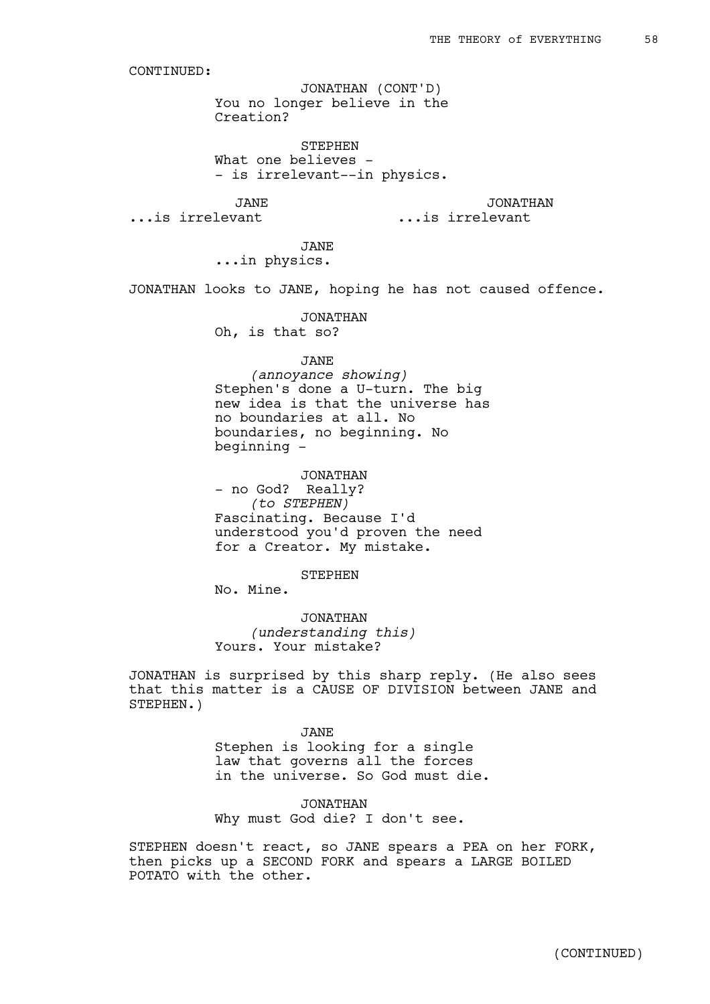You no longer believe in the Creation? JONATHAN (CONT'D)

STEPHEN What one believes -- is irrelevant--in physics.

JANE

JONATHAN

...is irrelevant

...is irrelevant

JANE ...in physics.

JONATHAN looks to JANE, hoping he has not caused offence.

JONATHAN Oh, is that so?

# JANE

*(annoyance showing)* Stephen's done a U-turn. The big new idea is that the universe has no boundaries at all. No boundaries, no beginning. No beginning -

### JONATHAN

- no God? Really? *(to STEPHEN)* Fascinating. Because I'd understood you'd proven the need for a Creator. My mistake.

#### STEPHEN

No. Mine.

JONATHAN *(understanding this)* Yours. Your mistake?

JONATHAN is surprised by this sharp reply. (He also sees that this matter is a CAUSE OF DIVISION between JANE and STEPHEN.)

JANE

Stephen is looking for a single law that governs all the forces in the universe. So God must die.

JONATHAN Why must God die? I don't see.

STEPHEN doesn't react, so JANE spears a PEA on her FORK, then picks up a SECOND FORK and spears a LARGE BOILED POTATO with the other.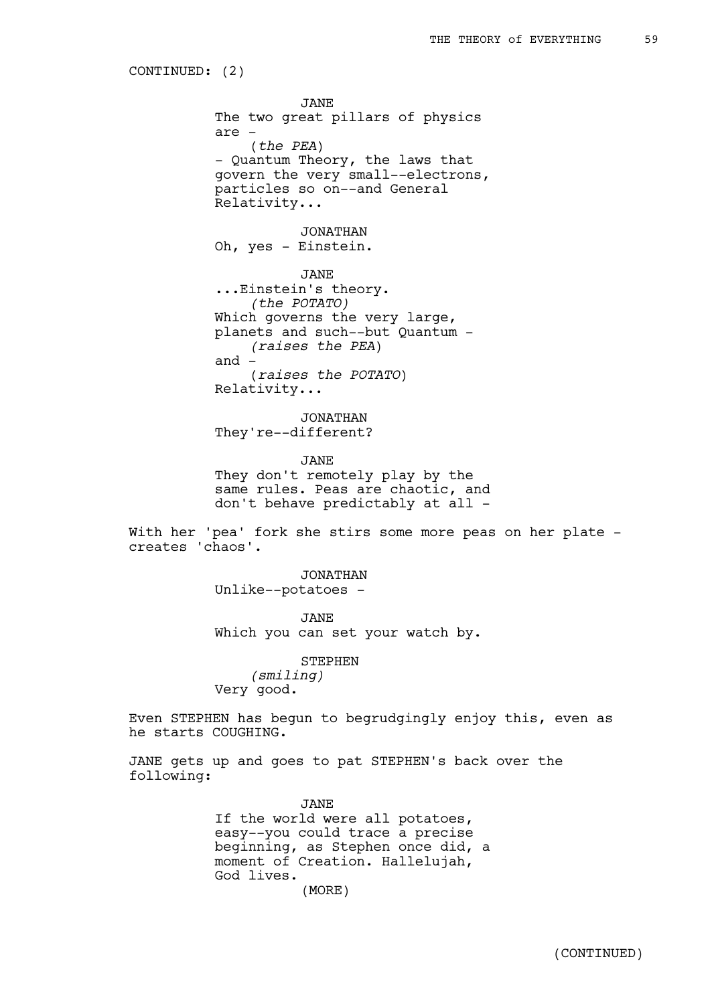CONTINUED: (2)

JANE The two great pillars of physics are - (*the PEA*) - Quantum Theory, the laws that govern the very small--electrons, particles so on--and General Relativity... JONATHAN Oh, yes - Einstein.

JANE ...Einstein's theory. *(the POTATO)* Which governs the very large, planets and such--but Quantum - *(raises the PEA*) and - (*raises the POTATO*) Relativity...

JONATHAN They're--different?

JANE They don't remotely play by the same rules. Peas are chaotic, and don't behave predictably at all -

With her 'pea' fork she stirs some more peas on her plate creates 'chaos'.

> JONATHAN Unlike--potatoes -

JANE Which you can set your watch by.

STEPHEN *(smiling)* Very good.

Even STEPHEN has begun to begrudgingly enjoy this, even as he starts COUGHING.

JANE gets up and goes to pat STEPHEN's back over the following:

> JANE If the world were all potatoes, easy--you could trace a precise beginning, as Stephen once did, a moment of Creation. Hallelujah, God lives. (MORE)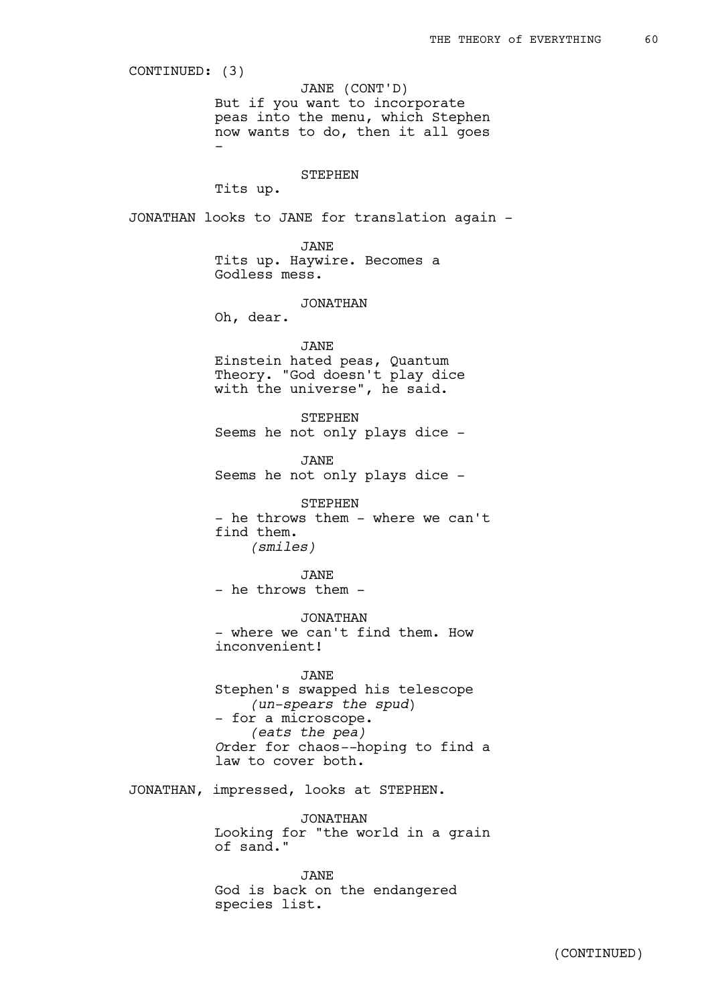But if you want to incorporate peas into the menu, which Stephen now wants to do, then it all goes - STEPHEN Tits up. JONATHAN looks to JANE for translation again - JANE Tits up. Haywire. Becomes a Godless mess. JONATHAN Oh, dear. JANE Einstein hated peas, Quantum Theory. "God doesn't play dice with the universe", he said. STEPHEN Seems he not only plays dice - JANE Seems he not only plays dice - STEPHEN - he throws them - where we can't find them. *(smiles)* JANE - he throws them -JONATHAN - where we can't find them. How inconvenient! JANE Stephen's swapped his telescope *(un-spears the spud*) - for a microscope. *(eats the pea) O*rder for chaos*--*hoping to find a law to cover both. JONATHAN, impressed, looks at STEPHEN. JONATHAN CONTINUED: (3) JANE (CONT'D)

Looking for "the world in a grain of sand."

JANE God is back on the endangered species list.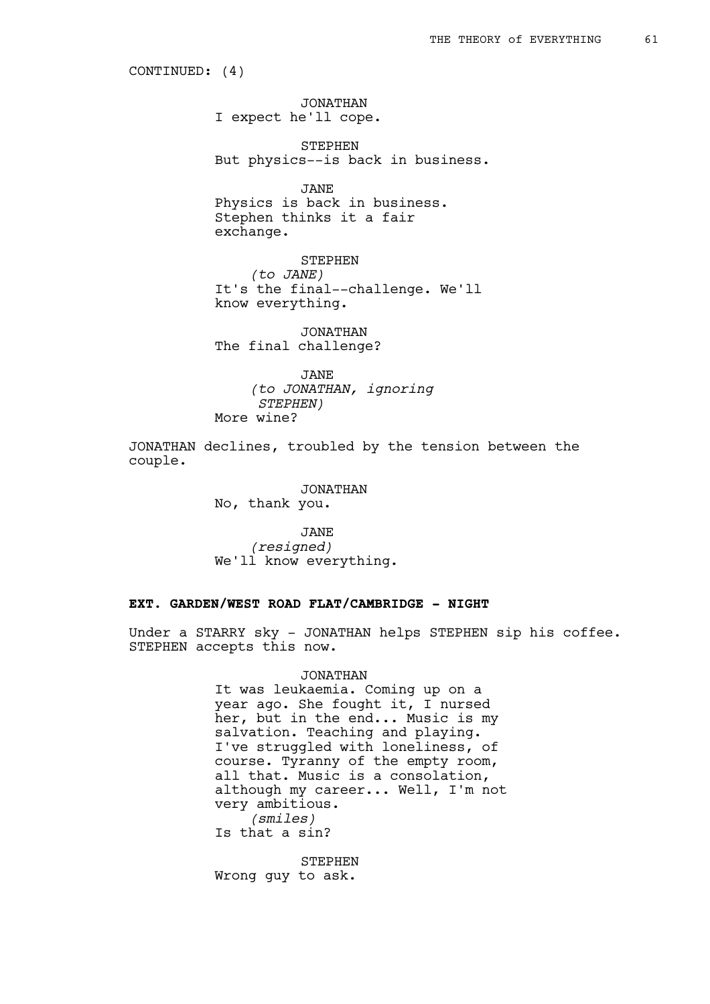CONTINUED: (4)

JONATHAN I expect he'll cope.

STEPHEN But physics--is back in business.

JANE Physics is back in business. Stephen thinks it a fair exchange.

STEPHEN *(to JANE)* It's the final--challenge. We'll know everything.

JONATHAN The final challenge?

JANE *(to JONATHAN, ignoring STEPHEN)* More wine?

JONATHAN declines, troubled by the tension between the couple.

> JONATHAN No, thank you.

JANE *(resigned)* We'll know everything.

# **EXT. GARDEN/WEST ROAD FLAT/CAMBRIDGE - NIGHT**

Under a STARRY sky - JONATHAN helps STEPHEN sip his coffee. STEPHEN accepts this now.

## JONATHAN

It was leukaemia. Coming up on a year ago. She fought it, I nursed her, but in the end... Music is my salvation. Teaching and playing. I've struggled with loneliness, of course. Tyranny of the empty room, all that. Music is a consolation, although my career... Well, I'm not very ambitious. *(smiles)* Is that a sin?

STEPHEN Wrong guy to ask.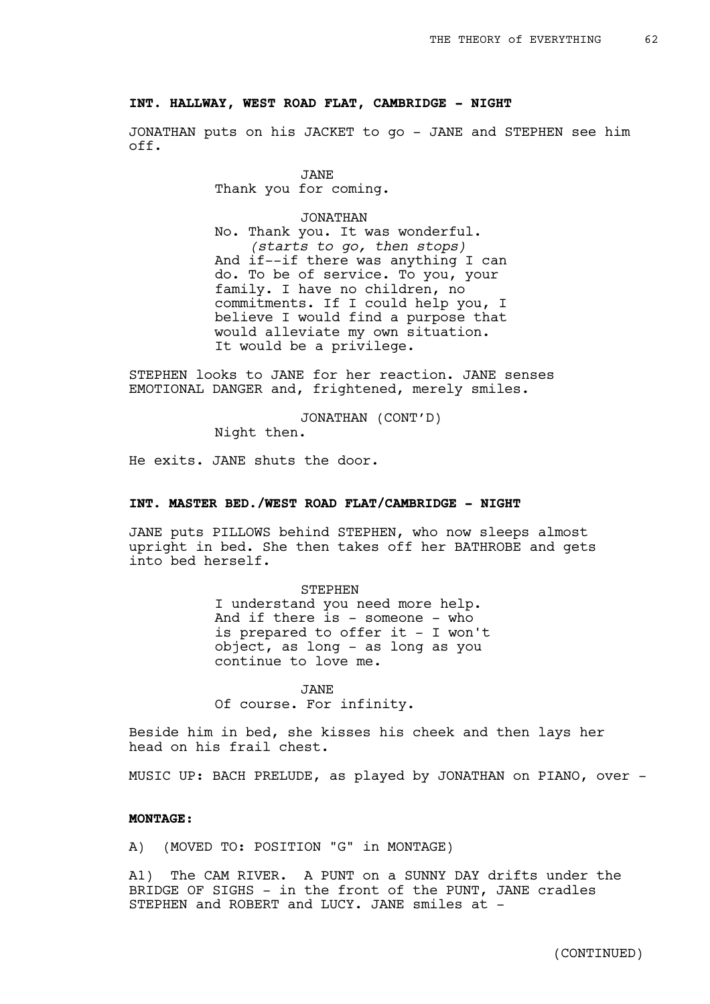### **INT. HALLWAY, WEST ROAD FLAT, CAMBRIDGE - NIGHT**

JONATHAN puts on his JACKET to go - JANE and STEPHEN see him off.

> JANE Thank you for coming.

JONATHAN No. Thank you. It was wonderful. *(starts to go, then stops)* And if--if there was anything I can do. To be of service. To you, your family. I have no children, no commitments. If I could help you, I believe I would find a purpose that would alleviate my own situation. It would be a privilege.

STEPHEN looks to JANE for her reaction. JANE senses EMOTIONAL DANGER and, frightened, merely smiles.

JONATHAN (CONT'D)

Night then.

He exits. JANE shuts the door.

## **INT. MASTER BED./WEST ROAD FLAT/CAMBRIDGE - NIGHT**

JANE puts PILLOWS behind STEPHEN, who now sleeps almost upright in bed. She then takes off her BATHROBE and gets into bed herself.

> STEPHEN I understand you need more help. And if there is - someone - who is prepared to offer it - I won't object, as long - as long as you continue to love me.

JANE Of course. For infinity.

Beside him in bed, she kisses his cheek and then lays her head on his frail chest.

MUSIC UP: BACH PRELUDE, as played by JONATHAN on PIANO, over -

## **MONTAGE:**

A) (MOVED TO: POSITION "G" in MONTAGE)

A1) The CAM RIVER. A PUNT on a SUNNY DAY drifts under the BRIDGE OF SIGHS - in the front of the PUNT, JANE cradles STEPHEN and ROBERT and LUCY. JANE smiles at -

(CONTINUED)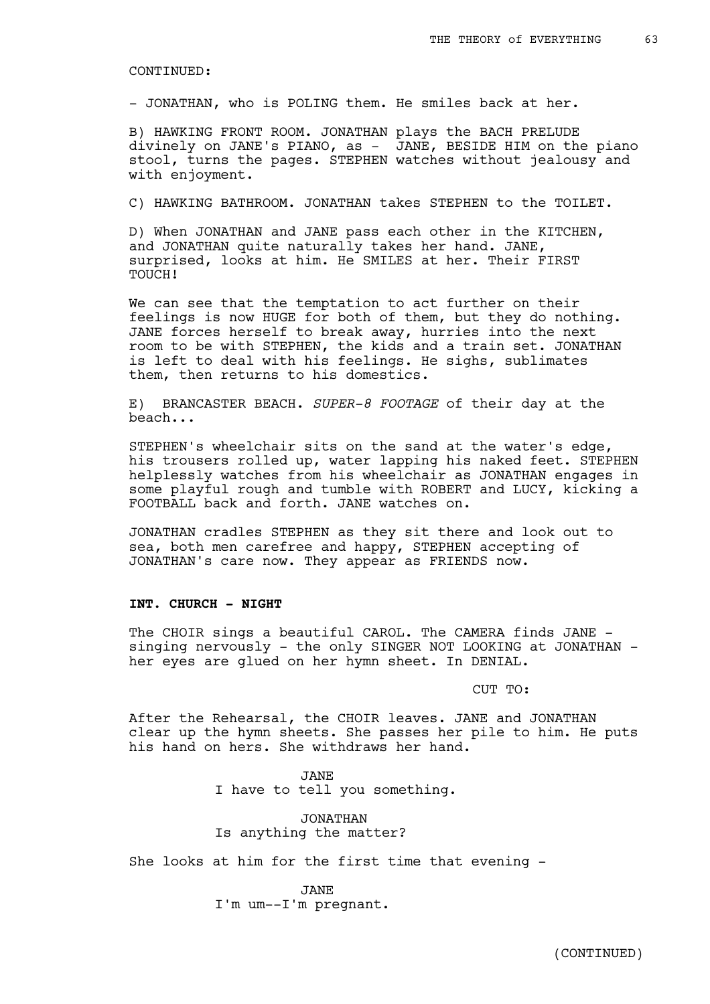- JONATHAN, who is POLING them. He smiles back at her.

B) HAWKING FRONT ROOM. JONATHAN plays the BACH PRELUDE divinely on JANE's PIANO, as - JANE, BESIDE HIM on the piano stool, turns the pages. STEPHEN watches without jealousy and with enjoyment.

C) HAWKING BATHROOM. JONATHAN takes STEPHEN to the TOILET.

D) When JONATHAN and JANE pass each other in the KITCHEN, and JONATHAN quite naturally takes her hand. JANE, surprised, looks at him. He SMILES at her. Their FIRST TOUCH!

We can see that the temptation to act further on their feelings is now HUGE for both of them, but they do nothing. JANE forces herself to break away, hurries into the next room to be with STEPHEN, the kids and a train set. JONATHAN is left to deal with his feelings. He sighs, sublimates them, then returns to his domestics.

E) BRANCASTER BEACH. *SUPER-8 FOOTAGE* of their day at the beach...

STEPHEN's wheelchair sits on the sand at the water's edge, his trousers rolled up, water lapping his naked feet. STEPHEN helplessly watches from his wheelchair as JONATHAN engages in some playful rough and tumble with ROBERT and LUCY, kicking a FOOTBALL back and forth. JANE watches on.

JONATHAN cradles STEPHEN as they sit there and look out to sea, both men carefree and happy, STEPHEN accepting of JONATHAN's care now. They appear as FRIENDS now.

### **INT. CHURCH - NIGHT**

The CHOIR sings a beautiful CAROL. The CAMERA finds JANE singing nervously - the only SINGER NOT LOOKING at JONATHAN her eyes are glued on her hymn sheet. In DENIAL.

CUT TO:

After the Rehearsal, the CHOIR leaves. JANE and JONATHAN clear up the hymn sheets. She passes her pile to him. He puts his hand on hers. She withdraws her hand.

> JANE I have to tell you something.

JONATHAN Is anything the matter?

She looks at him for the first time that evening -

JANE I'm um--I'm pregnant.

(CONTINUED)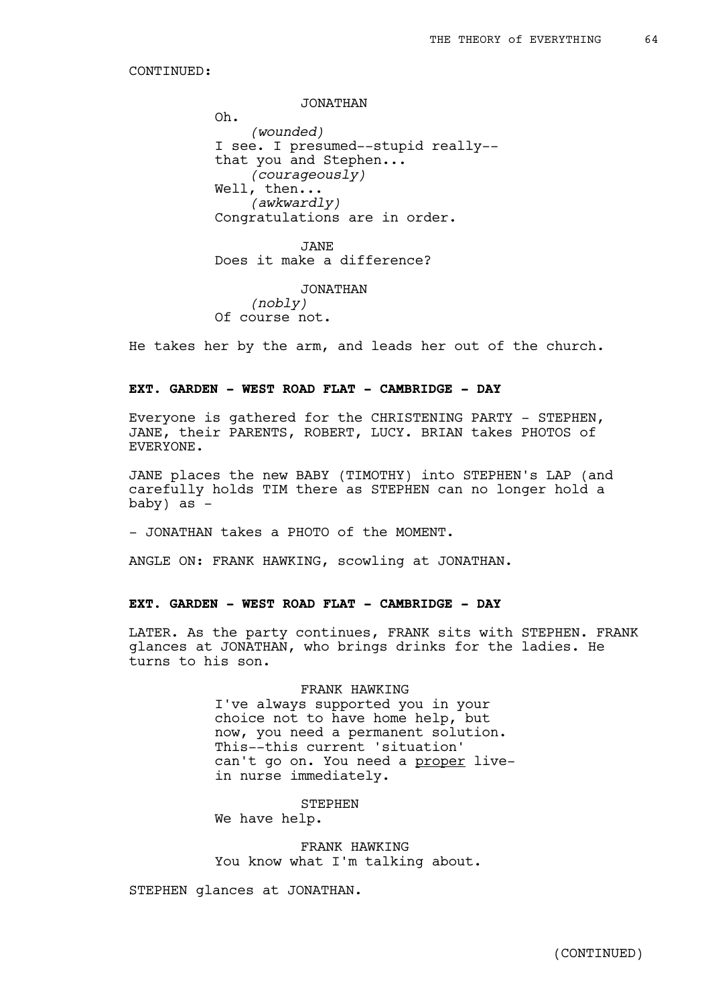JONATHAN

Oh. *(wounded)* I see. I presumed--stupid really- that you and Stephen... *(courageously)* Well, then... *(awkwardly)* Congratulations are in order.

JANE Does it make a difference?

JONATHAN *(nobly)* Of course not.

He takes her by the arm, and leads her out of the church.

## **EXT. GARDEN - WEST ROAD FLAT - CAMBRIDGE - DAY**

Everyone is gathered for the CHRISTENING PARTY - STEPHEN, JANE, their PARENTS, ROBERT, LUCY. BRIAN takes PHOTOS of EVERYONE.

JANE places the new BABY (TIMOTHY) into STEPHEN's LAP (and carefully holds TIM there as STEPHEN can no longer hold a baby) as -

- JONATHAN takes a PHOTO of the MOMENT.

ANGLE ON: FRANK HAWKING, scowling at JONATHAN.

## **EXT. GARDEN - WEST ROAD FLAT - CAMBRIDGE - DAY**

LATER. As the party continues, FRANK sits with STEPHEN. FRANK glances at JONATHAN, who brings drinks for the ladies. He turns to his son.

### FRANK HAWKING

I've always supported you in your choice not to have home help, but now, you need a permanent solution. This--this current 'situation' can't go on. You need a proper livein nurse immediately.

**STEPHEN** 

We have help.

FRANK HAWKING You know what I'm talking about.

STEPHEN glances at JONATHAN.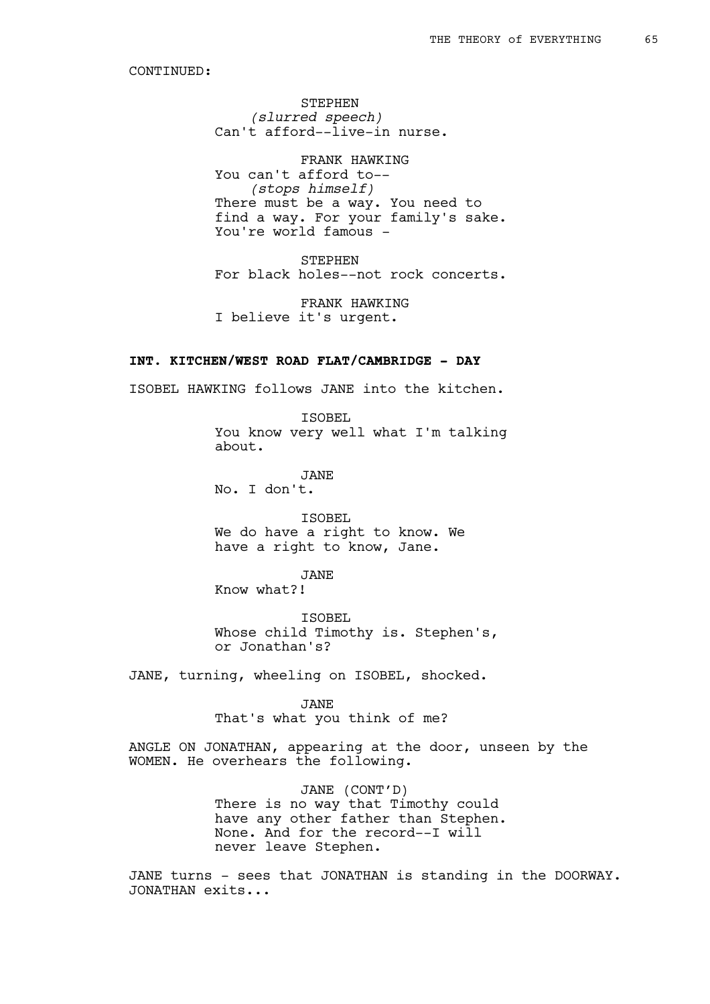STEPHEN *(slurred speech)* Can't afford--live-in nurse.

FRANK HAWKING You can't afford to-- *(stops himself)* There must be a way. You need to find a way. For your family's sake. You're world famous -

STEPHEN For black holes--not rock concerts.

FRANK HAWKING I believe it's urgent.

# **INT. KITCHEN/WEST ROAD FLAT/CAMBRIDGE - DAY**

ISOBEL HAWKING follows JANE into the kitchen.

ISOBEL You know very well what I'm talking about.

JANE No. I don't.

ISOBEL We do have a right to know. We

have a right to know, Jane.

JANE

Know what?!

ISOBEL Whose child Timothy is. Stephen's, or Jonathan's?

JANE, turning, wheeling on ISOBEL, shocked.

JANE That's what you think of me?

ANGLE ON JONATHAN, appearing at the door, unseen by the WOMEN. He overhears the following.

> JANE (CONT'D) There is no way that Timothy could have any other father than Stephen. None. And for the record--I will never leave Stephen.

JANE turns - sees that JONATHAN is standing in the DOORWAY. JONATHAN exits...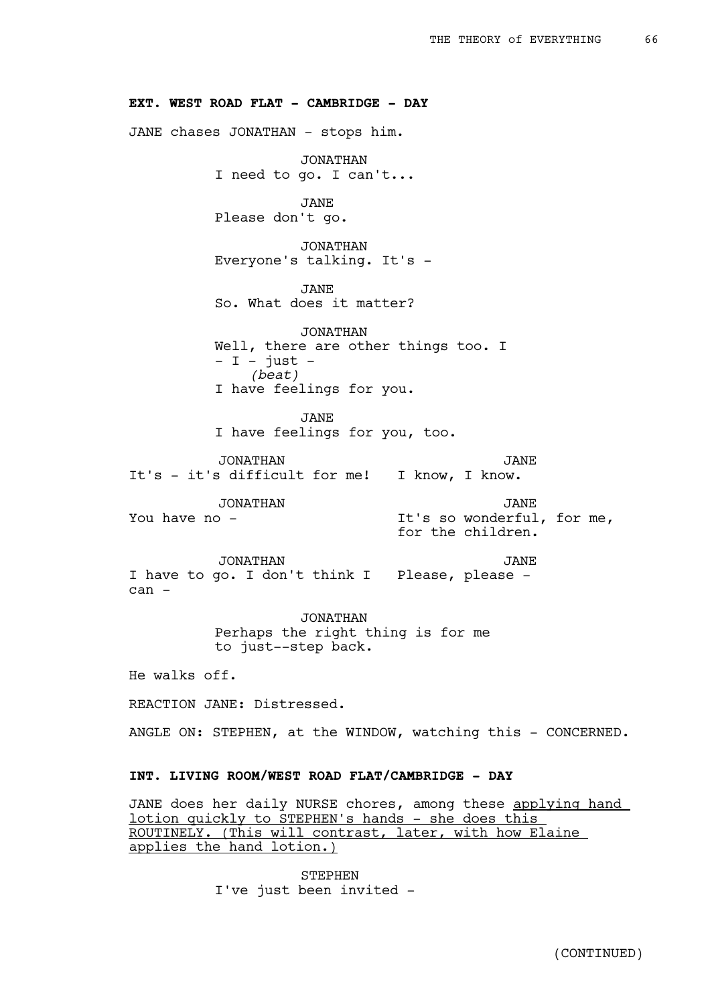### **EXT. WEST ROAD FLAT - CAMBRIDGE - DAY**

JANE chases JONATHAN - stops him.

JONATHAN I need to go. I can't...

JANE Please don't go.

JONATHAN Everyone's talking. It's -

JANE So. What does it matter?

JONATHAN Well, there are other things too. I  $-$  I - just -*(beat)* I have feelings for you.

JANE I have feelings for you, too.

JONATHAN It's - it's difficult for me! I know, I know. JANE

JONATHAN You have no - JANE It's so wonderful, for me, for the children.

JONATHAN I have to go. I don't think I Please, please can - JANE

> JONATHAN Perhaps the right thing is for me to just--step back.

He walks off.

REACTION JANE: Distressed.

ANGLE ON: STEPHEN, at the WINDOW, watching this - CONCERNED.

## **INT. LIVING ROOM/WEST ROAD FLAT/CAMBRIDGE - DAY**

JANE does her daily NURSE chores, among these applying hand lotion quickly to STEPHEN's hands - she does this ROUTINELY. (This will contrast, later, with how Elaine applies the hand lotion.)

> STEPHEN I've just been invited -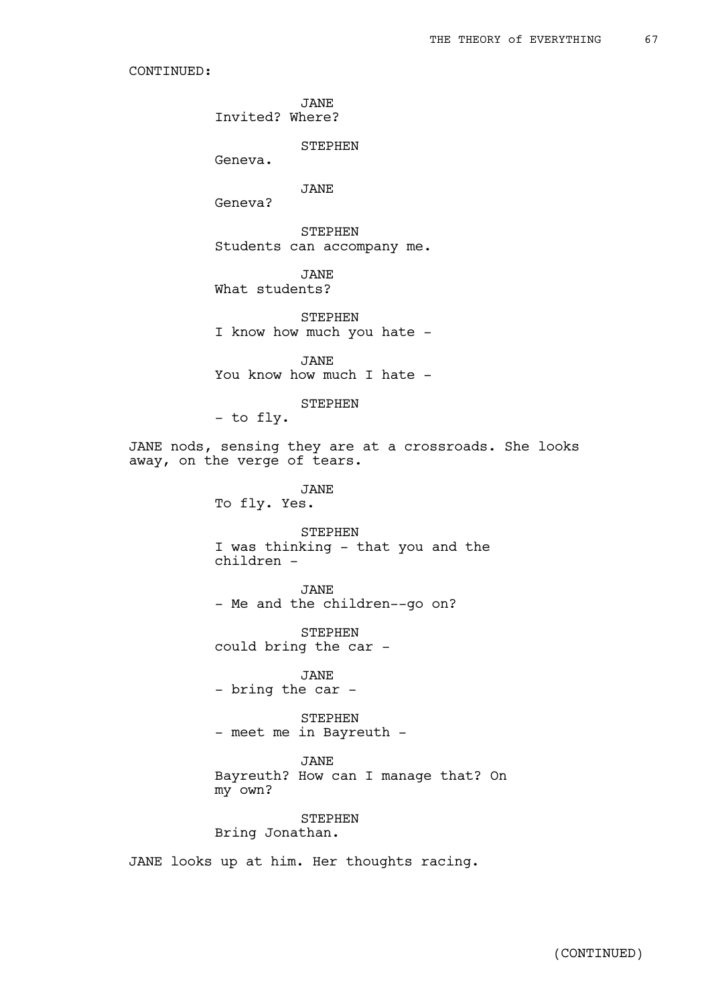JANE Invited? Where?

STEPHEN

Geneva.

JANE

Geneva?

STEPHEN Students can accompany me.

JANE What students?

STEPHEN I know how much you hate -

JANE You know how much I hate -

STEPHEN

- to fly.

JANE nods, sensing they are at a crossroads. She looks away, on the verge of tears.

> JANE To fly. Yes.

STEPHEN I was thinking - that you and the children -

JANE - Me and the children--go on?

STEPHEN could bring the car -

JANE - bring the car -

STEPHEN - meet me in Bayreuth -

JANE Bayreuth? How can I manage that? On my own?

STEPHEN Bring Jonathan.

JANE looks up at him. Her thoughts racing.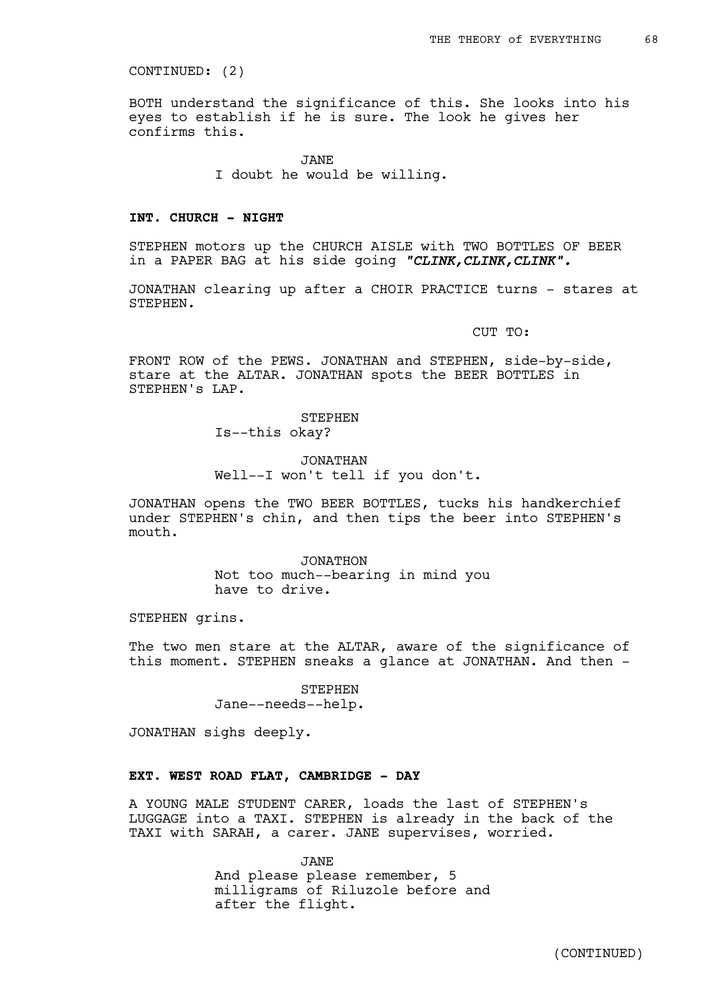CONTINUED: (2)

BOTH understand the significance of this. She looks into his eyes to establish if he is sure. The look he gives her confirms this.

JANE

I doubt he would be willing.

### **INT. CHURCH - NIGHT**

STEPHEN motors up the CHURCH AISLE with TWO BOTTLES OF BEER in a PAPER BAG at his side going *"CLINK,CLINK,CLINK".*

JONATHAN clearing up after a CHOIR PRACTICE turns - stares at STEPHEN.

CUT TO:

FRONT ROW of the PEWS. JONATHAN and STEPHEN, side-by-side, stare at the ALTAR. JONATHAN spots the BEER BOTTLES in STEPHEN's LAP.

> STEPHEN Is--this okay?

JONATHAN Well--I won't tell if you don't.

JONATHAN opens the TWO BEER BOTTLES, tucks his handkerchief under STEPHEN's chin, and then tips the beer into STEPHEN's mouth.

> JONATHON Not too much--bearing in mind you have to drive.

STEPHEN grins.

The two men stare at the ALTAR, aware of the significance of this moment. STEPHEN sneaks a glance at JONATHAN. And then -

> STEPHEN Jane--needs--help.

JONATHAN sighs deeply.

# **EXT. WEST ROAD FLAT, CAMBRIDGE - DAY**

A YOUNG MALE STUDENT CARER, loads the last of STEPHEN's LUGGAGE into a TAXI. STEPHEN is already in the back of the TAXI with SARAH, a carer. JANE supervises, worried.

> JANE And please please remember, 5 milligrams of Riluzole before and after the flight.

> > (CONTINUED)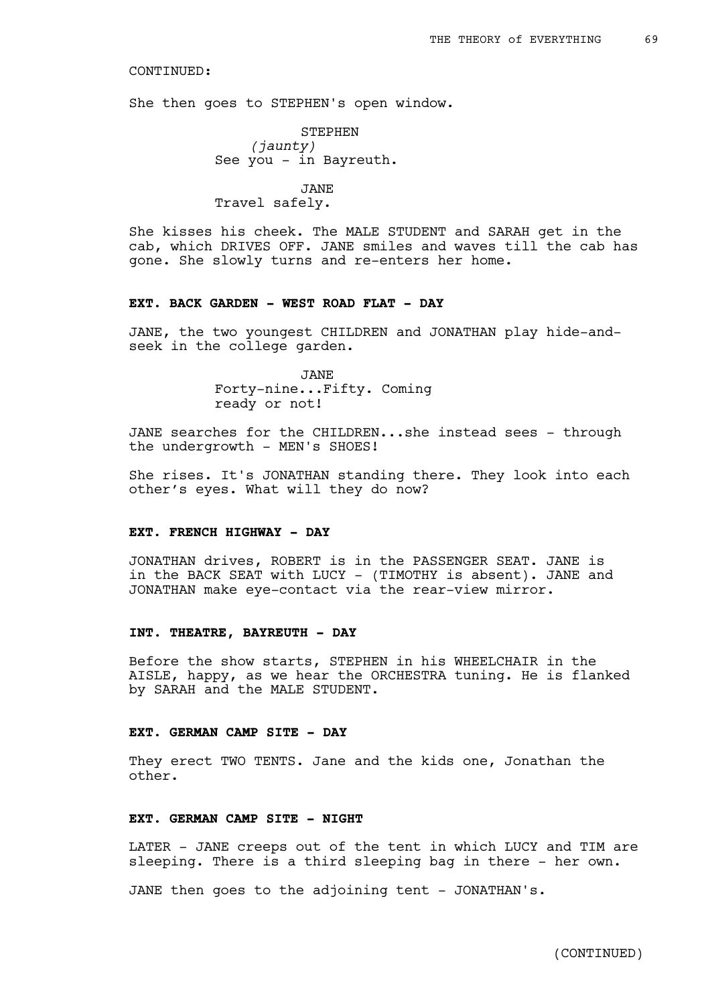She then goes to STEPHEN's open window.

STEPHEN *(jaunty)* See you - in Bayreuth.

JANE Travel safely.

She kisses his cheek. The MALE STUDENT and SARAH get in the cab, which DRIVES OFF. JANE smiles and waves till the cab has gone. She slowly turns and re-enters her home.

## **EXT. BACK GARDEN - WEST ROAD FLAT - DAY**

JANE, the two youngest CHILDREN and JONATHAN play hide-andseek in the college garden.

> JANE Forty-nine...Fifty. Coming ready or not!

JANE searches for the CHILDREN...she instead sees - through the undergrowth - MEN's SHOES!

She rises. It's JONATHAN standing there. They look into each other's eyes. What will they do now?

### **EXT. FRENCH HIGHWAY - DAY**

JONATHAN drives, ROBERT is in the PASSENGER SEAT. JANE is in the BACK SEAT with LUCY - (TIMOTHY is absent). JANE and JONATHAN make eye-contact via the rear-view mirror.

### **INT. THEATRE, BAYREUTH - DAY**

Before the show starts, STEPHEN in his WHEELCHAIR in the AISLE, happy, as we hear the ORCHESTRA tuning. He is flanked by SARAH and the MALE STUDENT.

### **EXT. GERMAN CAMP SITE - DAY**

They erect TWO TENTS. Jane and the kids one, Jonathan the other.

### **EXT. GERMAN CAMP SITE - NIGHT**

LATER - JANE creeps out of the tent in which LUCY and TIM are sleeping. There is a third sleeping bag in there - her own.

JANE then goes to the adjoining tent - JONATHAN's.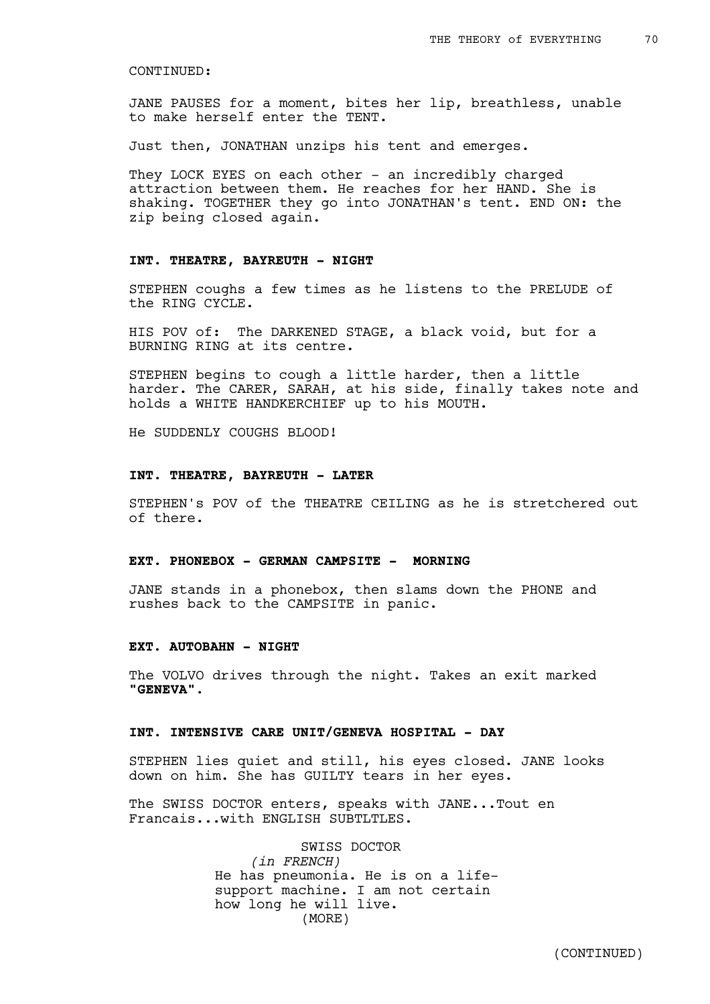JANE PAUSES for a moment, bites her lip, breathless, unable to make herself enter the TENT.

Just then, JONATHAN unzips his tent and emerges.

They LOCK EYES on each other - an incredibly charged attraction between them. He reaches for her HAND. She is shaking. TOGETHER they go into JONATHAN's tent. END ON: the zip being closed again.

### **INT. THEATRE, BAYREUTH - NIGHT**

STEPHEN coughs a few times as he listens to the PRELUDE of the RING CYCLE.

HIS POV of: The DARKENED STAGE, a black void, but for a BURNING RING at its centre.

STEPHEN begins to cough a little harder, then a little harder. The CARER, SARAH, at his side, finally takes note and holds a WHITE HANDKERCHIEF up to his MOUTH.

He SUDDENLY COUGHS BLOOD!

### **INT. THEATRE, BAYREUTH - LATER**

STEPHEN's POV of the THEATRE CEILING as he is stretchered out of there.

### **EXT. PHONEBOX - GERMAN CAMPSITE - MORNING**

JANE stands in a phonebox, then slams down the PHONE and rushes back to the CAMPSITE in panic.

## **EXT. AUTOBAHN - NIGHT**

The VOLVO drives through the night. Takes an exit marked **"GENEVA".** 

### **INT. INTENSIVE CARE UNIT/GENEVA HOSPITAL - DAY**

STEPHEN lies quiet and still, his eyes closed. JANE looks down on him. She has GUILTY tears in her eyes.

The SWISS DOCTOR enters, speaks with JANE...Tout en Francais...with ENGLISH SUBTLTLES.

> SWISS DOCTOR *(in FRENCH)* He has pneumonia. He is on a lifesupport machine. I am not certain how long he will live. (MORE)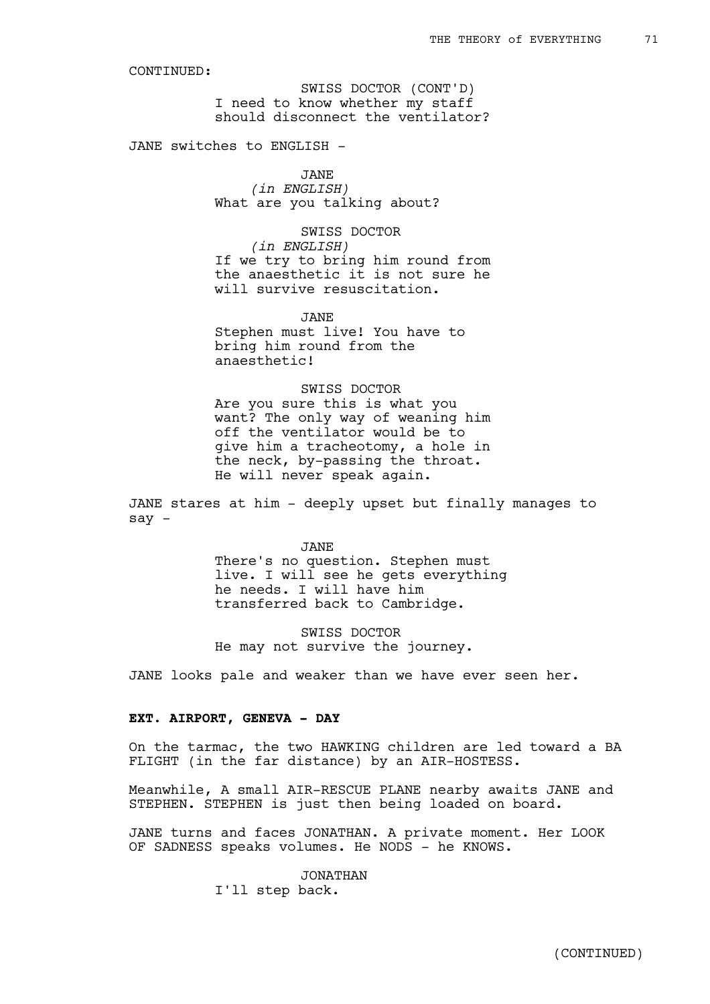I need to know whether my staff should disconnect the ventilator? SWISS DOCTOR (CONT'D)

JANE switches to ENGLISH -

JANE *(in ENGLISH)* What are you talking about?

SWISS DOCTOR *(in ENGLISH)* If we try to bring him round from the anaesthetic it is not sure he will survive resuscitation.

JANE Stephen must live! You have to bring him round from the anaesthetic!

SWISS DOCTOR Are you sure this is what you want? The only way of weaning him off the ventilator would be to give him a tracheotomy, a hole in the neck, by-passing the throat. He will never speak again.

JANE stares at him - deeply upset but finally manages to  $sav -$ 

> JANE There's no question. Stephen must live. I will see he gets everything he needs. I will have him transferred back to Cambridge.

SWISS DOCTOR He may not survive the journey.

JANE looks pale and weaker than we have ever seen her.

# **EXT. AIRPORT, GENEVA - DAY**

On the tarmac, the two HAWKING children are led toward a BA FLIGHT (in the far distance) by an AIR-HOSTESS.

Meanwhile, A small AIR-RESCUE PLANE nearby awaits JANE and STEPHEN. STEPHEN is just then being loaded on board.

JANE turns and faces JONATHAN. A private moment. Her LOOK OF SADNESS speaks volumes. He NODS - he KNOWS.

> JONATHAN I'll step back.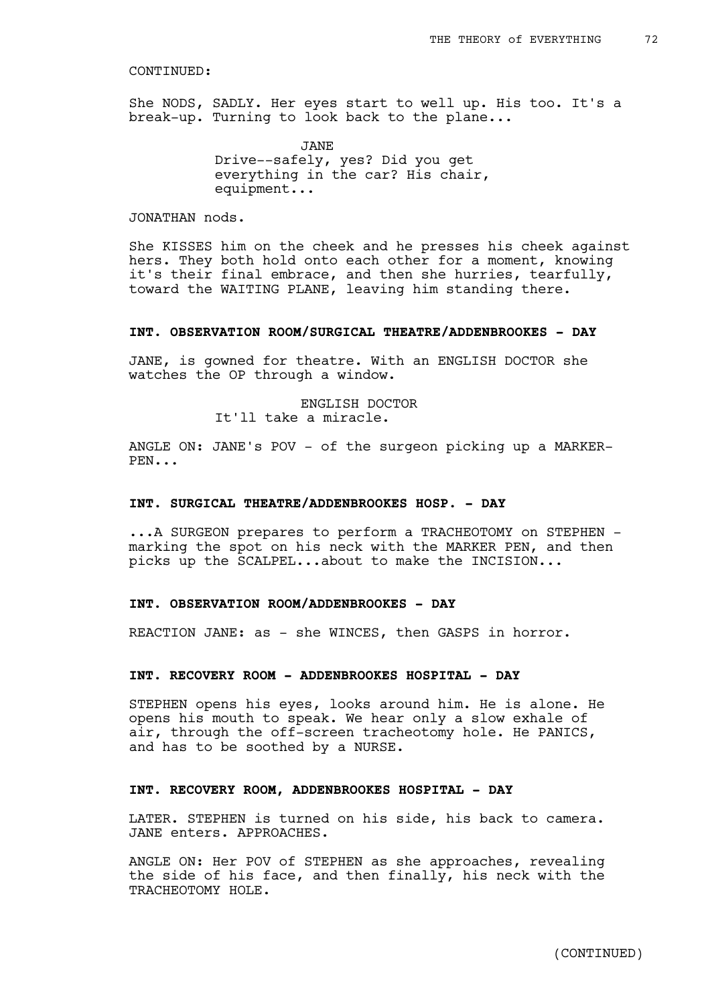She NODS, SADLY. Her eyes start to well up. His too. It's a break-up. Turning to look back to the plane...

> JANE Drive--safely, yes? Did you get everything in the car? His chair, equipment...

# JONATHAN nods.

She KISSES him on the cheek and he presses his cheek against hers. They both hold onto each other for a moment, knowing it's their final embrace, and then she hurries, tearfully, toward the WAITING PLANE, leaving him standing there.

## **INT. OBSERVATION ROOM/SURGICAL THEATRE/ADDENBROOKES - DAY**

JANE, is gowned for theatre. With an ENGLISH DOCTOR she watches the OP through a window.

> ENGLISH DOCTOR It'll take a miracle.

ANGLE ON: JANE's POV - of the surgeon picking up a MARKER-PEN...

## **INT. SURGICAL THEATRE/ADDENBROOKES HOSP. - DAY**

...A SURGEON prepares to perform a TRACHEOTOMY on STEPHEN marking the spot on his neck with the MARKER PEN, and then picks up the SCALPEL...about to make the INCISION...

### **INT. OBSERVATION ROOM/ADDENBROOKES - DAY**

REACTION JANE: as - she WINCES, then GASPS in horror.

## **INT. RECOVERY ROOM - ADDENBROOKES HOSPITAL - DAY**

STEPHEN opens his eyes, looks around him. He is alone. He opens his mouth to speak. We hear only a slow exhale of air, through the off-screen tracheotomy hole. He PANICS, and has to be soothed by a NURSE.

# **INT. RECOVERY ROOM, ADDENBROOKES HOSPITAL - DAY**

LATER. STEPHEN is turned on his side, his back to camera. JANE enters. APPROACHES.

ANGLE ON: Her POV of STEPHEN as she approaches, revealing the side of his face, and then finally, his neck with the TRACHEOTOMY HOLE.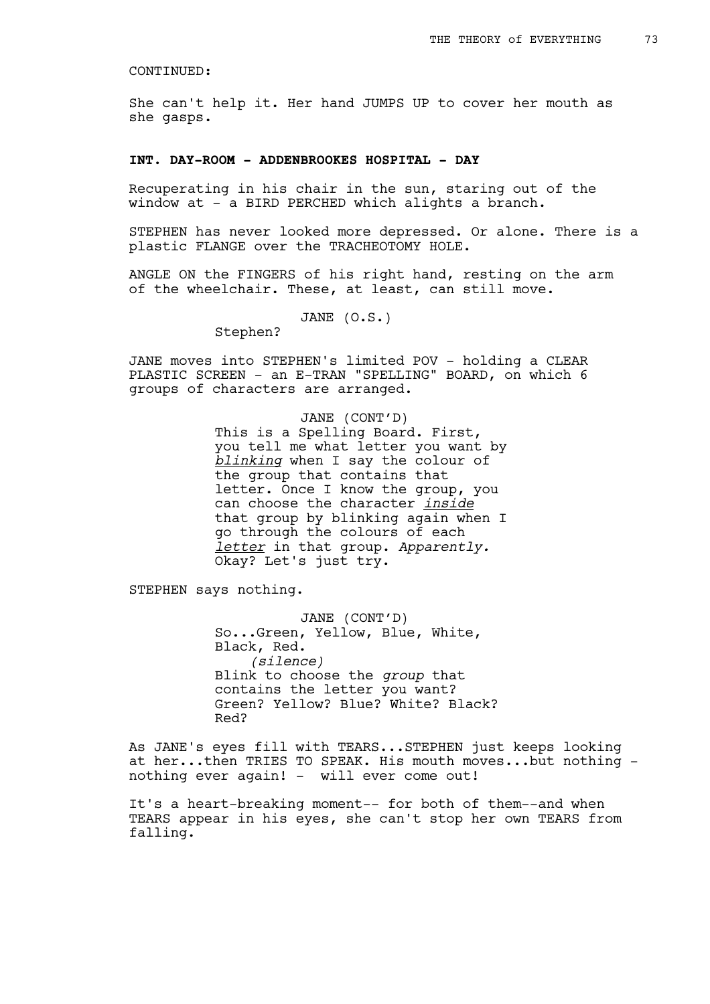She can't help it. Her hand JUMPS UP to cover her mouth as she gasps.

### **INT. DAY-ROOM - ADDENBROOKES HOSPITAL - DAY**

Recuperating in his chair in the sun, staring out of the window at - a BIRD PERCHED which alights a branch.

STEPHEN has never looked more depressed. Or alone. There is a plastic FLANGE over the TRACHEOTOMY HOLE.

ANGLE ON the FINGERS of his right hand, resting on the arm of the wheelchair. These, at least, can still move.

JANE (O.S.)

Stephen?

JANE moves into STEPHEN's limited POV - holding a CLEAR PLASTIC SCREEN - an E-TRAN "SPELLING" BOARD, on which 6 groups of characters are arranged.

## JANE (CONT'D)

This is a Spelling Board. First, you tell me what letter you want by *blinking* when I say the colour of the group that contains that letter. Once I know the group, you can choose the character *inside* that group by blinking again when I go through the colours of each *letter* in that group. *Apparently.*  Okay? Let's just try.

STEPHEN says nothing.

JANE (CONT'D) So...Green, Yellow, Blue, White, Black, Red. *(silence)* Blink to choose the *group* that contains the letter you want? Green? Yellow? Blue? White? Black? Red?

As JANE's eyes fill with TEARS...STEPHEN just keeps looking at her...then TRIES TO SPEAK. His mouth moves...but nothing nothing ever again! - will ever come out!

It's a heart-breaking moment-- for both of them--and when TEARS appear in his eyes, she can't stop her own TEARS from falling.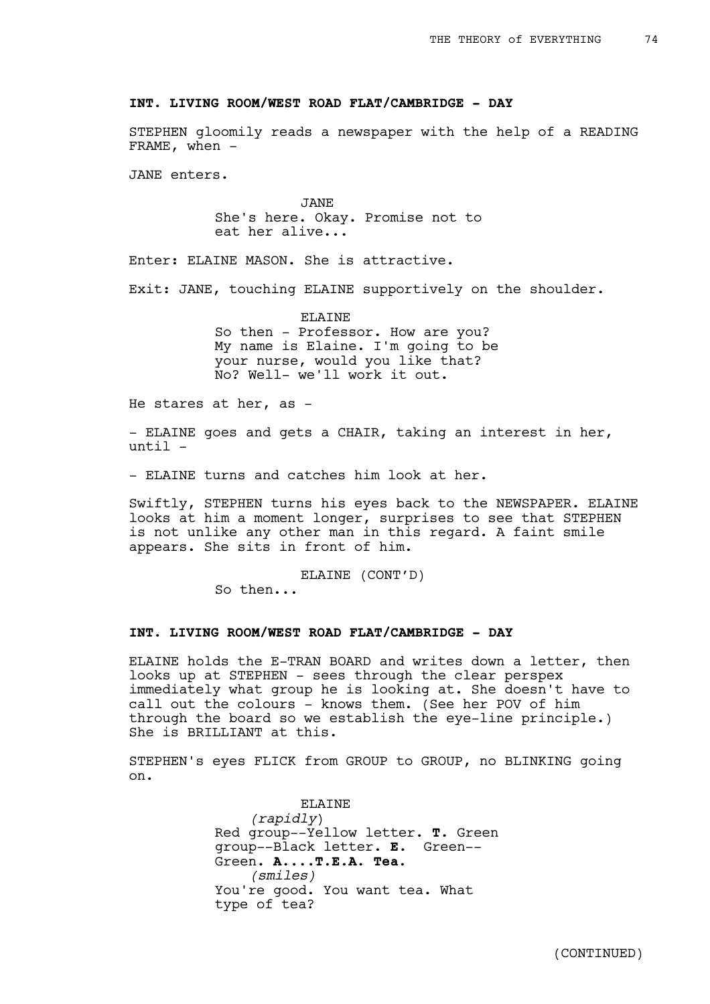## **INT. LIVING ROOM/WEST ROAD FLAT/CAMBRIDGE - DAY**

STEPHEN gloomily reads a newspaper with the help of a READING FRAME, when  $-$ 

JANE enters.

JANE She's here. Okay. Promise not to eat her alive...

Enter: ELAINE MASON. She is attractive.

Exit: JANE, touching ELAINE supportively on the shoulder.

ELAINE So then - Professor. How are you? My name is Elaine. I'm going to be your nurse, would you like that? No? Well- we'll work it out.

He stares at her, as -

- ELAINE goes and gets a CHAIR, taking an interest in her, until -

- ELAINE turns and catches him look at her.

Swiftly, STEPHEN turns his eyes back to the NEWSPAPER. ELAINE looks at him a moment longer, surprises to see that STEPHEN is not unlike any other man in this regard. A faint smile appears. She sits in front of him.

ELAINE (CONT'D)

So then...

# **INT. LIVING ROOM/WEST ROAD FLAT/CAMBRIDGE - DAY**

ELAINE holds the E-TRAN BOARD and writes down a letter, then looks up at STEPHEN - sees through the clear perspex immediately what group he is looking at. She doesn't have to call out the colours - knows them. (See her POV of him through the board so we establish the eye-line principle.) She is BRILLIANT at this.

STEPHEN's eyes FLICK from GROUP to GROUP, no BLINKING going on.

> **ELAINE** *(rapidly*) Red group--Yellow letter. **T**. Green group--Black letter. **E.** Green-- Green. **A**.**...T.E.A. Tea.**  *(smiles)* You're good. You want tea. What type of tea?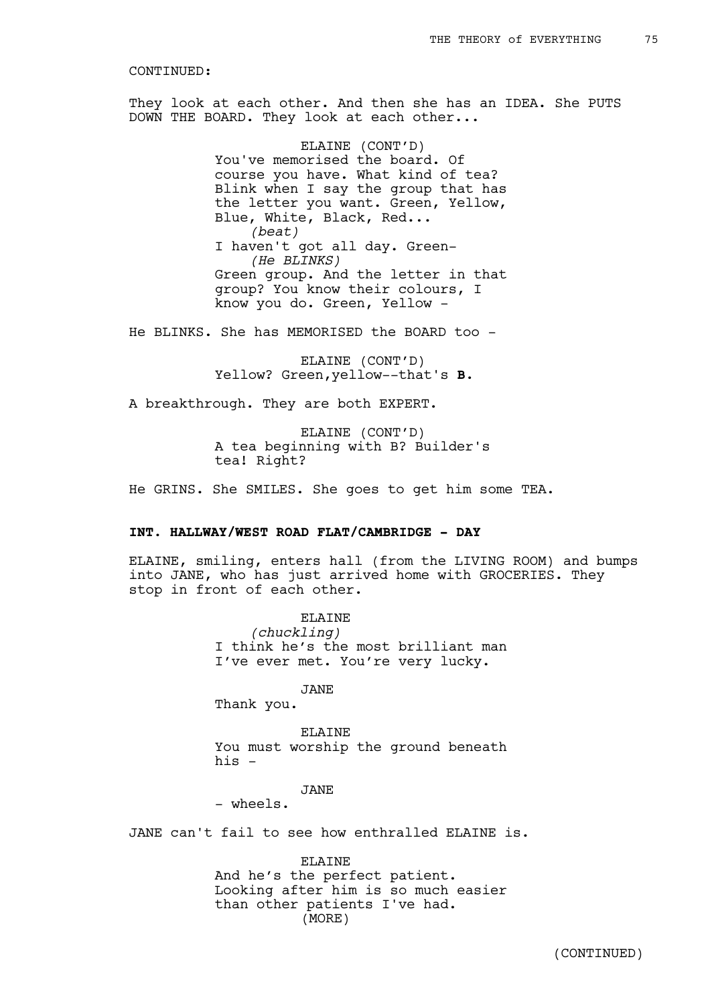They look at each other. And then she has an IDEA. She PUTS DOWN THE BOARD. They look at each other...

> ELAINE (CONT'D) You've memorised the board. Of course you have. What kind of tea? Blink when I say the group that has the letter you want. Green, Yellow, Blue, White, Black, Red... *(beat)* I haven't got all day. Green- *(He BLINKS)* Green group. And the letter in that group? You know their colours, I know you do. Green, Yellow -

He BLINKS. She has MEMORISED the BOARD too -

ELAINE (CONT'D) Yellow? Green,yellow--that's **B**.

A breakthrough. They are both EXPERT.

ELAINE (CONT'D) A tea beginning with B? Builder's tea! Right?

He GRINS. She SMILES. She goes to get him some TEA.

# **INT. HALLWAY/WEST ROAD FLAT/CAMBRIDGE - DAY**

ELAINE, smiling, enters hall (from the LIVING ROOM) and bumps into JANE, who has just arrived home with GROCERIES. They stop in front of each other.

> ELAINE *(chuckling)* I think he's the most brilliant man I've ever met. You're very lucky.

JANE Thank you.

ELAINE You must worship the ground beneath

his  $-$ 

JANE

- wheels.

JANE can't fail to see how enthralled ELAINE is.

ELAINE And he's the perfect patient. Looking after him is so much easier than other patients I've had. (MORE)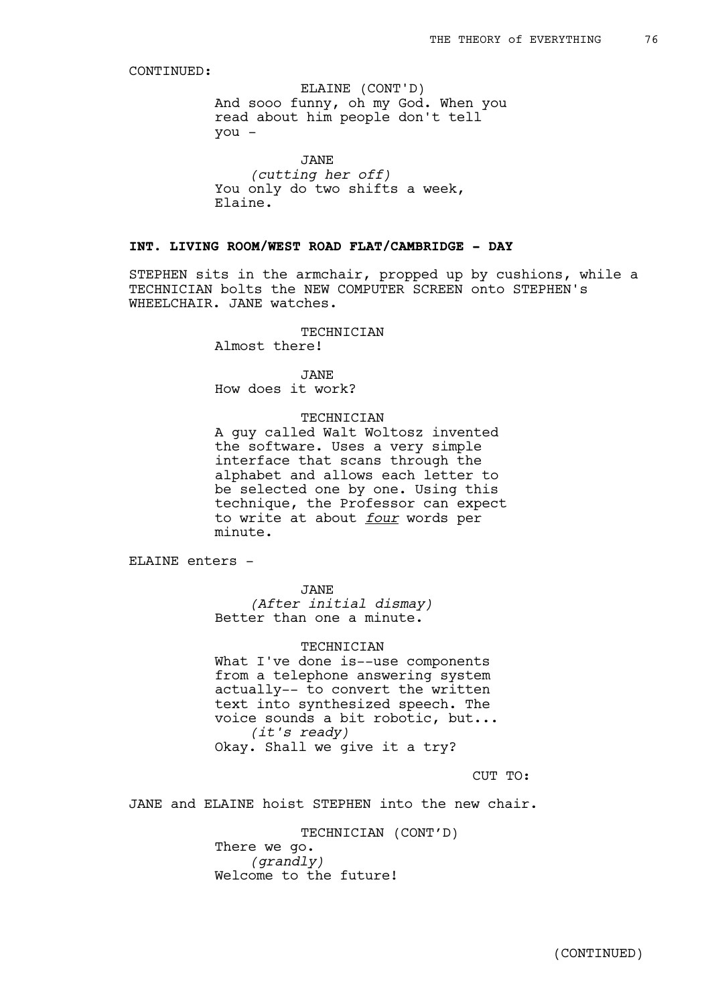And sooo funny, oh my God. When you read about him people don't tell you - ELAINE (CONT'D)

JANE *(cutting her off)* You only do two shifts a week, Elaine.

# **INT. LIVING ROOM/WEST ROAD FLAT/CAMBRIDGE - DAY**

STEPHEN sits in the armchair, propped up by cushions, while a TECHNICIAN bolts the NEW COMPUTER SCREEN onto STEPHEN's WHEELCHAIR. JANE watches.

## TECHNICIAN

Almost there!

JANE How does it work?

#### TECHNICIAN

A guy called Walt Woltosz invented the software. Uses a very simple interface that scans through the alphabet and allows each letter to be selected one by one. Using this technique, the Professor can expect to write at about *four* words per minute.

ELAINE enters -

JANE *(After initial dismay)* Better than one a minute.

### TECHNICIAN

What I've done is--use components from a telephone answering system actually-- to convert the written text into synthesized speech. The voice sounds a bit robotic, but... *(it's ready)* Okay. Shall we give it a try?

CUT TO:

JANE and ELAINE hoist STEPHEN into the new chair.

TECHNICIAN (CONT'D)

There we go. *(grandly)* Welcome to the future!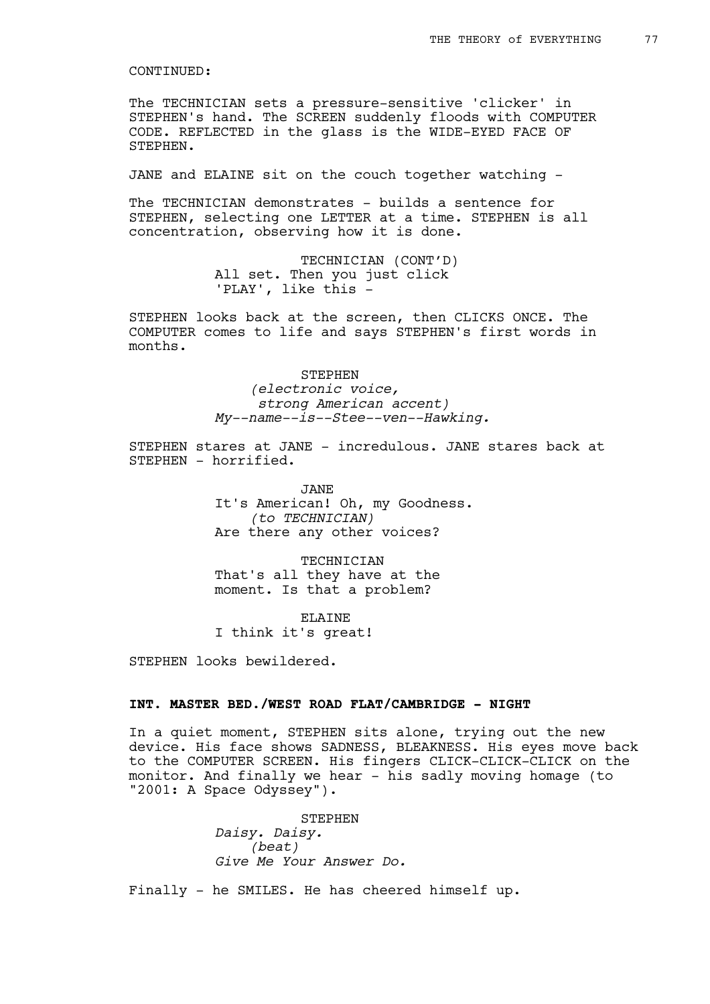The TECHNICIAN sets a pressure-sensitive 'clicker' in STEPHEN's hand. The SCREEN suddenly floods with COMPUTER CODE. REFLECTED in the glass is the WIDE-EYED FACE OF STEPHEN.

JANE and ELAINE sit on the couch together watching -

The TECHNICIAN demonstrates - builds a sentence for STEPHEN, selecting one LETTER at a time. STEPHEN is all concentration, observing how it is done.

> TECHNICIAN (CONT'D) All set. Then you just click 'PLAY', like this -

STEPHEN looks back at the screen, then CLICKS ONCE. The COMPUTER comes to life and says STEPHEN's first words in months.

> STEPHEN *(electronic voice, strong American accent) My--name--is--Stee--ven--Hawking.*

STEPHEN stares at JANE - incredulous. JANE stares back at STEPHEN - horrified.

> JANE It's American! Oh, my Goodness. *(to TECHNICIAN)* Are there any other voices?

TECHNICIAN That's all they have at the moment. Is that a problem?

ELAINE I think it's great!

STEPHEN looks bewildered.

# **INT. MASTER BED./WEST ROAD FLAT/CAMBRIDGE - NIGHT**

In a quiet moment, STEPHEN sits alone, trying out the new device. His face shows SADNESS, BLEAKNESS. His eyes move back to the COMPUTER SCREEN. His fingers CLICK-CLICK-CLICK on the monitor. And finally we hear - his sadly moving homage (to "2001: A Space Odyssey").

> STEPHEN *Daisy. Daisy. (beat) Give Me Your Answer Do.*

Finally - he SMILES. He has cheered himself up.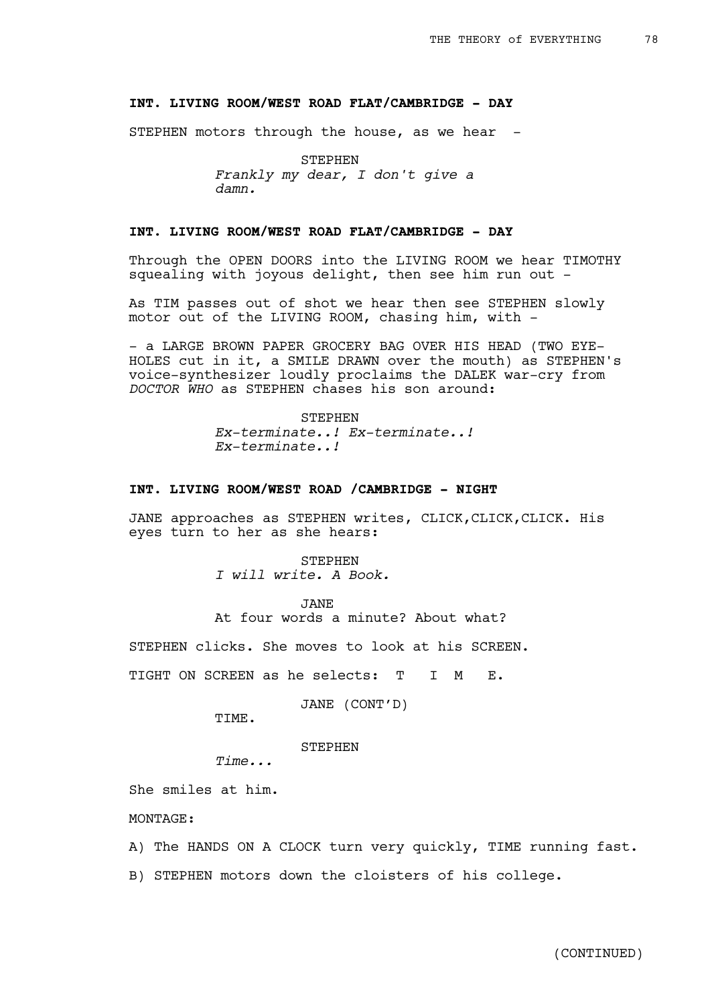# **INT. LIVING ROOM/WEST ROAD FLAT/CAMBRIDGE - DAY**

STEPHEN motors through the house, as we hear  $-$ 

STEPHEN *Frankly my dear, I don't give a damn.*

# **INT. LIVING ROOM/WEST ROAD FLAT/CAMBRIDGE - DAY**

Through the OPEN DOORS into the LIVING ROOM we hear TIMOTHY squealing with joyous delight, then see him run out -

As TIM passes out of shot we hear then see STEPHEN slowly motor out of the LIVING ROOM, chasing him, with -

- a LARGE BROWN PAPER GROCERY BAG OVER HIS HEAD (TWO EYE-HOLES cut in it, a SMILE DRAWN over the mouth) as STEPHEN's voice-synthesizer loudly proclaims the DALEK war-cry from *DOCTOR WHO* as STEPHEN chases his son around:

> STEPHEN *Ex-terminate..! Ex-terminate..! Ex-terminate..!*

# **INT. LIVING ROOM/WEST ROAD /CAMBRIDGE - NIGHT**

JANE approaches as STEPHEN writes, CLICK, CLICK, CLICK. His eyes turn to her as she hears:

STEPHEN

*I will write. A Book.* 

JANE

At four words a minute? About what?

STEPHEN clicks. She moves to look at his SCREEN.

TIGHT ON SCREEN as he selects: T I M E.

JANE (CONT'D)

TIME.

STEPHEN

*Time...*

She smiles at him.

MONTAGE:

- A) The HANDS ON A CLOCK turn very quickly, TIME running fast.
- B) STEPHEN motors down the cloisters of his college.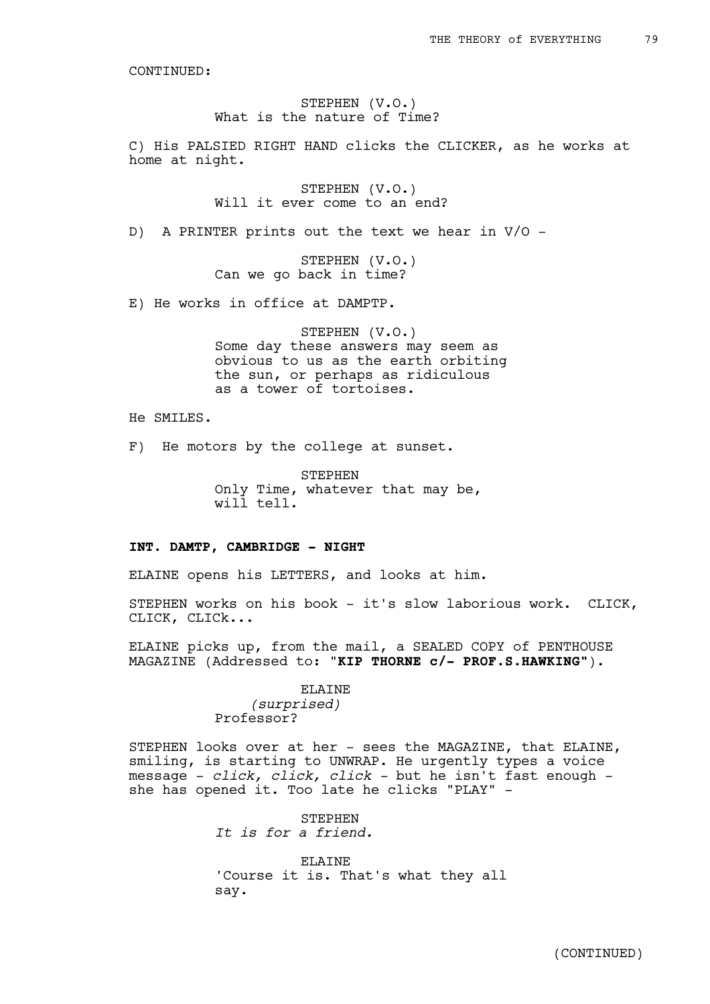## STEPHEN (V.O.) What is the nature of Time?

C) His PALSIED RIGHT HAND clicks the CLICKER, as he works at home at night.

> STEPHEN (V.O.) Will it ever come to an end?

D) A PRINTER prints out the text we hear in V/O -

STEPHEN (V.O.) Can we go back in time?

E) He works in office at DAMPTP.

STEPHEN (V.O.) Some day these answers may seem as obvious to us as the earth orbiting the sun, or perhaps as ridiculous as a tower of tortoises.

He SMILES.

F) He motors by the college at sunset.

STEPHEN Only Time, whatever that may be, will tell.

## **INT. DAMTP, CAMBRIDGE - NIGHT**

ELAINE opens his LETTERS, and looks at him.

STEPHEN works on his book - it's slow laborious work. CLICK, CLICK, CLICk...

ELAINE picks up, from the mail, a SEALED COPY of PENTHOUSE MAGAZINE (Addressed to: "**KIP THORNE c/- PROF.S.HAWKING"**).

> ELAINE *(surprised)* Professor?

STEPHEN looks over at her - sees the MAGAZINE, that ELAINE, smiling, is starting to UNWRAP. He urgently types a voice message - *click, click, click* - but he isn't fast enough she has opened it. Too late he clicks "PLAY" -

> **STEPHEN** *It is for a friend.*

ELAINE 'Course it is. That's what they all say.

(CONTINUED)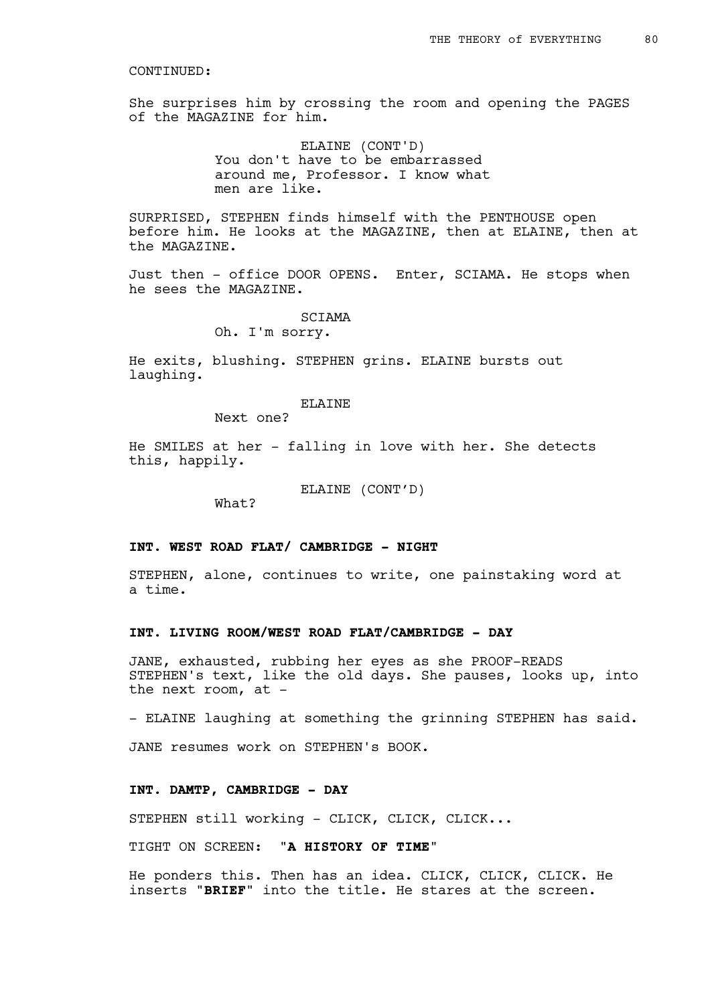She surprises him by crossing the room and opening the PAGES of the MAGAZINE for him.

> ELAINE (CONT'D) You don't have to be embarrassed around me, Professor. I know what men are like.

SURPRISED, STEPHEN finds himself with the PENTHOUSE open before him. He looks at the MAGAZINE, then at ELAINE, then at the MAGAZINE.

Just then - office DOOR OPENS. Enter, SCIAMA. He stops when he sees the MAGAZINE.

> SCIAMA Oh. I'm sorry.

He exits, blushing. STEPHEN grins. ELAINE bursts out laughing.

## ELAINE

Next one?

He SMILES at her - falling in love with her. She detects this, happily.

ELAINE (CONT'D)

What?

# **INT. WEST ROAD FLAT/ CAMBRIDGE - NIGHT**

STEPHEN, alone, continues to write, one painstaking word at a time.

## **INT. LIVING ROOM/WEST ROAD FLAT/CAMBRIDGE - DAY**

JANE, exhausted, rubbing her eyes as she PROOF-READS STEPHEN's text, like the old days. She pauses, looks up, into the next room, at -

- ELAINE laughing at something the grinning STEPHEN has said.

JANE resumes work on STEPHEN's BOOK.

# **INT. DAMTP, CAMBRIDGE - DAY**

STEPHEN still working - CLICK, CLICK, CLICK...

TIGHT ON SCREEN: "**A HISTORY OF TIME**"

He ponders this. Then has an idea. CLICK, CLICK, CLICK. He inserts "**BRIEF**" into the title. He stares at the screen.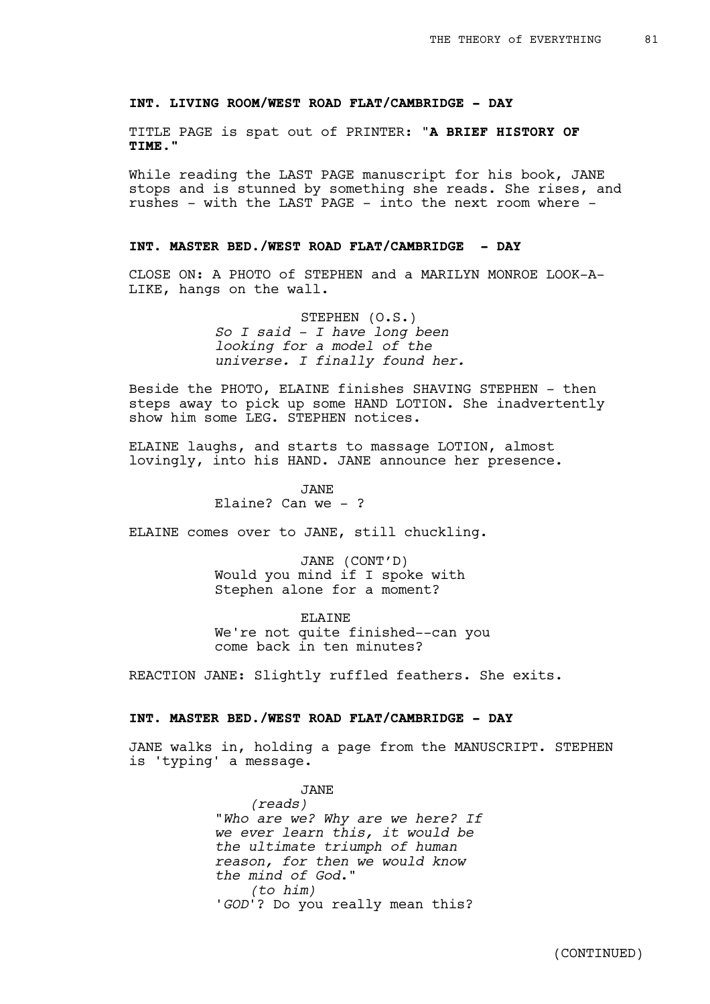## **INT. LIVING ROOM/WEST ROAD FLAT/CAMBRIDGE - DAY**

TITLE PAGE is spat out of PRINTER: "**A BRIEF HISTORY OF TIME."**

While reading the LAST PAGE manuscript for his book, JANE stops and is stunned by something she reads. She rises, and rushes - with the LAST PAGE - into the next room where -

# **INT. MASTER BED./WEST ROAD FLAT/CAMBRIDGE - DAY**

CLOSE ON: A PHOTO of STEPHEN and a MARILYN MONROE LOOK-A-LIKE, hangs on the wall.

> STEPHEN (O.S.) *So I said - I have long been looking for a model of the universe. I finally found her.*

Beside the PHOTO, ELAINE finishes SHAVING STEPHEN - then steps away to pick up some HAND LOTION. She inadvertently show him some LEG. STEPHEN notices.

ELAINE laughs, and starts to massage LOTION, almost lovingly, into his HAND. JANE announce her presence.

> JANE Elaine? Can we  $-$  ?

ELAINE comes over to JANE, still chuckling.

JANE (CONT'D) Would you mind if I spoke with Stephen alone for a moment?

ELAINE We're not quite finished--can you come back in ten minutes?

REACTION JANE: Slightly ruffled feathers. She exits.

# **INT. MASTER BED./WEST ROAD FLAT/CAMBRIDGE - DAY**

JANE walks in, holding a page from the MANUSCRIPT. STEPHEN is 'typing' a message.

> JANE *(reads)* "*Who are we? Why are we here? If we ever learn this, it would be the ultimate triumph of human reason, for then we would know the mind of God*." *(to him)* '*GOD*'? Do you really mean this?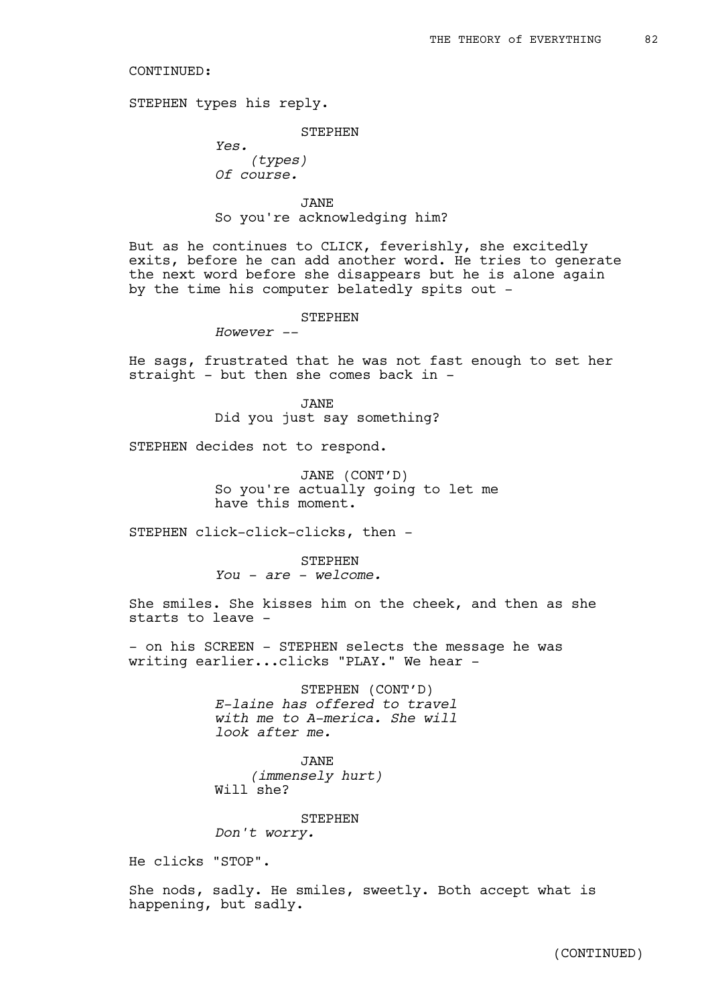STEPHEN types his reply.

#### STEPHEN

*Yes. (types) Of course.* 

# JANE So you're acknowledging him?

But as he continues to CLICK, feverishly, she excitedly exits, before he can add another word. He tries to generate the next word before she disappears but he is alone again by the time his computer belatedly spits out -

#### STEPHEN

*However --*

He sags, frustrated that he was not fast enough to set her straight - but then she comes back in -

> JANE Did you just say something?

STEPHEN decides not to respond.

JANE (CONT'D) So you're actually going to let me have this moment.

STEPHEN click-click-clicks, then -

STEPHEN *You - are - welcome.*

She smiles. She kisses him on the cheek, and then as she starts to leave -

- on his SCREEN - STEPHEN selects the message he was writing earlier...clicks "PLAY." We hear -

> STEPHEN (CONT'D) *E-laine has offered to travel with me to A-merica. She will look after me.*

JANE *(immensely hurt)* Will she?

**STEPHEN** *Don't worry.* 

He clicks "STOP".

She nods, sadly. He smiles, sweetly. Both accept what is happening, but sadly.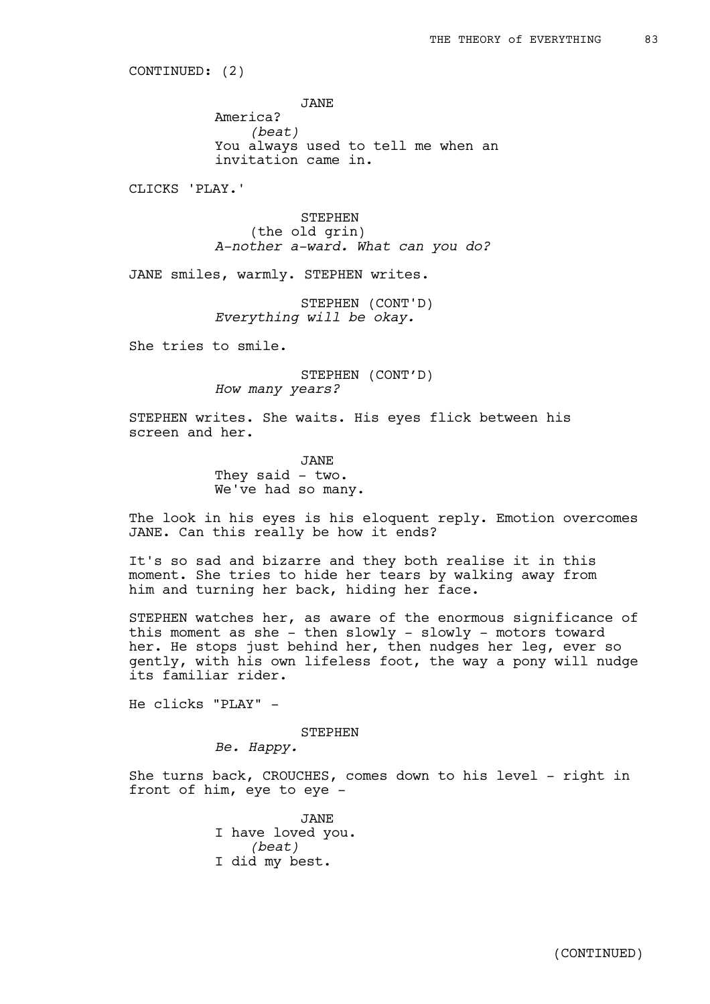CONTINUED: (2)

JANE

America? *(beat)* You always used to tell me when an invitation came in.

CLICKS 'PLAY.'

STEPHEN (the old grin) *A-nother a-ward. What can you do?*

JANE smiles, warmly. STEPHEN writes.

STEPHEN (CONT'D) *Everything will be okay.*

She tries to smile.

STEPHEN (CONT'D) *How many years?*

STEPHEN writes. She waits. His eyes flick between his screen and her.

> JANE They said - two. We've had so many.

The look in his eyes is his eloquent reply. Emotion overcomes JANE. Can this really be how it ends?

It's so sad and bizarre and they both realise it in this moment. She tries to hide her tears by walking away from him and turning her back, hiding her face.

STEPHEN watches her, as aware of the enormous significance of this moment as she - then slowly - slowly - motors toward her. He stops just behind her, then nudges her leg, ever so gently, with his own lifeless foot, the way a pony will nudge its familiar rider.

He clicks "PLAY" -

STEPHEN

*Be. Happy.*

She turns back, CROUCHES, comes down to his level - right in front of him, eye to eye -

> JANE I have loved you. *(beat)* I did my best.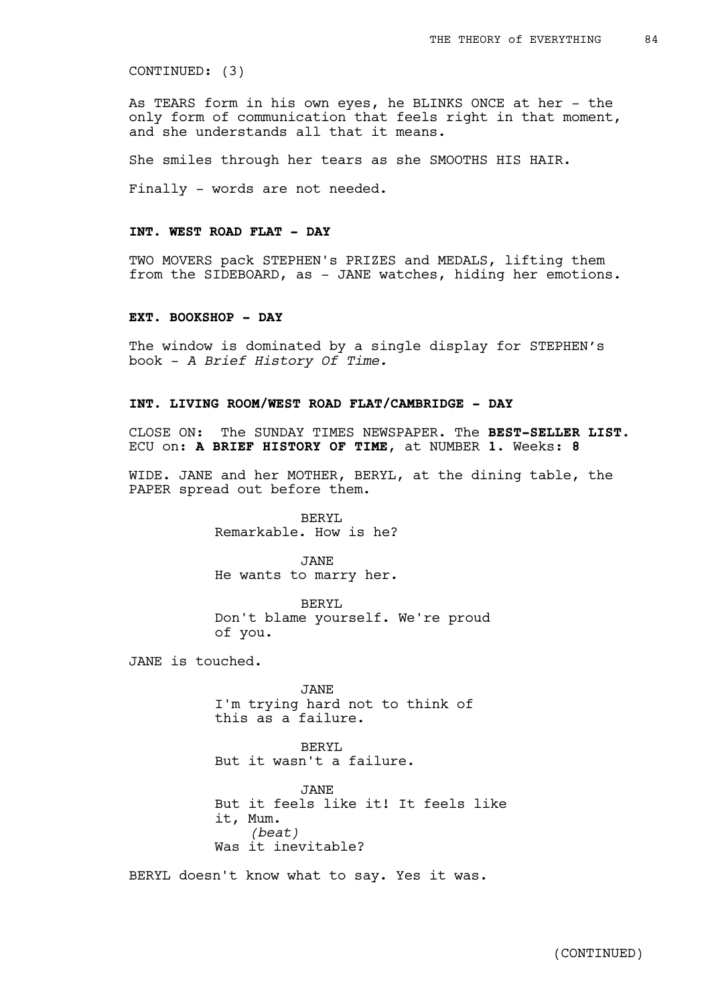CONTINUED: (3)

As TEARS form in his own eyes, he BLINKS ONCE at her - the only form of communication that feels right in that moment, and she understands all that it means.

She smiles through her tears as she SMOOTHS HIS HAIR.

Finally - words are not needed.

# **INT. WEST ROAD FLAT - DAY**

TWO MOVERS pack STEPHEN's PRIZES and MEDALS, lifting them from the SIDEBOARD, as - JANE watches, hiding her emotions.

#### **EXT. BOOKSHOP - DAY**

The window is dominated by a single display for STEPHEN's book - *A Brief History Of Time.*

# **INT. LIVING ROOM/WEST ROAD FLAT/CAMBRIDGE - DAY**

CLOSE ON: The SUNDAY TIMES NEWSPAPER. The **BEST-SELLER LIST**. ECU on: **A BRIEF HISTORY OF TIME**, at NUMBER **1**. Weeks: **8**

WIDE. JANE and her MOTHER, BERYL, at the dining table, the PAPER spread out before them.

> BERYL Remarkable. How is he?

> JANE He wants to marry her.

BERYL Don't blame yourself. We're proud of you.

JANE is touched.

JANE I'm trying hard not to think of this as a failure.

BERYL But it wasn't a failure.

JANE But it feels like it! It feels like it, Mum. *(beat)* Was it inevitable?

BERYL doesn't know what to say. Yes it was.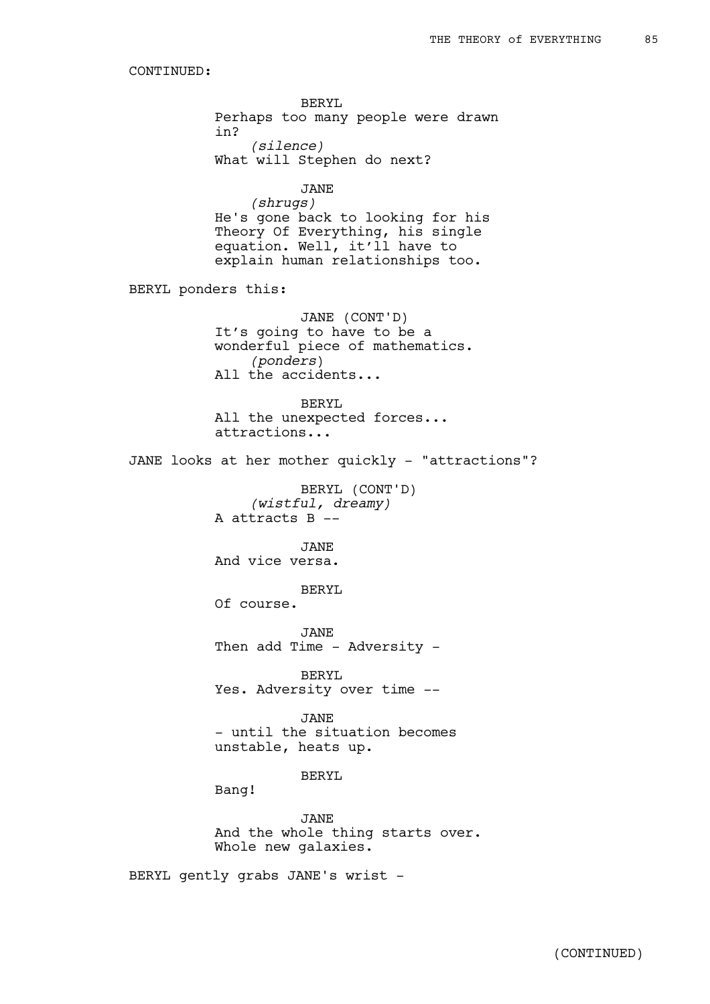BERYL Perhaps too many people were drawn in? *(silence)* What will Stephen do next? JANE *(shrugs)* He's gone back to looking for his Theory Of Everything, his single equation. Well, it'll have to explain human relationships too. BERYL ponders this:

> JANE (CONT'D) It's going to have to be a wonderful piece of mathematics. *(ponders*) All the accidents...

BERYL All the unexpected forces... attractions...

JANE looks at her mother quickly - "attractions"?

BERYL (CONT'D) *(wistful, dreamy)* A attracts B --

JANE And vice versa.

BERYL Of course.

JANE Then add Time - Adversity -

BERYL Yes. Adversity over time --

JANE - until the situation becomes unstable, heats up.

BERYL

Bang!

JANE And the whole thing starts over. Whole new galaxies.

BERYL gently grabs JANE's wrist -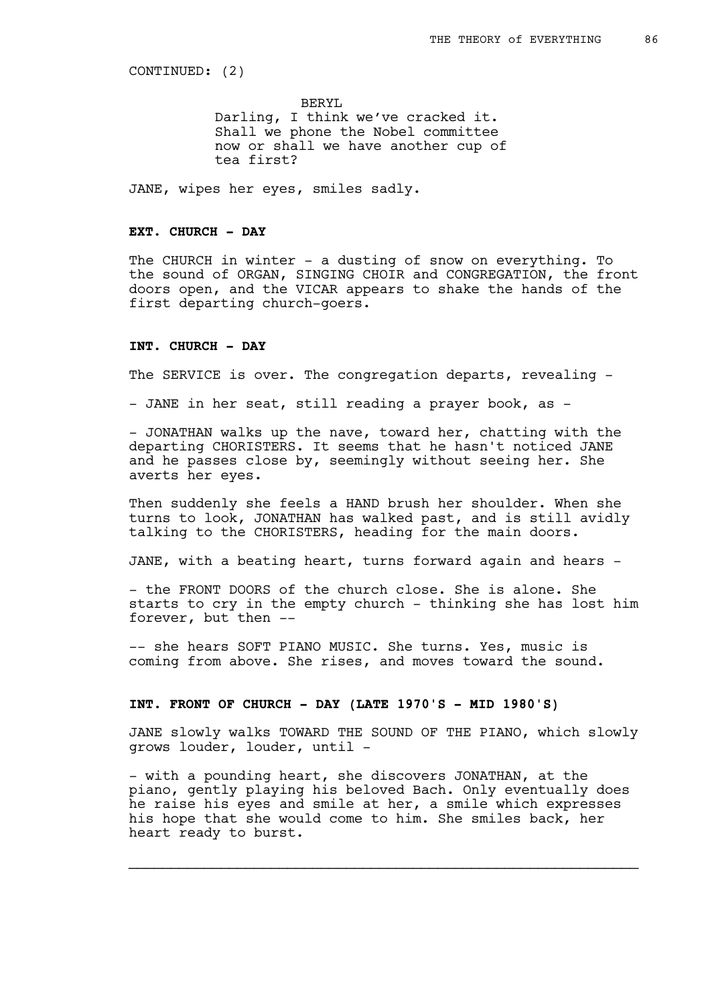CONTINUED: (2)

BERYL Darling, I think we've cracked it. Shall we phone the Nobel committee now or shall we have another cup of tea first?

JANE, wipes her eyes, smiles sadly.

# **EXT. CHURCH - DAY**

The CHURCH in winter - a dusting of snow on everything. To the sound of ORGAN, SINGING CHOIR and CONGREGATION, the front doors open, and the VICAR appears to shake the hands of the first departing church-goers.

## **INT. CHURCH - DAY**

The SERVICE is over. The congregation departs, revealing -

- JANE in her seat, still reading a prayer book, as -

- JONATHAN walks up the nave, toward her, chatting with the departing CHORISTERS. It seems that he hasn't noticed JANE and he passes close by, seemingly without seeing her. She averts her eyes.

Then suddenly she feels a HAND brush her shoulder. When she turns to look, JONATHAN has walked past, and is still avidly talking to the CHORISTERS, heading for the main doors.

JANE, with a beating heart, turns forward again and hears -

- the FRONT DOORS of the church close. She is alone. She starts to cry in the empty church - thinking she has lost him forever, but then --

-- she hears SOFT PIANO MUSIC. She turns. Yes, music is coming from above. She rises, and moves toward the sound.

# **INT. FRONT OF CHURCH - DAY (LATE 1970'S - MID 1980'S)**

JANE slowly walks TOWARD THE SOUND OF THE PIANO, which slowly grows louder, louder, until -

- with a pounding heart, she discovers JONATHAN, at the piano, gently playing his beloved Bach. Only eventually does he raise his eyes and smile at her, a smile which expresses his hope that she would come to him. She smiles back, her heart ready to burst.

 $\mathcal{L}_\text{max}$  , and the contribution of the contribution of the contribution of the contribution of the contribution of the contribution of the contribution of the contribution of the contribution of the contribution of t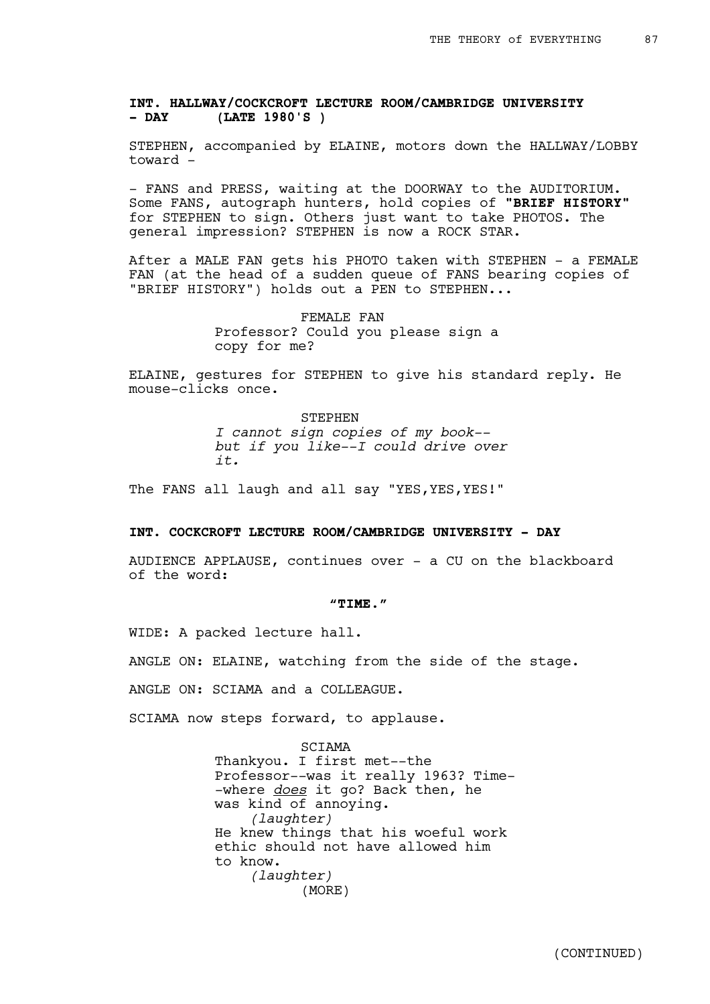**INT. HALLWAY/COCKCROFT LECTURE ROOM/CAMBRIDGE UNIVERSITY - DAY (LATE 1980'S )**

STEPHEN, accompanied by ELAINE, motors down the HALLWAY/LOBBY toward -

- FANS and PRESS, waiting at the DOORWAY to the AUDITORIUM. Some FANS, autograph hunters, hold copies of **"BRIEF HISTORY"** for STEPHEN to sign. Others just want to take PHOTOS. The general impression? STEPHEN is now a ROCK STAR.

After a MALE FAN gets his PHOTO taken with STEPHEN - a FEMALE FAN (at the head of a sudden queue of FANS bearing copies of "BRIEF HISTORY") holds out a PEN to STEPHEN...

> FEMALE FAN Professor? Could you please sign a copy for me?

ELAINE, gestures for STEPHEN to give his standard reply. He mouse-clicks once.

> STEPHEN *I cannot sign copies of my book- but if you like--I could drive over it.*

The FANS all laugh and all say "YES, YES, YES!"

## **INT. COCKCROFT LECTURE ROOM/CAMBRIDGE UNIVERSITY - DAY**

AUDIENCE APPLAUSE, continues over - a CU on the blackboard of the word:

#### **"TIME."**

WIDE: A packed lecture hall.

ANGLE ON: ELAINE, watching from the side of the stage.

ANGLE ON: SCIAMA and a COLLEAGUE.

SCIAMA now steps forward, to applause.

SCIAMA Thankyou. I first met--the Professor--was it really 1963? Time- -where *does* it go? Back then, he was kind of annoying. *(laughter)* He knew things that his woeful work ethic should not have allowed him to know. *(laughter)* (MORE)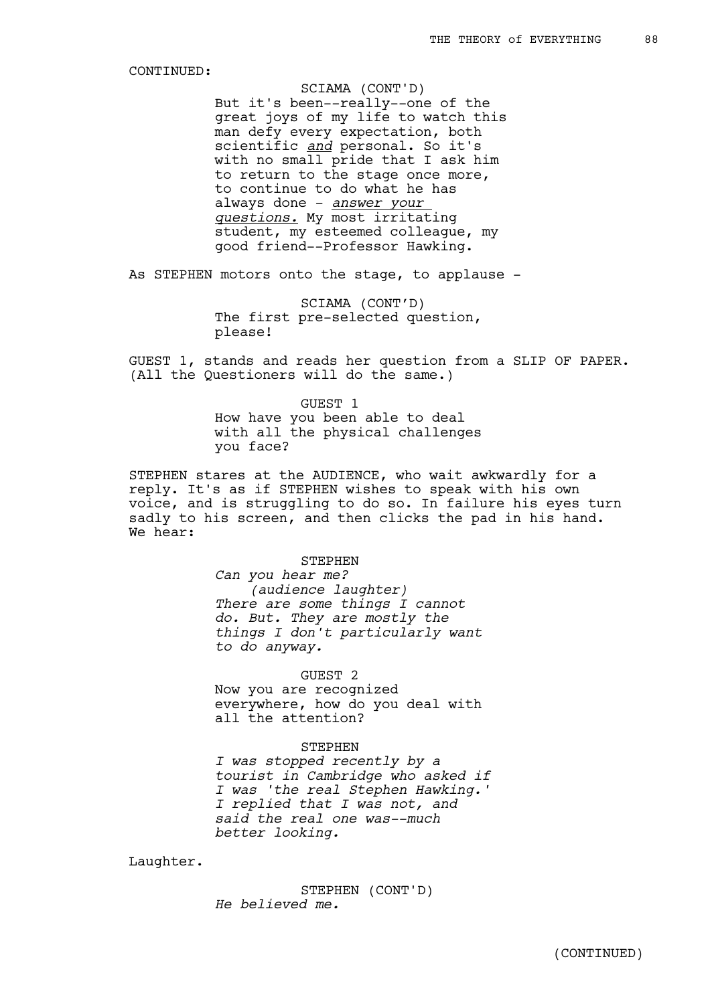But it's been--really--one of the great joys of my life to watch this man defy every expectation, both scientific *and* personal. So it's with no small pride that I ask him to return to the stage once more, to continue to do what he has always done - *answer your questions.* My most irritating student, my esteemed colleague, my good friend--Professor Hawking. SCIAMA (CONT'D)

As STEPHEN motors onto the stage, to applause -

SCIAMA (CONT'D) The first pre-selected question, please!

GUEST 1, stands and reads her question from a SLIP OF PAPER. (All the Questioners will do the same.)

> GUEST 1 How have you been able to deal with all the physical challenges you face?

STEPHEN stares at the AUDIENCE, who wait awkwardly for a reply. It's as if STEPHEN wishes to speak with his own voice, and is struggling to do so. In failure his eyes turn sadly to his screen, and then clicks the pad in his hand. We hear:

STEPHEN

*Can you hear me? (audience laughter) There are some things I cannot do. But. They are mostly the things I don't particularly want to do anyway.*

### GUEST 2

Now you are recognized everywhere, how do you deal with all the attention?

#### STEPHEN

*I was stopped recently by a tourist in Cambridge who asked if I was 'the real Stephen Hawking.' I replied that I was not, and said the real one was--much better looking.* 

Laughter.

STEPHEN (CONT'D) *He believed me.*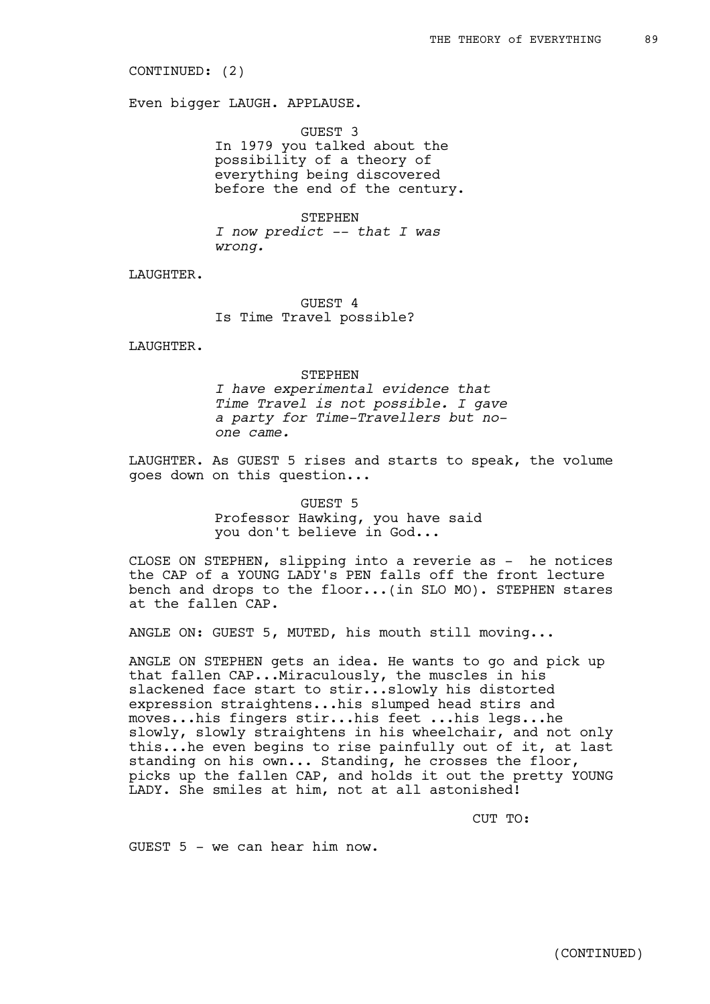CONTINUED: (2)

Even bigger LAUGH. APPLAUSE.

GUEST 3 In 1979 you talked about the possibility of a theory of everything being discovered before the end of the century.

STEPHEN *I now predict -- that I was wrong.* 

LAUGHTER.

GUEST 4 Is Time Travel possible?

LAUGHTER.

STEPHEN *I have experimental evidence that Time Travel is not possible. I gave a party for Time-Travellers but noone came.*

LAUGHTER. As GUEST 5 rises and starts to speak, the volume goes down on this question...

> GUEST 5 Professor Hawking, you have said you don't believe in God...

CLOSE ON STEPHEN, slipping into a reverie as - he notices the CAP of a YOUNG LADY's PEN falls off the front lecture bench and drops to the floor...(in SLO MO). STEPHEN stares at the fallen CAP.

ANGLE ON: GUEST 5, MUTED, his mouth still moving...

ANGLE ON STEPHEN gets an idea. He wants to go and pick up that fallen CAP...Miraculously, the muscles in his slackened face start to stir...slowly his distorted expression straightens...his slumped head stirs and moves...his fingers stir...his feet ...his legs...he slowly, slowly straightens in his wheelchair, and not only this...he even begins to rise painfully out of it, at last standing on his own... Standing, he crosses the floor, picks up the fallen CAP, and holds it out the pretty YOUNG LADY. She smiles at him, not at all astonished!

CUT TO:

GUEST  $5 - we can hear him now.$ 

(CONTINUED)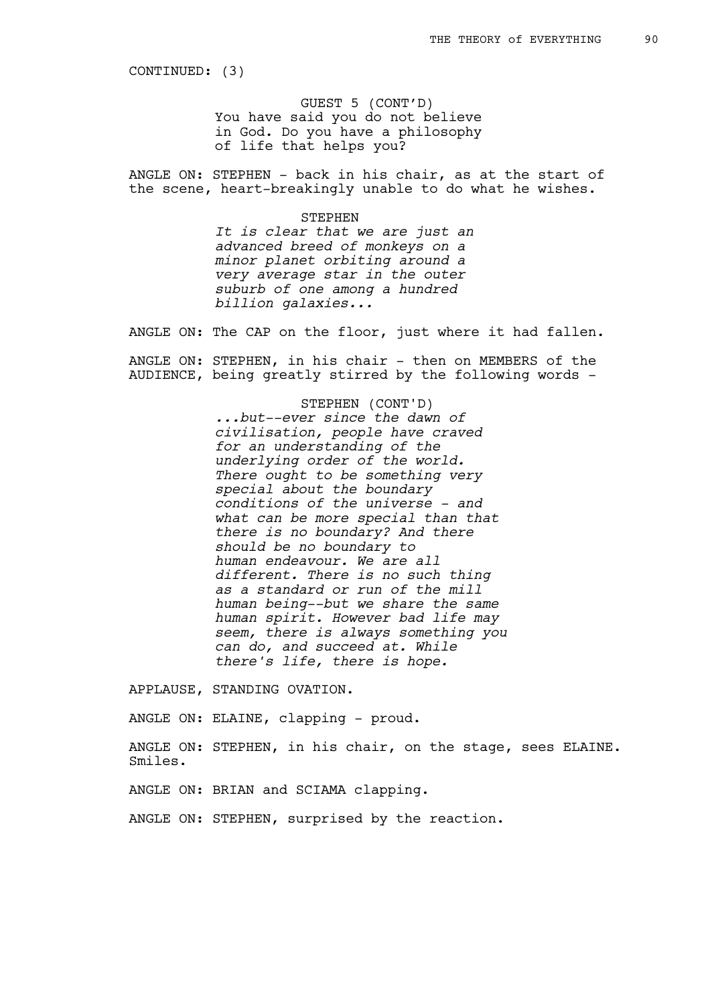CONTINUED: (3)

GUEST 5 (CONT'D) You have said you do not believe in God. Do you have a philosophy of life that helps you?

ANGLE ON: STEPHEN - back in his chair, as at the start of the scene, heart-breakingly unable to do what he wishes.

STEPHEN

*It is clear that we are just an advanced breed of monkeys on a minor planet orbiting around a very average star in the outer suburb of one among a hundred billion galaxies...*

ANGLE ON: The CAP on the floor, just where it had fallen.

ANGLE ON: STEPHEN, in his chair - then on MEMBERS of the AUDIENCE, being greatly stirred by the following words -

> STEPHEN (CONT'D) *...but--ever since the dawn of civilisation, people have craved for an understanding of the underlying order of the world. There ought to be something very special about the boundary conditions of the universe - and what can be more special than that there is no boundary? And there should be no boundary to human endeavour. We are all different. There is no such thing as a standard or run of the mill human being--but we share the same human spirit. However bad life may seem, there is always something you can do, and succeed at. While there's life, there is hope.*

APPLAUSE, STANDING OVATION.

ANGLE ON: ELAINE, clapping - proud.

ANGLE ON: STEPHEN, in his chair, on the stage, sees ELAINE. Smiles.

ANGLE ON: BRIAN and SCIAMA clapping.

ANGLE ON: STEPHEN, surprised by the reaction.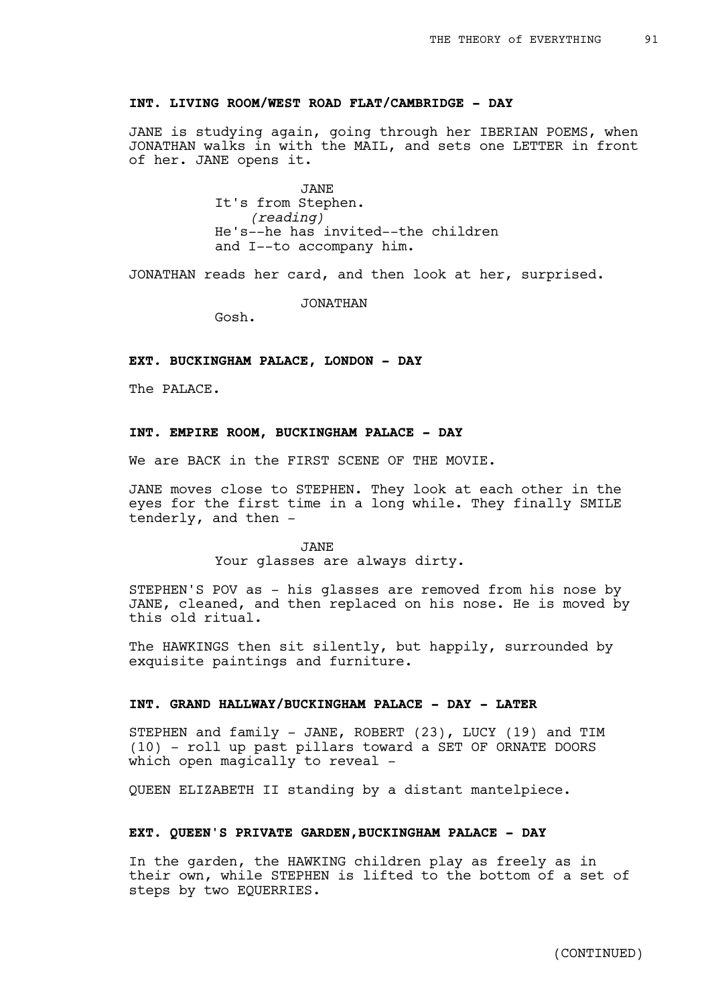# **INT. LIVING ROOM/WEST ROAD FLAT/CAMBRIDGE - DAY**

JANE is studying again, going through her IBERIAN POEMS, when JONATHAN walks in with the MAIL, and sets one LETTER in front of her. JANE opens it.

> JANE It's from Stephen. *(reading)* He's--he has invited--the children and I--to accompany him.

JONATHAN reads her card, and then look at her, surprised.

JONATHAN

Gosh.

# **EXT. BUCKINGHAM PALACE, LONDON - DAY**

The PALACE.

## **INT. EMPIRE ROOM, BUCKINGHAM PALACE - DAY**

We are BACK in the FIRST SCENE OF THE MOVIE.

JANE moves close to STEPHEN. They look at each other in the eyes for the first time in a long while. They finally SMILE tenderly, and then -

> JANE Your glasses are always dirty.

STEPHEN'S POV as - his glasses are removed from his nose by JANE, cleaned, and then replaced on his nose. He is moved by this old ritual.

The HAWKINGS then sit silently, but happily, surrounded by exquisite paintings and furniture.

# **INT. GRAND HALLWAY/BUCKINGHAM PALACE - DAY - LATER**

STEPHEN and family - JANE, ROBERT (23), LUCY (19) and TIM (10) - roll up past pillars toward a SET OF ORNATE DOORS which open magically to reveal -

QUEEN ELIZABETH II standing by a distant mantelpiece.

### **EXT. QUEEN'S PRIVATE GARDEN,BUCKINGHAM PALACE - DAY**

In the garden, the HAWKING children play as freely as in their own, while STEPHEN is lifted to the bottom of a set of steps by two EQUERRIES.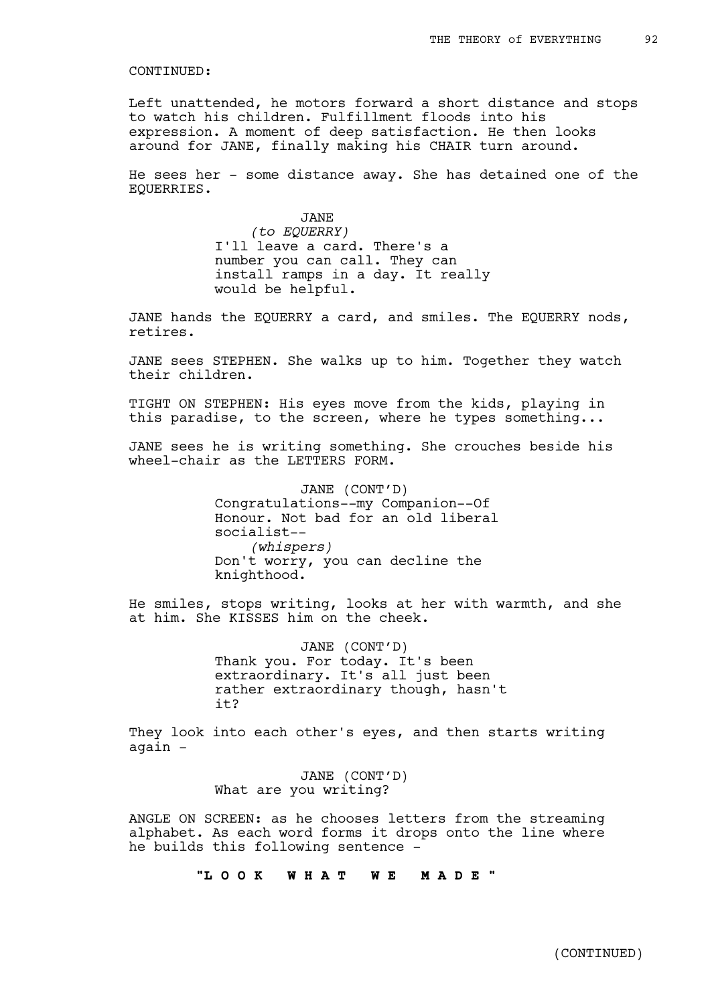Left unattended, he motors forward a short distance and stops to watch his children. Fulfillment floods into his expression. A moment of deep satisfaction. He then looks around for JANE, finally making his CHAIR turn around.

He sees her - some distance away. She has detained one of the EQUERRIES.

> JANE *(to EQUERRY)* I'll leave a card. There's a number you can call. They can install ramps in a day. It really would be helpful.

JANE hands the EQUERRY a card, and smiles. The EQUERRY nods, retires.

JANE sees STEPHEN. She walks up to him. Together they watch their children.

TIGHT ON STEPHEN: His eyes move from the kids, playing in this paradise, to the screen, where he types something...

JANE sees he is writing something. She crouches beside his wheel-chair as the LETTERS FORM.

> JANE (CONT'D) Congratulations--my Companion--Of Honour. Not bad for an old liberal socialist-- *(whispers)* Don't worry, you can decline the knighthood.

He smiles, stops writing, looks at her with warmth, and she at him. She KISSES him on the cheek.

> JANE (CONT'D) Thank you. For today. It's been extraordinary. It's all just been rather extraordinary though, hasn't it?

They look into each other's eyes, and then starts writing again -

> JANE (CONT'D) What are you writing?

ANGLE ON SCREEN: as he chooses letters from the streaming alphabet. As each word forms it drops onto the line where he builds this following sentence -

**"L O O K W H A T W E M A D E "**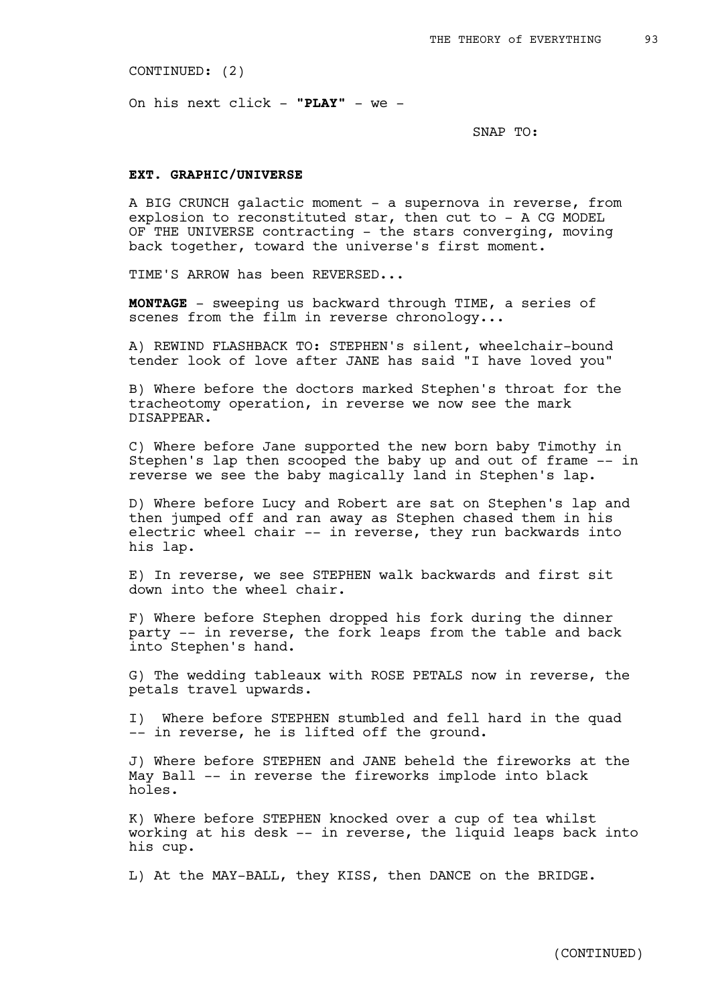CONTINUED: (2)

On his next click - **"PLAY"** - we -

SNAP TO:

## **EXT. GRAPHIC/UNIVERSE**

A BIG CRUNCH galactic moment - a supernova in reverse, from explosion to reconstituted star, then cut to - A CG MODEL OF THE UNIVERSE contracting - the stars converging, moving back together, toward the universe's first moment.

TIME'S ARROW has been REVERSED...

**MONTAGE** - sweeping us backward through TIME, a series of scenes from the film in reverse chronology...

A) REWIND FLASHBACK TO: STEPHEN's silent, wheelchair-bound tender look of love after JANE has said "I have loved you"

B) Where before the doctors marked Stephen's throat for the tracheotomy operation, in reverse we now see the mark DISAPPEAR.

C) Where before Jane supported the new born baby Timothy in Stephen's lap then scooped the baby up and out of frame -- in reverse we see the baby magically land in Stephen's lap.

D) Where before Lucy and Robert are sat on Stephen's lap and then jumped off and ran away as Stephen chased them in his electric wheel chair -- in reverse, they run backwards into his lap.

E) In reverse, we see STEPHEN walk backwards and first sit down into the wheel chair.

F) Where before Stephen dropped his fork during the dinner party -- in reverse, the fork leaps from the table and back into Stephen's hand.

G) The wedding tableaux with ROSE PETALS now in reverse, the petals travel upwards.

I) Where before STEPHEN stumbled and fell hard in the quad -- in reverse, he is lifted off the ground.

J) Where before STEPHEN and JANE beheld the fireworks at the May Ball -- in reverse the fireworks implode into black holes.

K) Where before STEPHEN knocked over a cup of tea whilst working at his desk -- in reverse, the liquid leaps back into his cup.

L) At the MAY-BALL, they KISS, then DANCE on the BRIDGE.